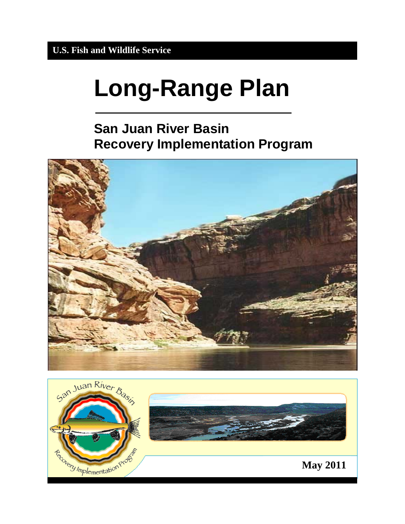# **Long-Range Plan**

# **San Juan River Basin Recovery Implementation Program**



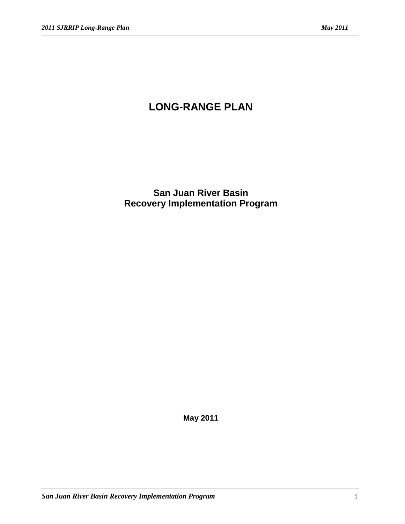# **LONG-RANGE PLAN**

**San Juan River Basin Recovery Implementation Program**

**May 2011**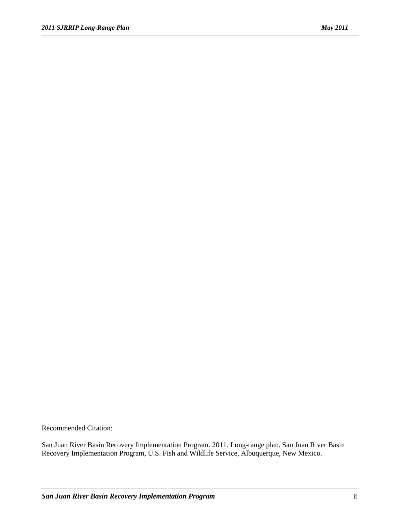Recommended Citation:

San Juan River Basin Recovery Implementation Program. 2011. Long-range plan. San Juan River Basin Recovery Implementation Program, U.S. Fish and Wildlife Service, Albuquerque, New Mexico.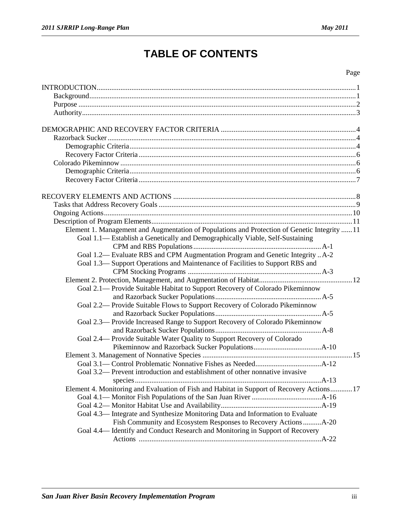# **TABLE OF CONTENTS**

#### Page

| Element 1. Management and Augmentation of Populations and Protection of Genetic Integrity  11 |  |
|-----------------------------------------------------------------------------------------------|--|
| Goal 1.1— Establish a Genetically and Demographically Viable, Self-Sustaining                 |  |
|                                                                                               |  |
| Goal 1.2— Evaluate RBS and CPM Augmentation Program and Genetic Integrity  A-2                |  |
| Goal 1.3— Support Operations and Maintenance of Facilities to Support RBS and                 |  |
|                                                                                               |  |
|                                                                                               |  |
| Goal 2.1- Provide Suitable Habitat to Support Recovery of Colorado Pikeminnow                 |  |
|                                                                                               |  |
| Goal 2.2— Provide Suitable Flows to Support Recovery of Colorado Pikeminnow                   |  |
|                                                                                               |  |
| Goal 2.3— Provide Increased Range to Support Recovery of Colorado Pikeminnow                  |  |
|                                                                                               |  |
| Goal 2.4— Provide Suitable Water Quality to Support Recovery of Colorado                      |  |
|                                                                                               |  |
|                                                                                               |  |
|                                                                                               |  |
| Goal 3.2— Prevent introduction and establishment of other nonnative invasive                  |  |
|                                                                                               |  |
| Element 4. Monitoring and Evaluation of Fish and Habitat in Support of Recovery Actions 17    |  |
|                                                                                               |  |
|                                                                                               |  |
| Goal 4.3— Integrate and Synthesize Monitoring Data and Information to Evaluate                |  |
| Fish Community and Ecosystem Responses to Recovery Actions A-20                               |  |
| Goal 4.4— Identify and Conduct Research and Monitoring in Support of Recovery                 |  |
|                                                                                               |  |
|                                                                                               |  |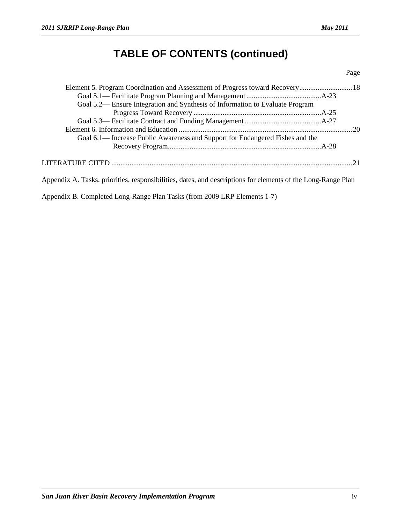# **TABLE OF CONTENTS (continued)**

#### Page

| Goal 5.2— Ensure Integration and Synthesis of Information to Evaluate Program                                |  |
|--------------------------------------------------------------------------------------------------------------|--|
|                                                                                                              |  |
|                                                                                                              |  |
|                                                                                                              |  |
| Goal 6.1— Increase Public Awareness and Support for Endangered Fishes and the                                |  |
|                                                                                                              |  |
|                                                                                                              |  |
| Appendix A. Tasks, priorities, responsibilities, dates, and descriptions for elements of the Long-Range Plan |  |

Appendix B. Completed Long-Range Plan Tasks (from 2009 LRP Elements 1-7)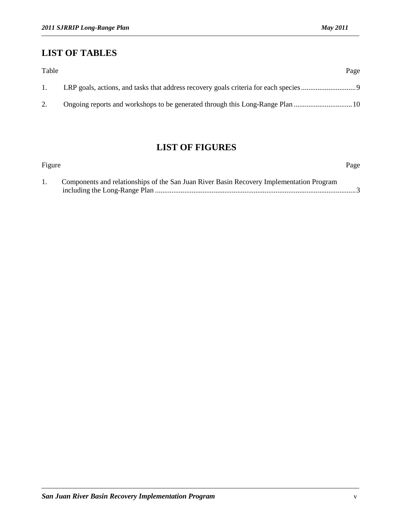### **LIST OF TABLES**

| Table            | Page |
|------------------|------|
| $\overline{1}$ . |      |
|                  |      |

## **LIST OF FIGURES**

| Figure |                                                                                          | Page |
|--------|------------------------------------------------------------------------------------------|------|
|        | Components and relationships of the San Juan River Basin Recovery Implementation Program |      |
|        |                                                                                          |      |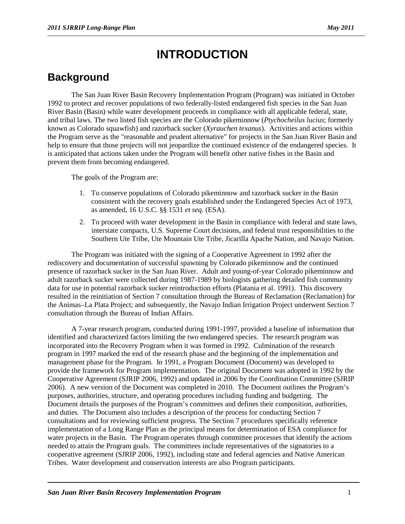# **INTRODUCTION**

# **Background**

The San Juan River Basin Recovery Implementation Program (Program) was initiated in October 1992 to protect and recover populations of two federally-listed endangered fish species in the San Juan River Basin (Basin) while water development proceeds in compliance with all applicable federal, state, and tribal laws. The two listed fish species are the Colorado pikeminnow (*Ptychocheilus lucius*; formerly known as Colorado squawfish) and razorback sucker (*Xyrauchen texanus*). Activities and actions within the Program serve as the "reasonable and prudent alternative" for projects in the San Juan River Basin and help to ensure that those projects will not jeopardize the continued existence of the endangered species. It is anticipated that actions taken under the Program will benefit other native fishes in the Basin and prevent them from becoming endangered.

The goals of the Program are:

- 1. To conserve populations of Colorado pikeminnow and razorback sucker in the Basin consistent with the recovery goals established under the Endangered Species Act of 1973, as amended, 16 U.S.C. §§ 1531 *et seq.* (ESA).
- 2. To proceed with water development in the Basin in compliance with federal and state laws, interstate compacts, U.S. Supreme Court decisions, and federal trust responsibilities to the Southern Ute Tribe, Ute Mountain Ute Tribe, Jicarilla Apache Nation, and Navajo Nation.

The Program was initiated with the signing of a Cooperative Agreement in 1992 after the rediscovery and documentation of successful spawning by Colorado pikeminnow and the continued presence of razorback sucker in the San Juan River. Adult and young-of-year Colorado pikeminnow and adult razorback sucker were collected during 1987-1989 by biologists gathering detailed fish community data for use in potential razorback sucker reintroduction efforts (Platania et al. 1991). This discovery resulted in the reinitiation of Section 7 consultation through the Bureau of Reclamation (Reclamation) for the Animas–La Plata Project; and subsequently, the Navajo Indian Irrigation Project underwent Section 7 consultation through the Bureau of Indian Affairs.

A 7-year research program, conducted during 1991-1997, provided a baseline of information that identified and characterized factors limiting the two endangered species. The research program was incorporated into the Recovery Program when it was formed in 1992. Culmination of the research program in 1997 marked the end of the research phase and the beginning of the implementation and management phase for the Program. In 1991, a Program Document (Document) was developed to provide the framework for Program implementation. The original Document was adopted in 1992 by the Cooperative Agreement (SJRIP 2006, 1992) and updated in 2006 by the Coordination Committee (SJRIP 2006). A new version of the Document was completed in 2010. The Document outlines the Program's purposes, authorities, structure, and operating procedures including funding and budgeting. The Document details the purposes of the Program's committees and defines their composition, authorities, and duties. The Document also includes a description of the process for conducting Section 7 consultations and for reviewing sufficient progress. The Section 7 procedures specifically reference implementation of a Long Range Plan as the principal means for determination of ESA compliance for water projects in the Basin. The Program operates through committee processes that identify the actions needed to attain the Program goals. The committees include representatives of the signatories to a cooperative agreement (SJRIP 2006, 1992), including state and federal agencies and Native American Tribes. Water development and conservation interests are also Program participants.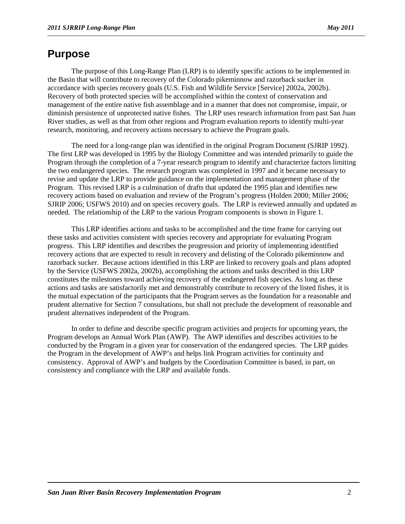### **Purpose**

The purpose of this Long-Range Plan (LRP) is to identify specific actions to be implemented in the Basin that will contribute to recovery of the Colorado pikeminnow and razorback sucker in accordance with species recovery goals (U.S. Fish and Wildlife Service [Service] 2002a, 2002b). Recovery of both protected species will be accomplished within the context of conservation and management of the entire native fish assemblage and in a manner that does not compromise, impair, or diminish persistence of unprotected native fishes. The LRP uses research information from past San Juan River studies, as well as that from other regions and Program evaluation reports to identify multi-year research, monitoring, and recovery actions necessary to achieve the Program goals.

The need for a long-range plan was identified in the original Program Document (SJRIP 1992). The first LRP was developed in 1995 by the Biology Committee and was intended primarily to guide the Program through the completion of a 7-year research program to identify and characterize factors limiting the two endangered species. The research program was completed in 1997 and it became necessary to revise and update the LRP to provide guidance on the implementation and management phase of the Program. This revised LRP is a culmination of drafts that updated the 1995 plan and identifies new recovery actions based on evaluation and review of the Program's progress (Holden 2000; Miller 2006; SJRIP 2006; USFWS 2010) and on species recovery goals. The LRP is reviewed annually and updated as needed. The relationship of the LRP to the various Program components is shown in Figure 1.

This LRP identifies actions and tasks to be accomplished and the time frame for carrying out these tasks and activities consistent with species recovery and appropriate for evaluating Program progress. This LRP identifies and describes the progression and priority of implementing identified recovery actions that are expected to result in recovery and delisting of the Colorado pikeminnow and razorback sucker. Because actions identified in this LRP are linked to recovery goals and plans adopted by the Service (USFWS 2002a, 2002b), accomplishing the actions and tasks described in this LRP constitutes the milestones toward achieving recovery of the endangered fish species. As long as these actions and tasks are satisfactorily met and demonstrably contribute to recovery of the listed fishes, it is the mutual expectation of the participants that the Program serves as the foundation for a reasonable and prudent alternative for Section 7 consultations, but shall not preclude the development of reasonable and prudent alternatives independent of the Program.

In order to define and describe specific program activities and projects for upcoming years, the Program develops an Annual Work Plan (AWP). The AWP identifies and describes activities to be conducted by the Program in a given year for conservation of the endangered species. The LRP guides the Program in the development of AWP's and helps link Program activities for continuity and consistency. Approval of AWP's and budgets by the Coordination Committee is based, in part, on consistency and compliance with the LRP and available funds.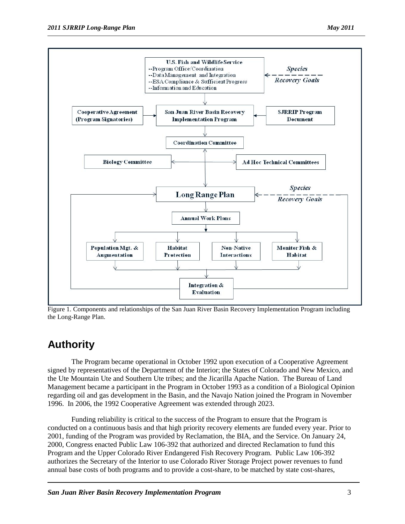

Figure 1. Components and relationships of the San Juan River Basin Recovery Implementation Program including the Long-Range Plan.

### **Authority**

The Program became operational in October 1992 upon execution of a Cooperative Agreement signed by representatives of the Department of the Interior; the States of Colorado and New Mexico, and the Ute Mountain Ute and Southern Ute tribes; and the Jicarilla Apache Nation. The Bureau of Land Management became a participant in the Program in October 1993 as a condition of a Biological Opinion regarding oil and gas development in the Basin, and the Navajo Nation joined the Program in November 1996. In 2006, the 1992 Cooperative Agreement was extended through 2023.

Funding reliability is critical to the success of the Program to ensure that the Program is conducted on a continuous basis and that high priority recovery elements are funded every year. Prior to 2001, funding of the Program was provided by Reclamation, the BIA, and the Service. On January 24, 2000, Congress enacted Public Law 106-392 that authorized and directed Reclamation to fund this Program and the Upper Colorado River Endangered Fish Recovery Program. Public Law 106-392 authorizes the Secretary of the Interior to use Colorado River Storage Project power revenues to fund annual base costs of both programs and to provide a cost-share, to be matched by state cost-shares,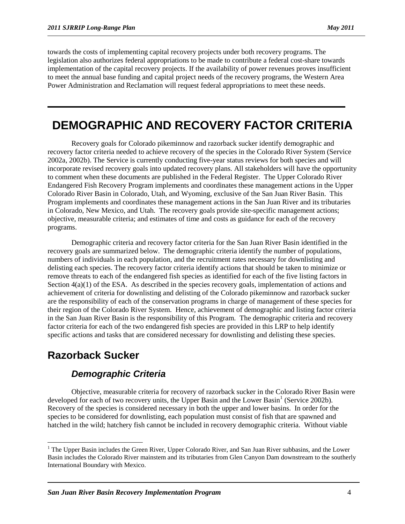towards the costs of implementing capital recovery projects under both recovery programs. The legislation also authorizes federal appropriations to be made to contribute a federal cost-share towards implementation of the capital recovery projects. If the availability of power revenues proves insufficient to meet the annual base funding and capital project needs of the recovery programs, the Western Area Power Administration and Reclamation will request federal appropriations to meet these needs.

# **DEMOGRAPHIC AND RECOVERY FACTOR CRITERIA**

Recovery goals for Colorado pikeminnow and razorback sucker identify demographic and recovery factor criteria needed to achieve recovery of the species in the Colorado River System (Service 2002a, 2002b). The Service is currently conducting five-year status reviews for both species and will incorporate revised recovery goals into updated recovery plans. All stakeholders will have the opportunity to comment when these documents are published in the Federal Register. The Upper Colorado River Endangered Fish Recovery Program implements and coordinates these management actions in the Upper Colorado River Basin in Colorado, Utah, and Wyoming, exclusive of the San Juan River Basin. This Program implements and coordinates these management actions in the San Juan River and its tributaries in Colorado, New Mexico, and Utah. The recovery goals provide site-specific management actions; objective, measurable criteria; and estimates of time and costs as guidance for each of the recovery programs.

Demographic criteria and recovery factor criteria for the San Juan River Basin identified in the recovery goals are summarized below. The demographic criteria identify the number of populations, numbers of individuals in each population, and the recruitment rates necessary for downlisting and delisting each species. The recovery factor criteria identify actions that should be taken to minimize or remove threats to each of the endangered fish species as identified for each of the five listing factors in Section  $4(a)(1)$  of the ESA. As described in the species recovery goals, implementation of actions and achievement of criteria for downlisting and delisting of the Colorado pikeminnow and razorback sucker are the responsibility of each of the conservation programs in charge of management of these species for their region of the Colorado River System. Hence, achievement of demographic and listing factor criteria in the San Juan River Basin is the responsibility of this Program. The demographic criteria and recovery factor criteria for each of the two endangered fish species are provided in this LRP to help identify specific actions and tasks that are considered necessary for downlisting and delisting these species.

### **Razorback Sucker**

### *Demographic Criteria*

Objective, measurable criteria for recovery of razorback sucker in the Colorado River Basin were developed for each of two recovery units, the Upper Basin and the Lower Basin<sup>[1](#page-9-0)</sup> (Service 2002b). Recovery of the species is considered necessary in both the upper and lower basins. In order for the species to be considered for downlisting, each population must consist of fish that are spawned and hatched in the wild; hatchery fish cannot be included in recovery demographic criteria. Without viable

<span id="page-9-0"></span><sup>&</sup>lt;sup>1</sup> The Upper Basin includes the Green River, Upper Colorado River, and San Juan River subbasins, and the Lower Basin includes the Colorado River mainstem and its tributaries from Glen Canyon Dam downstream to the southerly International Boundary with Mexico.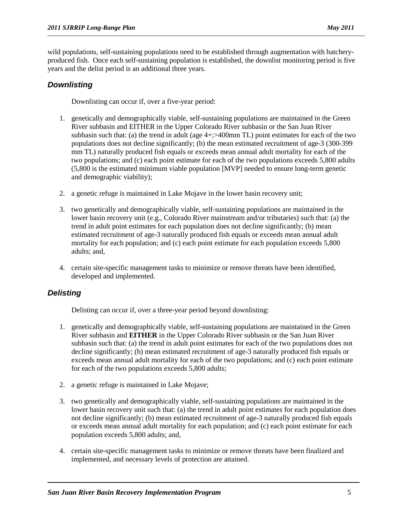wild populations, self-sustaining populations need to be established through augmentation with hatcheryproduced fish. Once each self-sustaining population is established, the downlist monitoring period is five years and the delist period is an additional three years.

#### *Downlisting*

Downlisting can occur if, over a five-year period:

- 1. genetically and demographically viable, self-sustaining populations are maintained in the Green River subbasin and EITHER in the Upper Colorado River subbasin or the San Juan River subbasin such that: (a) the trend in adult (age 4+;>400mm TL) point estimates for each of the two populations does not decline significantly; (b) the mean estimated recruitment of age-3 (300-399 mm TL) naturally produced fish equals or exceeds mean annual adult mortality for each of the two populations; and (c) each point estimate for each of the two populations exceeds 5,800 adults (5,800 is the estimated minimum viable population [MVP] needed to ensure long-term genetic and demographic viability);
- 2. a genetic refuge is maintained in Lake Mojave in the lower basin recovery unit;
- 3. two genetically and demographically viable, self-sustaining populations are maintained in the lower basin recovery unit (e.g., Colorado River mainstream and/or tributaries) such that: (a) the trend in adult point estimates for each population does not decline significantly; (b) mean estimated recruitment of age-3 naturally produced fish equals or exceeds mean annual adult mortality for each population; and (c) each point estimate for each population exceeds 5,800 adults; and,
- 4. certain site-specific management tasks to minimize or remove threats have been identified, developed and implemented.

### *Delisting*

Delisting can occur if, over a three-year period beyond downlisting:

- 1. genetically and demographically viable, self-sustaining populations are maintained in the Green River subbasin and **EITHER** in the Upper Colorado River subbasin or the San Juan River subbasin such that: (a) the trend in adult point estimates for each of the two populations does not decline significantly; (b) mean estimated recruitment of age-3 naturally produced fish equals or exceeds mean annual adult mortality for each of the two populations; and (c) each point estimate for each of the two populations exceeds 5,800 adults;
- 2. a genetic refuge is maintained in Lake Mojave;
- 3. two genetically and demographically viable, self-sustaining populations are maintained in the lower basin recovery unit such that: (a) the trend in adult point estimates for each population does not decline significantly; (b) mean estimated recruitment of age-3 naturally produced fish equals or exceeds mean annual adult mortality for each population; and (c) each point estimate for each population exceeds 5,800 adults; and,
- 4. certain site-specific management tasks to minimize or remove threats have been finalized and implemented, and necessary levels of protection are attained.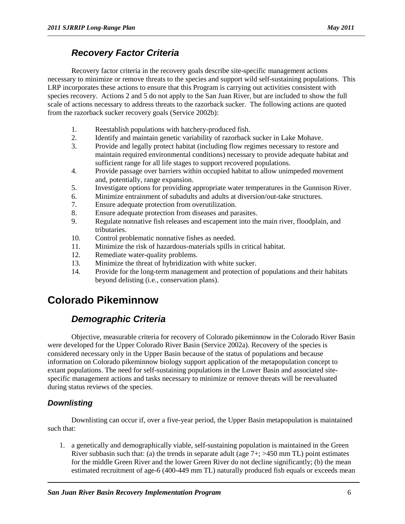### *Recovery Factor Criteria*

Recovery factor criteria in the recovery goals describe site-specific management actions necessary to minimize or remove threats to the species and support wild self-sustaining populations. This LRP incorporates these actions to ensure that this Program is carrying out activities consistent with species recovery. Actions 2 and 5 do not apply to the San Juan River, but are included to show the full scale of actions necessary to address threats to the razorback sucker. The following actions are quoted from the razorback sucker recovery goals (Service 2002b):

- 1. Reestablish populations with hatchery-produced fish.
- 2. Identify and maintain genetic variability of razorback sucker in Lake Mohave.
- 3. Provide and legally protect habitat (including flow regimes necessary to restore and maintain required environmental conditions) necessary to provide adequate habitat and sufficient range for all life stages to support recovered populations.
- 4. Provide passage over barriers within occupied habitat to allow unimpeded movement and, potentially, range expansion.
- 5. Investigate options for providing appropriate water temperatures in the Gunnison River.
- 6. Minimize entrainment of subadults and adults at diversion/out-take structures.
- 7. Ensure adequate protection from overutilization.
- 8. Ensure adequate protection from diseases and parasites.
- 9. Regulate nonnative fish releases and escapement into the main river, floodplain, and tributaries.
- 10. Control problematic nonnative fishes as needed.
- 11. Minimize the risk of hazardous-materials spills in critical habitat.
- 12. Remediate water-quality problems.<br>13. Minimize the threat of hybridization
- Minimize the threat of hybridization with white sucker.
- 14. Provide for the long-term management and protection of populations and their habitats beyond delisting (i.e., conservation plans).

# **Colorado Pikeminnow**

### *Demographic Criteria*

Objective, measurable criteria for recovery of Colorado pikeminnow in the Colorado River Basin were developed for the Upper Colorado River Basin (Service 2002a). Recovery of the species is considered necessary only in the Upper Basin because of the status of populations and because information on Colorado pikeminnow biology support application of the metapopulation concept to extant populations. The need for self-sustaining populations in the Lower Basin and associated sitespecific management actions and tasks necessary to minimize or remove threats will be reevaluated during status reviews of the species.

### *Downlisting*

Downlisting can occur if, over a five-year period, the Upper Basin metapopulation is maintained such that:

1. a genetically and demographically viable, self-sustaining population is maintained in the Green River subbasin such that: (a) the trends in separate adult (age  $7+$ ;  $>450$  mm TL) point estimates for the middle Green River and the lower Green River do not decline significantly; (b) the mean estimated recruitment of age-6 (400-449 mm TL) naturally produced fish equals or exceeds mean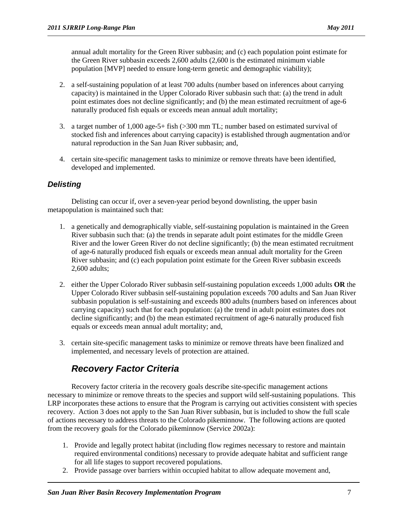annual adult mortality for the Green River subbasin; and (c) each population point estimate for the Green River subbasin exceeds 2,600 adults (2,600 is the estimated minimum viable population [MVP] needed to ensure long-term genetic and demographic viability);

- 2. a self-sustaining population of at least 700 adults (number based on inferences about carrying capacity) is maintained in the Upper Colorado River subbasin such that: (a) the trend in adult point estimates does not decline significantly; and (b) the mean estimated recruitment of age-6 naturally produced fish equals or exceeds mean annual adult mortality;
- 3. a target number of 1,000 age-5+ fish (>300 mm TL; number based on estimated survival of stocked fish and inferences about carrying capacity) is established through augmentation and/or natural reproduction in the San Juan River subbasin; and,
- 4. certain site-specific management tasks to minimize or remove threats have been identified, developed and implemented.

#### *Delisting*

Delisting can occur if, over a seven-year period beyond downlisting, the upper basin metapopulation is maintained such that:

- 1. a genetically and demographically viable, self-sustaining population is maintained in the Green River subbasin such that: (a) the trends in separate adult point estimates for the middle Green River and the lower Green River do not decline significantly; (b) the mean estimated recruitment of age-6 naturally produced fish equals or exceeds mean annual adult mortality for the Green River subbasin; and (c) each population point estimate for the Green River subbasin exceeds 2,600 adults;
- 2. either the Upper Colorado River subbasin self-sustaining population exceeds 1,000 adults **OR** the Upper Colorado River subbasin self-sustaining population exceeds 700 adults and San Juan River subbasin population is self-sustaining and exceeds 800 adults (numbers based on inferences about carrying capacity) such that for each population: (a) the trend in adult point estimates does not decline significantly; and (b) the mean estimated recruitment of age-6 naturally produced fish equals or exceeds mean annual adult mortality; and,
- 3. certain site-specific management tasks to minimize or remove threats have been finalized and implemented, and necessary levels of protection are attained.

### *Recovery Factor Criteria*

Recovery factor criteria in the recovery goals describe site-specific management actions necessary to minimize or remove threats to the species and support wild self-sustaining populations. This LRP incorporates these actions to ensure that the Program is carrying out activities consistent with species recovery. Action 3 does not apply to the San Juan River subbasin, but is included to show the full scale of actions necessary to address threats to the Colorado pikeminnow. The following actions are quoted from the recovery goals for the Colorado pikeminnow (Service 2002a):

- 1. Provide and legally protect habitat (including flow regimes necessary to restore and maintain required environmental conditions) necessary to provide adequate habitat and sufficient range for all life stages to support recovered populations.
- 2. Provide passage over barriers within occupied habitat to allow adequate movement and,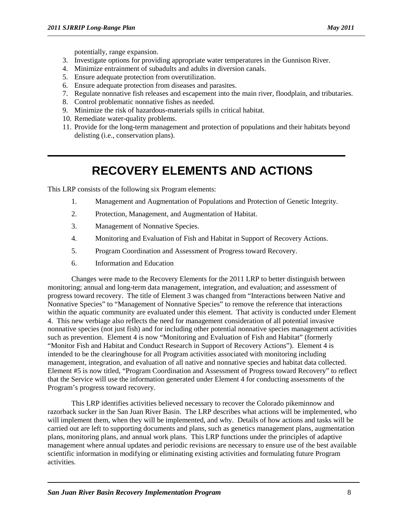potentially, range expansion.

- 3. Investigate options for providing appropriate water temperatures in the Gunnison River.
- 4. Minimize entrainment of subadults and adults in diversion canals.
- 5. Ensure adequate protection from overutilization.
- 6. Ensure adequate protection from diseases and parasites.
- 7. Regulate nonnative fish releases and escapement into the main river, floodplain, and tributaries.
- 8. Control problematic nonnative fishes as needed.
- 9. Minimize the risk of hazardous-materials spills in critical habitat.
- 10. Remediate water-quality problems.
- 11. Provide for the long-term management and protection of populations and their habitats beyond delisting (i.e., conservation plans).

# **RECOVERY ELEMENTS AND ACTIONS**

This LRP consists of the following six Program elements:

- 1. Management and Augmentation of Populations and Protection of Genetic Integrity.
- 2. Protection, Management, and Augmentation of Habitat.
- 3. Management of Nonnative Species.
- 4. Monitoring and Evaluation of Fish and Habitat in Support of Recovery Actions.
- 5. Program Coordination and Assessment of Progress toward Recovery.
- 6. Information and Education

Changes were made to the Recovery Elements for the 2011 LRP to better distinguish between monitoring; annual and long-term data management, integration, and evaluation; and assessment of progress toward recovery. The title of Element 3 was changed from "Interactions between Native and Nonnative Species" to "Management of Nonnative Species" to remove the reference that interactions within the aquatic community are evaluated under this element. That activity is conducted under Element 4. This new verbiage also reflects the need for management consideration of all potential invasive nonnative species (not just fish) and for including other potential nonnative species management activities such as prevention. Element 4 is now "Monitoring and Evaluation of Fish and Habitat" (formerly "Monitor Fish and Habitat and Conduct Research in Support of Recovery Actions"). Element 4 is intended to be the clearinghouse for all Program activities associated with monitoring including management, integration, and evaluation of all native and nonnative species and habitat data collected. Element #5 is now titled, "Program Coordination and Assessment of Progress toward Recovery" to reflect that the Service will use the information generated under Element 4 for conducting assessments of the Program's progress toward recovery.

This LRP identifies activities believed necessary to recover the Colorado pikeminnow and razorback sucker in the San Juan River Basin. The LRP describes what actions will be implemented, who will implement them, when they will be implemented, and why. Details of how actions and tasks will be carried out are left to supporting documents and plans, such as genetics management plans, augmentation plans, monitoring plans, and annual work plans. This LRP functions under the principles of adaptive management where annual updates and periodic revisions are necessary to ensure use of the best available scientific information in modifying or eliminating existing activities and formulating future Program activities.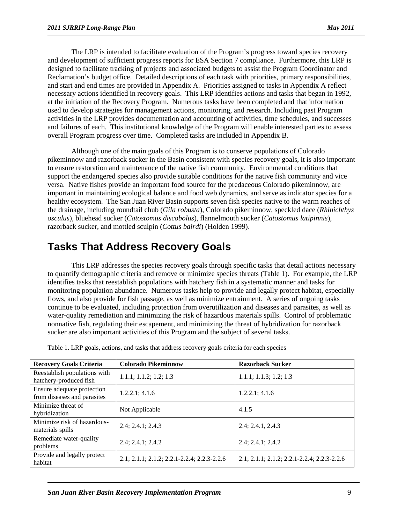The LRP is intended to facilitate evaluation of the Program's progress toward species recovery and development of sufficient progress reports for ESA Section 7 compliance. Furthermore, this LRP is designed to facilitate tracking of projects and associated budgets to assist the Program Coordinator and Reclamation's budget office. Detailed descriptions of each task with priorities, primary responsibilities, and start and end times are provided in Appendix A. Priorities assigned to tasks in Appendix A reflect necessary actions identified in recovery goals. This LRP identifies actions and tasks that began in 1992, at the initiation of the Recovery Program. Numerous tasks have been completed and that information used to develop strategies for management actions, monitoring, and research. Including past Program activities in the LRP provides documentation and accounting of activities, time schedules, and successes and failures of each. This institutional knowledge of the Program will enable interested parties to assess overall Program progress over time. Completed tasks are included in Appendix B.

Although one of the main goals of this Program is to conserve populations of Colorado pikeminnow and razorback sucker in the Basin consistent with species recovery goals, it is also important to ensure restoration and maintenance of the native fish community. Environmental conditions that support the endangered species also provide suitable conditions for the native fish community and vice versa. Native fishes provide an important food source for the predaceous Colorado pikeminnow, are important in maintaining ecological balance and food web dynamics, and serve as indicator species for a healthy ecosystem. The San Juan River Basin supports seven fish species native to the warm reaches of the drainage, including roundtail chub (*Gila robusta*), Colorado pikeminnow, speckled dace (*Rhinichthys osculus*), bluehead sucker (*Catostomus discobolus*), flannelmouth sucker (*Catostomus latipinnis*), razorback sucker, and mottled sculpin (*Cottus bairdi*) (Holden 1999).

## **Tasks That Address Recovery Goals**

This LRP addresses the species recovery goals through specific tasks that detail actions necessary to quantify demographic criteria and remove or minimize species threats (Table 1). For example, the LRP identifies tasks that reestablish populations with hatchery fish in a systematic manner and tasks for monitoring population abundance. Numerous tasks help to provide and legally protect habitat, especially flows, and also provide for fish passage, as well as minimize entrainment. A series of ongoing tasks continue to be evaluated, including protection from overutilization and diseases and parasites, as well as water-quality remediation and minimizing the risk of hazardous materials spills. Control of problematic nonnative fish, regulating their escapement, and minimizing the threat of hybridization for razorback sucker are also important activities of this Program and the subject of several tasks.

| <b>Recovery Goals Criteria</b>                            | <b>Colorado Pikeminnow</b>                  | <b>Razorback Sucker</b>                     |
|-----------------------------------------------------------|---------------------------------------------|---------------------------------------------|
| Reestablish populations with<br>hatchery-produced fish    | 1.1.1; 1.1.2; 1.2; 1.3                      | 1.1.1; 1.1.3; 1.2; 1.3                      |
| Ensure adequate protection<br>from diseases and parasites | 1.2.2.1; 4.1.6                              | 1.2.2.1; 4.1.6                              |
| Minimize threat of<br>hybridization                       | Not Applicable                              | 4.1.5                                       |
| Minimize risk of hazardous-<br>materials spills           | 2.4; 2.4.1; 2.4.3                           | 2.4; 2.4.1, 2.4.3                           |
| Remediate water-quality<br>problems                       | 2.4; 2.4.1; 2.4.2                           | 2.4; 2.4.1; 2.4.2                           |
| Provide and legally protect<br>habitat                    | 2.1; 2.1.1; 2.1.2; 2.2.1-2.2.4; 2.2.3-2.2.6 | 2.1; 2.1.1; 2.1.2; 2.2.1-2.2.4; 2.2.3-2.2.6 |

Table 1. LRP goals, actions, and tasks that address recovery goals criteria for each species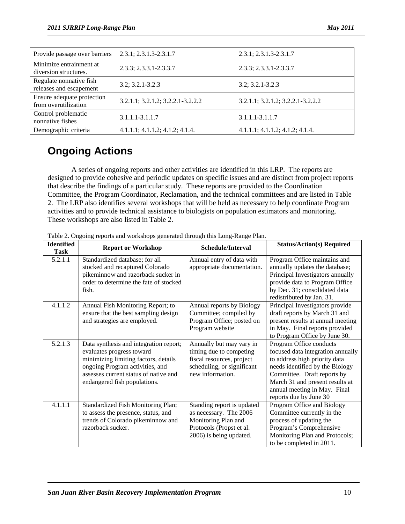| Provide passage over barriers                      | 2.3.1; 2.3.1.3-2.3.1.7            | 2.3.1; 2.3.1.3-2.3.1.7                      |
|----------------------------------------------------|-----------------------------------|---------------------------------------------|
| Minimize entrainment at<br>diversion structures.   | 2.3.3; 2.3.3.1-2.3.3.7            | 2.3.3; 2.3.3.1-2.3.3.7                      |
| Regulate nonnative fish<br>releases and escapement | $3.2; 3.2.1 - 3.2.3$              | $3.2; 3.2.1 - 3.2.3$                        |
| Ensure adequate protection<br>from overutilization | 3.2.1.1; 3.2.1.2; 3.2.2.1-3.2.2.2 | 3.2.1.1; 3.2.1.2; 3.2.2.1-3.2.2.2           |
| Control problematic<br>nonnative fishes            | $3.1.1.1 - 3.1.1.7$               | 3.1.1.1-3.1.1.7                             |
| Demographic criteria                               | 4.1.1.1; 4.1.1.2; 4.1.2; 4.1.4.   | $4.1.1.1$ ; $4.1.1.2$ ; $4.1.2$ ; $4.1.4$ . |

# **Ongoing Actions**

A series of ongoing reports and other activities are identified in this LRP. The reports are designed to provide cohesive and periodic updates on specific issues and are distinct from project reports that describe the findings of a particular study. These reports are provided to the Coordination Committee, the Program Coordinator, Reclamation, and the technical committees and are listed in Table 2. The LRP also identifies several workshops that will be held as necessary to help coordinate Program activities and to provide technical assistance to biologists on population estimators and monitoring. These workshops are also listed in Table 2.

| <b>Identified</b><br><b>Report or Workshop</b><br><b>Task</b> |                                                                                                                                                                                                                         | Schedule/Interval                                                                                                                  | <b>Status/Action(s) Required</b>                                                                                                                                                                                                                             |
|---------------------------------------------------------------|-------------------------------------------------------------------------------------------------------------------------------------------------------------------------------------------------------------------------|------------------------------------------------------------------------------------------------------------------------------------|--------------------------------------------------------------------------------------------------------------------------------------------------------------------------------------------------------------------------------------------------------------|
| 5.2.1.1                                                       | Standardized database; for all<br>stocked and recaptured Colorado<br>pikeminnow and razorback sucker in<br>order to determine the fate of stocked<br>fish.                                                              | Annual entry of data with<br>appropriate documentation.                                                                            | Program Office maintains and<br>annually updates the database;<br>Principal Investigators annually<br>provide data to Program Office<br>by Dec. 31; consolidated data<br>redistributed by Jan. 31.                                                           |
| 4.1.1.2                                                       | Annual Fish Monitoring Report; to<br>ensure that the best sampling design<br>and strategies are employed.                                                                                                               | Annual reports by Biology<br>Committee; compiled by<br>Program Office; posted on<br>Program website                                | Principal Investigators provide<br>draft reports by March 31 and<br>present results at annual meeting<br>in May. Final reports provided<br>to Program Office by June 30.                                                                                     |
| 5.2.1.3                                                       | Data synthesis and integration report;<br>evaluates progress toward<br>minimizing limiting factors, details<br>ongoing Program activities, and<br>assesses current status of native and<br>endangered fish populations. | Annually but may vary in<br>timing due to competing<br>fiscal resources, project<br>scheduling, or significant<br>new information. | Program Office conducts<br>focused data integration annually<br>to address high priority data<br>needs identified by the Biology<br>Committee. Draft reports by<br>March 31 and present results at<br>annual meeting in May. Final<br>reports due by June 30 |
| 4.1.1.1                                                       | Standardized Fish Monitoring Plan;<br>to assess the presence, status, and<br>trends of Colorado pikeminnow and<br>razorback sucker.                                                                                     | Standing report is updated<br>as necessary. The 2006<br>Monitoring Plan and<br>Protocols (Propst et al.<br>2006) is being updated. | Program Office and Biology<br>Committee currently in the<br>process of updating the<br>Program's Comprehensive<br>Monitoring Plan and Protocols;<br>to be completed in 2011.                                                                                 |

Table 2. Ongoing reports and workshops generated through this Long-Range Plan.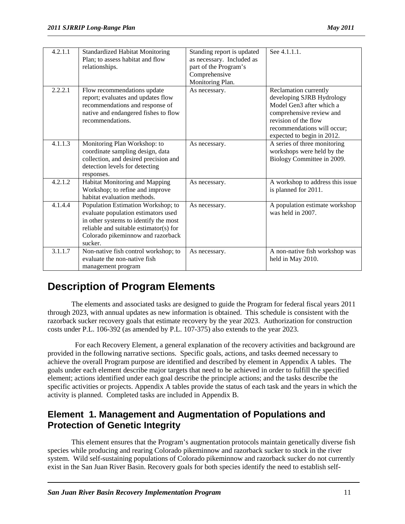| 4.2.1.1 | <b>Standardized Habitat Monitoring</b><br>Plan; to assess habitat and flow<br>relationships.                                                                                                                 | Standing report is updated<br>as necessary. Included as<br>part of the Program's<br>Comprehensive<br>Monitoring Plan. | See 4.1.1.1.                                                                                                                                                                                    |
|---------|--------------------------------------------------------------------------------------------------------------------------------------------------------------------------------------------------------------|-----------------------------------------------------------------------------------------------------------------------|-------------------------------------------------------------------------------------------------------------------------------------------------------------------------------------------------|
| 2.2.2.1 | Flow recommendations update<br>report; evaluates and updates flow<br>recommendations and response of<br>native and endangered fishes to flow<br>recommendations.                                             | As necessary.                                                                                                         | Reclamation currently<br>developing SJRB Hydrology<br>Model Gen3 after which a<br>comprehensive review and<br>revision of the flow<br>recommendations will occur;<br>expected to begin in 2012. |
| 4.1.1.3 | Monitoring Plan Workshop: to<br>coordinate sampling design, data<br>collection, and desired precision and<br>detection levels for detecting<br>responses.                                                    | As necessary.                                                                                                         | A series of three monitoring<br>workshops were held by the<br>Biology Committee in 2009.                                                                                                        |
| 4.2.1.2 | Habitat Monitoring and Mapping<br>Workshop; to refine and improve<br>habitat evaluation methods.                                                                                                             | As necessary.                                                                                                         | A workshop to address this issue<br>is planned for 2011.                                                                                                                                        |
| 4.1.4.4 | Population Estimation Workshop; to<br>evaluate population estimators used<br>in other systems to identify the most<br>reliable and suitable estimator(s) for<br>Colorado pikeminnow and razorback<br>sucker. | As necessary.                                                                                                         | A population estimate workshop<br>was held in 2007.                                                                                                                                             |
| 3.1.1.7 | Non-native fish control workshop; to<br>evaluate the non-native fish<br>management program                                                                                                                   | As necessary.                                                                                                         | A non-native fish workshop was<br>held in May 2010.                                                                                                                                             |

# **Description of Program Elements**

The elements and associated tasks are designed to guide the Program for federal fiscal years 2011 through 2023, with annual updates as new information is obtained. This schedule is consistent with the razorback sucker recovery goals that estimate recovery by the year 2023. Authorization for construction costs under P.L. 106-392 (as amended by P.L. 107-375) also extends to the year 2023.

 For each Recovery Element, a general explanation of the recovery activities and background are provided in the following narrative sections. Specific goals, actions, and tasks deemed necessary to achieve the overall Program purpose are identified and described by element in Appendix A tables. The goals under each element describe major targets that need to be achieved in order to fulfill the specified element; actions identified under each goal describe the principle actions; and the tasks describe the specific activities or projects. Appendix A tables provide the status of each task and the years in which the activity is planned. Completed tasks are included in Appendix B.

### **Element 1. Management and Augmentation of Populations and Protection of Genetic Integrity**

This element ensures that the Program's augmentation protocols maintain genetically diverse fish species while producing and rearing Colorado pikeminnow and razorback sucker to stock in the river system. Wild self-sustaining populations of Colorado pikeminnow and razorback sucker do not currently exist in the San Juan River Basin. Recovery goals for both species identify the need to establish self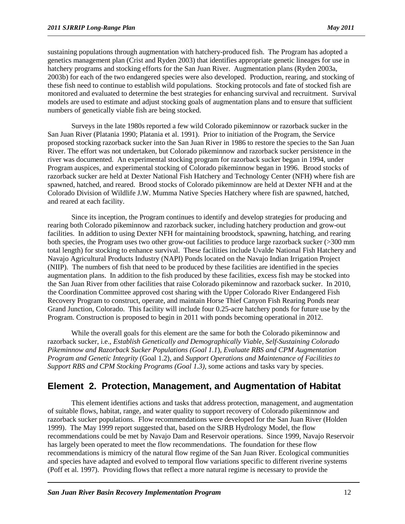sustaining populations through augmentation with hatchery-produced fish. The Program has adopted a genetics management plan (Crist and Ryden 2003) that identifies appropriate genetic lineages for use in hatchery programs and stocking efforts for the San Juan River. Augmentation plans (Ryden 2003a, 2003b) for each of the two endangered species were also developed. Production, rearing, and stocking of these fish need to continue to establish wild populations. Stocking protocols and fate of stocked fish are monitored and evaluated to determine the best strategies for enhancing survival and recruitment. Survival models are used to estimate and adjust stocking goals of augmentation plans and to ensure that sufficient numbers of genetically viable fish are being stocked.

Surveys in the late 1980s reported a few wild Colorado pikeminnow or razorback sucker in the San Juan River (Platania 1990; Platania et al. 1991). Prior to initiation of the Program, the Service proposed stocking razorback sucker into the San Juan River in 1986 to restore the species to the San Juan River. The effort was not undertaken, but Colorado pikeminnow and razorback sucker persistence in the river was documented. An experimental stocking program for razorback sucker began in 1994, under Program auspices, and experimental stocking of Colorado pikeminnow began in 1996. Brood stocks of razorback sucker are held at Dexter National Fish Hatchery and Technology Center (NFH) where fish are spawned, hatched, and reared. Brood stocks of Colorado pikeminnow are held at Dexter NFH and at the Colorado Division of Wildlife J.W. Mumma Native Species Hatchery where fish are spawned, hatched, and reared at each facility.

Since its inception, the Program continues to identify and develop strategies for producing and rearing both Colorado pikeminnow and razorback sucker, including hatchery production and grow-out facilities. In addition to using Dexter NFH for maintaining broodstock, spawning, hatching, and rearing both species, the Program uses two other grow-out facilities to produce large razorback sucker (>300 mm total length) for stocking to enhance survival. These facilities include Uvalde National Fish Hatchery and Navajo Agricultural Products Industry (NAPI) Ponds located on the Navajo Indian Irrigation Project (NIIP). The numbers of fish that need to be produced by these facilities are identified in the species augmentation plans. In addition to the fish produced by these facilities, excess fish may be stocked into the San Juan River from other facilities that raise Colorado pikeminnow and razorback sucker. In 2010, the Coordination Committee approved cost sharing with the Upper Colorado River Endangered Fish Recovery Program to construct, operate, and maintain Horse Thief Canyon Fish Rearing Ponds near Grand Junction, Colorado. This facility will include four 0.25-acre hatchery ponds for future use by the Program. Construction is proposed to begin in 2011 with ponds becoming operational in 2012.

While the overall goals for this element are the same for both the Colorado pikeminnow and razorback sucker, i.e., *Establish Genetically and Demographically Viable, Self-Sustaining Colorado Pikeminnow and Razorback Sucker Populations (Goal 1.1*), *Evaluate RBS and CPM Augmentation Program and Genetic Integrity* (Goal 1.2), and *Support Operations and Maintenance of Facilities to Support RBS and CPM Stocking Programs (Goal 1.3),* some actions and tasks vary by species.

### **Element 2. Protection, Management, and Augmentation of Habitat**

This element identifies actions and tasks that address protection, management, and augmentation of suitable flows, habitat, range, and water quality to support recovery of Colorado pikeminnow and razorback sucker populations. Flow recommendations were developed for the San Juan River (Holden 1999). The May 1999 report suggested that, based on the SJRB Hydrology Model, the flow recommendations could be met by Navajo Dam and Reservoir operations. Since 1999, Navajo Reservoir has largely been operated to meet the flow recommendations. The foundation for these flow recommendations is mimicry of the natural flow regime of the San Juan River. Ecological communities and species have adapted and evolved to temporal flow variations specific to different riverine systems (Poff et al. 1997). Providing flows that reflect a more natural regime is necessary to provide the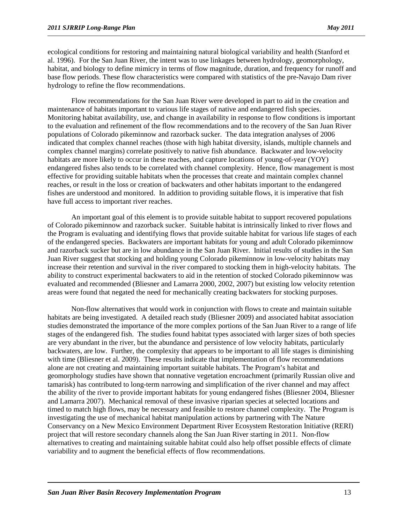ecological conditions for restoring and maintaining natural biological variability and health (Stanford et al. 1996). For the San Juan River, the intent was to use linkages between hydrology, geomorphology, habitat, and biology to define mimicry in terms of flow magnitude, duration, and frequency for runoff and base flow periods. These flow characteristics were compared with statistics of the pre-Navajo Dam river hydrology to refine the flow recommendations.

Flow recommendations for the San Juan River were developed in part to aid in the creation and maintenance of habitats important to various life stages of native and endangered fish species. Monitoring habitat availability, use, and change in availability in response to flow conditions is important to the evaluation and refinement of the flow recommendations and to the recovery of the San Juan River populations of Colorado pikeminnow and razorback sucker. The data integration analyses of 2006 indicated that complex channel reaches (those with high habitat diversity, islands, multiple channels and complex channel margins) correlate positively to native fish abundance. Backwater and low-velocity habitats are more likely to occur in these reaches, and capture locations of young-of-year (YOY) endangered fishes also tends to be correlated with channel complexity. Hence, flow management is most effective for providing suitable habitats when the processes that create and maintain complex channel reaches, or result in the loss or creation of backwaters and other habitats important to the endangered fishes are understood and monitored. In addition to providing suitable flows, it is imperative that fish have full access to important river reaches.

An important goal of this element is to provide suitable habitat to support recovered populations of Colorado pikeminnow and razorback sucker. Suitable habitat is intrinsically linked to river flows and the Program is evaluating and identifying flows that provide suitable habitat for various life stages of each of the endangered species. Backwaters are important habitats for young and adult Colorado pikeminnow and razorback sucker but are in low abundance in the San Juan River. Initial results of studies in the San Juan River suggest that stocking and holding young Colorado pikeminnow in low-velocity habitats may increase their retention and survival in the river compared to stocking them in high-velocity habitats. The ability to construct experimental backwaters to aid in the retention of stocked Colorado pikeminnow was evaluated and recommended (Bliesner and Lamarra 2000, 2002, 2007) but existing low velocity retention areas were found that negated the need for mechanically creating backwaters for stocking purposes.

Non-flow alternatives that would work in conjunction with flows to create and maintain suitable habitats are being investigated. A detailed reach study (Bliesner 2009) and associated habitat association studies demonstrated the importance of the more complex portions of the San Juan River to a range of life stages of the endangered fish. The studies found habitat types associated with larger sizes of both species are very abundant in the river, but the abundance and persistence of low velocity habitats, particularly backwaters, are low. Further, the complexity that appears to be important to all life stages is diminishing with time (Bliesner et al. 2009). These results indicate that implementation of flow recommendations alone are not creating and maintaining important suitable habitats. The Program's habitat and geomorphology studies have shown that nonnative vegetation encroachment (primarily Russian olive and tamarisk) has contributed to long-term narrowing and simplification of the river channel and may affect the ability of the river to provide important habitats for young endangered fishes (Bliesner 2004, Bliesner and Lamarra 2007). Mechanical removal of these invasive riparian species at selected locations and timed to match high flows, may be necessary and feasible to restore channel complexity. The Program is investigating the use of mechanical habitat manipulation actions by partnering with The Nature Conservancy on a New Mexico Environment Department River Ecosystem Restoration Initiative (RERI) project that will restore secondary channels along the San Juan River starting in 2011. Non-flow alternatives to creating and maintaining suitable habitat could also help offset possible effects of climate variability and to augment the beneficial effects of flow recommendations.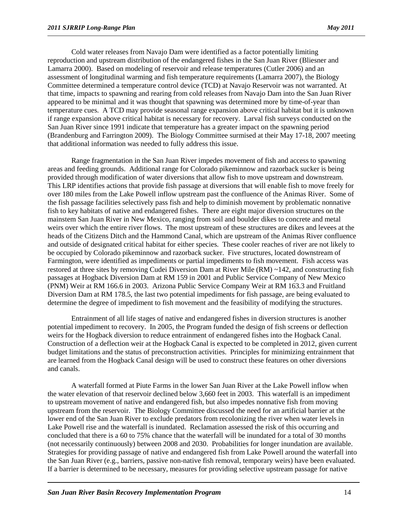Cold water releases from Navajo Dam were identified as a factor potentially limiting reproduction and upstream distribution of the endangered fishes in the San Juan River (Bliesner and Lamarra 2000). Based on modeling of reservoir and release temperatures (Cutler 2006) and an assessment of longitudinal warming and fish temperature requirements (Lamarra 2007), the Biology Committee determined a temperature control device (TCD) at Navajo Reservoir was not warranted. At that time, impacts to spawning and rearing from cold releases from Navajo Dam into the San Juan River appeared to be minimal and it was thought that spawning was determined more by time-of-year than temperature cues. A TCD may provide seasonal range expansion above critical habitat but it is unknown if range expansion above critical habitat is necessary for recovery. Larval fish surveys conducted on the San Juan River since 1991 indicate that temperature has a greater impact on the spawning period (Brandenburg and Farrington 2009). The Biology Committee surmised at their May 17-18, 2007 meeting that additional information was needed to fully address this issue.

Range fragmentation in the San Juan River impedes movement of fish and access to spawning areas and feeding grounds. Additional range for Colorado pikeminnow and razorback sucker is being provided through modification of water diversions that allow fish to move upstream and downstream. This LRP identifies actions that provide fish passage at diversions that will enable fish to move freely for over 180 miles from the Lake Powell inflow upstream past the confluence of the Animas River. Some of the fish passage facilities selectively pass fish and help to diminish movement by problematic nonnative fish to key habitats of native and endangered fishes. There are eight major diversion structures on the mainstem San Juan River in New Mexico, ranging from soil and boulder dikes to concrete and metal weirs over which the entire river flows. The most upstream of these structures are dikes and levees at the heads of the Citizens Ditch and the Hammond Canal, which are upstream of the Animas River confluence and outside of designated critical habitat for either species. These cooler reaches of river are not likely to be occupied by Colorado pikeminnow and razorback sucker. Five structures, located downstream of Farmington, were identified as impediments or partial impediments to fish movement. Fish access was restored at three sites by removing Cudei Diversion Dam at River Mile  $(RM) \sim 142$ , and constructing fish passages at Hogback Diversion Dam at RM 159 in 2001 and Public Service Company of New Mexico (PNM) Weir at RM 166.6 in 2003. Arizona Public Service Company Weir at RM 163.3 and Fruitland Diversion Dam at RM 178.5, the last two potential impediments for fish passage, are being evaluated to determine the degree of impediment to fish movement and the feasibility of modifying the structures.

Entrainment of all life stages of native and endangered fishes in diversion structures is another potential impediment to recovery. In 2005, the Program funded the design of fish screens or deflection weirs for the Hogback diversion to reduce entrainment of endangered fishes into the Hogback Canal. Construction of a deflection weir at the Hogback Canal is expected to be completed in 2012, given current budget limitations and the status of preconstruction activities. Principles for minimizing entrainment that are learned from the Hogback Canal design will be used to construct these features on other diversions and canals.

A waterfall formed at Piute Farms in the lower San Juan River at the Lake Powell inflow when the water elevation of that reservoir declined below 3,660 feet in 2003. This waterfall is an impediment to upstream movement of native and endangered fish, but also impedes nonnative fish from moving upstream from the reservoir. The Biology Committee discussed the need for an artificial barrier at the lower end of the San Juan River to exclude predators from recolonizing the river when water levels in Lake Powell rise and the waterfall is inundated. Reclamation assessed the risk of this occurring and concluded that there is a 60 to 75% chance that the waterfall will be inundated for a total of 30 months (not necessarily continuously) between 2008 and 2030. Probabilities for longer inundation are available. Strategies for providing passage of native and endangered fish from Lake Powell around the waterfall into the San Juan River (e.g., barriers, passive non-native fish removal, temporary weirs) have been evaluated. If a barrier is determined to be necessary, measures for providing selective upstream passage for native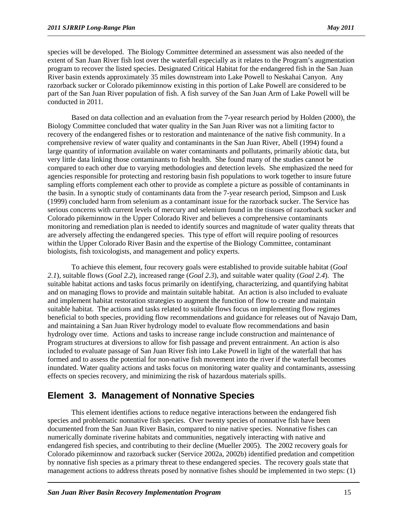species will be developed. The Biology Committee determined an assessment was also needed of the extent of San Juan River fish lost over the waterfall especially as it relates to the Program's augmentation program to recover the listed species. Designated Critical Habitat for the endangered fish in the San Juan River basin extends approximately 35 miles downstream into Lake Powell to Neskahai Canyon. Any razorback sucker or Colorado pikeminnow existing in this portion of Lake Powell are considered to be part of the San Juan River population of fish. A fish survey of the San Juan Arm of Lake Powell will be conducted in 2011.

Based on data collection and an evaluation from the 7-year research period by Holden (2000), the Biology Committee concluded that water quality in the San Juan River was not a limiting factor to recovery of the endangered fishes or to restoration and maintenance of the native fish community. In a comprehensive review of water quality and contaminants in the San Juan River, Abell (1994) found a large quantity of information available on water contaminants and pollutants, primarily abiotic data, but very little data linking those contaminants to fish health. She found many of the studies cannot be compared to each other due to varying methodologies and detection levels. She emphasized the need for agencies responsible for protecting and restoring basin fish populations to work together to insure future sampling efforts complement each other to provide as complete a picture as possible of contaminants in the basin. In a synoptic study of contaminants data from the 7-year research period, Simpson and Lusk (1999) concluded harm from selenium as a contaminant issue for the razorback sucker. The Service has serious concerns with current levels of mercury and selenium found in the tissues of razorback sucker and Colorado pikeminnow in the Upper Colorado River and believes a comprehensive contaminants monitoring and remediation plan is needed to identify sources and magnitude of water quality threats that are adversely affecting the endangered species. This type of effort will require pooling of resources within the Upper Colorado River Basin and the expertise of the Biology Committee, contaminant biologists, fish toxicologists, and management and policy experts.

To achieve this element, four recovery goals were established to provide suitable habitat (*Goal 2.1*), suitable flows (*Goal 2.2*), increased range (*Goal 2.3*), and suitable water quality (*Goal 2.4*). The suitable habitat actions and tasks focus primarily on identifying, characterizing, and quantifying habitat and on managing flows to provide and maintain suitable habitat. An action is also included to evaluate and implement habitat restoration strategies to augment the function of flow to create and maintain suitable habitat. The actions and tasks related to suitable flows focus on implementing flow regimes beneficial to both species, providing flow recommendations and guidance for releases out of Navajo Dam, and maintaining a San Juan River hydrology model to evaluate flow recommendations and basin hydrology over time. Actions and tasks to increase range include construction and maintenance of Program structures at diversions to allow for fish passage and prevent entrainment. An action is also included to evaluate passage of San Juan River fish into Lake Powell in light of the waterfall that has formed and to assess the potential for non-native fish movement into the river if the waterfall becomes inundated. Water quality actions and tasks focus on monitoring water quality and contaminants, assessing effects on species recovery, and minimizing the risk of hazardous materials spills.

### **Element 3. Management of Nonnative Species**

This element identifies actions to reduce negative interactions between the endangered fish species and problematic nonnative fish species. Over twenty species of nonnative fish have been documented from the San Juan River Basin, compared to nine native species. Nonnative fishes can numerically dominate riverine habitats and communities, negatively interacting with native and endangered fish species, and contributing to their decline (Mueller 2005). The 2002 recovery goals for Colorado pikeminnow and razorback sucker (Service 2002a, 2002b) identified predation and competition by nonnative fish species as a primary threat to these endangered species. The recovery goals state that management actions to address threats posed by nonnative fishes should be implemented in two steps: (1)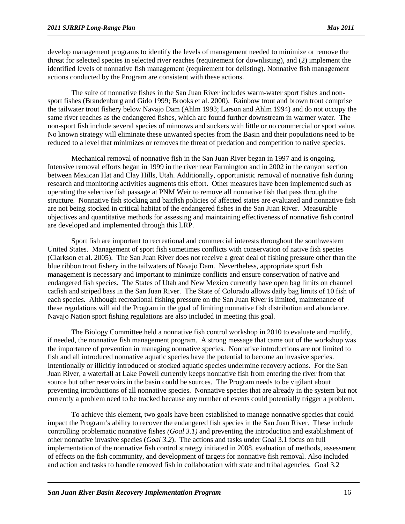develop management programs to identify the levels of management needed to minimize or remove the threat for selected species in selected river reaches (requirement for downlisting), and (2) implement the identified levels of nonnative fish management (requirement for delisting). Nonnative fish management actions conducted by the Program are consistent with these actions.

The suite of nonnative fishes in the San Juan River includes warm-water sport fishes and nonsport fishes (Brandenburg and Gido 1999; Brooks et al. 2000). Rainbow trout and brown trout comprise the tailwater trout fishery below Navajo Dam (Ahlm 1993; Larson and Ahlm 1994) and do not occupy the same river reaches as the endangered fishes, which are found further downstream in warmer water. The non-sport fish include several species of minnows and suckers with little or no commercial or sport value. No known strategy will eliminate these unwanted species from the Basin and their populations need to be reduced to a level that minimizes or removes the threat of predation and competition to native species.

Mechanical removal of nonnative fish in the San Juan River began in 1997 and is ongoing. Intensive removal efforts began in 1999 in the river near Farmington and in 2002 in the canyon section between Mexican Hat and Clay Hills, Utah. Additionally, opportunistic removal of nonnative fish during research and monitoring activities augments this effort. Other measures have been implemented such as operating the selective fish passage at PNM Weir to remove all nonnative fish that pass through the structure. Nonnative fish stocking and baitfish policies of affected states are evaluated and nonnative fish are not being stocked in critical habitat of the endangered fishes in the San Juan River. Measurable objectives and quantitative methods for assessing and maintaining effectiveness of nonnative fish control are developed and implemented through this LRP.

Sport fish are important to recreational and commercial interests throughout the southwestern United States. Management of sport fish sometimes conflicts with conservation of native fish species (Clarkson et al. 2005). The San Juan River does not receive a great deal of fishing pressure other than the blue ribbon trout fishery in the tailwaters of Navajo Dam. Nevertheless, appropriate sport fish management is necessary and important to minimize conflicts and ensure conservation of native and endangered fish species. The States of Utah and New Mexico currently have open bag limits on channel catfish and striped bass in the San Juan River. The State of Colorado allows daily bag limits of 10 fish of each species. Although recreational fishing pressure on the San Juan River is limited, maintenance of these regulations will aid the Program in the goal of limiting nonnative fish distribution and abundance. Navajo Nation sport fishing regulations are also included in meeting this goal.

The Biology Committee held a nonnative fish control workshop in 2010 to evaluate and modify, if needed, the nonnative fish management program. A strong message that came out of the workshop was the importance of prevention in managing nonnative species. Nonnative introductions are not limited to fish and all introduced nonnative aquatic species have the potential to become an invasive species. Intentionally or illicitly introduced or stocked aquatic species undermine recovery actions. For the San Juan River, a waterfall at Lake Powell currently keeps nonnative fish from entering the river from that source but other reservoirs in the basin could be sources. The Program needs to be vigilant about preventing introductions of all nonnative species. Nonnative species that are already in the system but not currently a problem need to be tracked because any number of events could potentially trigger a problem.

To achieve this element, two goals have been established to manage nonnative species that could impact the Program's ability to recover the endangered fish species in the San Juan River. These include controlling problematic nonnative fishes *(Goal 3.1)* and preventing the introduction and establishment of other nonnative invasive species (*Goal 3.2*). The actions and tasks under Goal 3.1 focus on full implementation of the nonnative fish control strategy initiated in 2008, evaluation of methods, assessment of effects on the fish community, and development of targets for nonnative fish removal. Also included and action and tasks to handle removed fish in collaboration with state and tribal agencies. Goal 3.2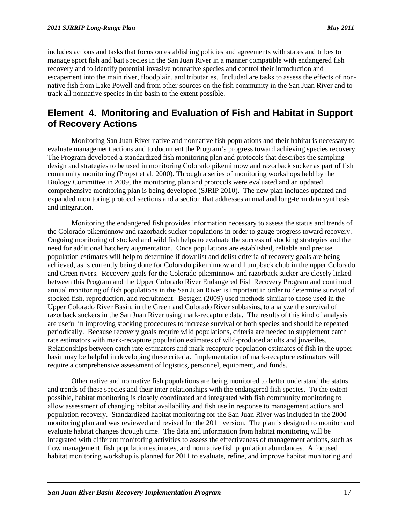includes actions and tasks that focus on establishing policies and agreements with states and tribes to manage sport fish and bait species in the San Juan River in a manner compatible with endangered fish recovery and to identify potential invasive nonnative species and control their introduction and escapement into the main river, floodplain, and tributaries. Included are tasks to assess the effects of nonnative fish from Lake Powell and from other sources on the fish community in the San Juan River and to track all nonnative species in the basin to the extent possible.

### **Element 4. Monitoring and Evaluation of Fish and Habitat in Support of Recovery Actions**

Monitoring San Juan River native and nonnative fish populations and their habitat is necessary to evaluate management actions and to document the Program's progress toward achieving species recovery. The Program developed a standardized fish monitoring plan and protocols that describes the sampling design and strategies to be used in monitoring Colorado pikeminnow and razorback sucker as part of fish community monitoring (Propst et al. 2000). Through a series of monitoring workshops held by the Biology Committee in 2009, the monitoring plan and protocols were evaluated and an updated comprehensive monitoring plan is being developed (SJRIP 2010). The new plan includes updated and expanded monitoring protocol sections and a section that addresses annual and long-term data synthesis and integration.

Monitoring the endangered fish provides information necessary to assess the status and trends of the Colorado pikeminnow and razorback sucker populations in order to gauge progress toward recovery. Ongoing monitoring of stocked and wild fish helps to evaluate the success of stocking strategies and the need for additional hatchery augmentation. Once populations are established, reliable and precise population estimates will help to determine if downlist and delist criteria of recovery goals are being achieved, as is currently being done for Colorado pikeminnow and humpback chub in the upper Colorado and Green rivers. Recovery goals for the Colorado pikeminnow and razorback sucker are closely linked between this Program and the Upper Colorado River Endangered Fish Recovery Program and continued annual monitoring of fish populations in the San Juan River is important in order to determine survival of stocked fish, reproduction, and recruitment. Bestgen (2009) used methods similar to those used in the Upper Colorado River Basin, in the Green and Colorado River subbasins, to analyze the survival of razorback suckers in the San Juan River using mark-recapture data. The results of this kind of analysis are useful in improving stocking procedures to increase survival of both species and should be repeated periodically. Because recovery goals require wild populations, criteria are needed to supplement catch rate estimators with mark-recapture population estimates of wild-produced adults and juveniles. Relationships between catch rate estimators and mark-recapture population estimates of fish in the upper basin may be helpful in developing these criteria. Implementation of mark-recapture estimators will require a comprehensive assessment of logistics, personnel, equipment, and funds.

Other native and nonnative fish populations are being monitored to better understand the status and trends of these species and their inter-relationships with the endangered fish species. To the extent possible, habitat monitoring is closely coordinated and integrated with fish community monitoring to allow assessment of changing habitat availability and fish use in response to management actions and population recovery. Standardized habitat monitoring for the San Juan River was included in the 2000 monitoring plan and was reviewed and revised for the 2011 version. The plan is designed to monitor and evaluate habitat changes through time. The data and information from habitat monitoring will be integrated with different monitoring activities to assess the effectiveness of management actions, such as flow management, fish population estimates, and nonnative fish population abundances. A focused habitat monitoring workshop is planned for 2011 to evaluate, refine, and improve habitat monitoring and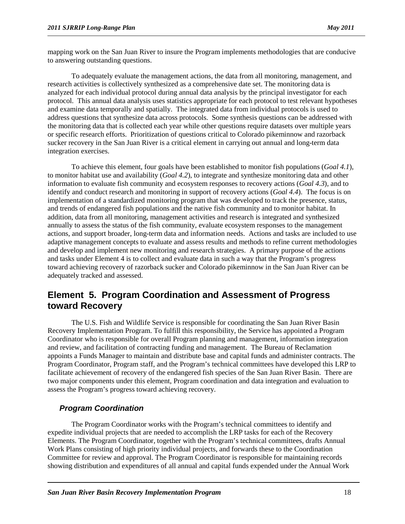mapping work on the San Juan River to insure the Program implements methodologies that are conducive to answering outstanding questions.

To adequately evaluate the management actions, the data from all monitoring, management, and research activities is collectively synthesized as a comprehensive date set. The monitoring data is analyzed for each individual protocol during annual data analysis by the principal investigator for each protocol. This annual data analysis uses statistics appropriate for each protocol to test relevant hypotheses and examine data temporally and spatially. The integrated data from individual protocols is used to address questions that synthesize data across protocols. Some synthesis questions can be addressed with the monitoring data that is collected each year while other questions require datasets over multiple years or specific research efforts. Prioritization of questions critical to Colorado pikeminnow and razorback sucker recovery in the San Juan River is a critical element in carrying out annual and long-term data integration exercises.

To achieve this element, four goals have been established to monitor fish populations (*Goal 4.1*), to monitor habitat use and availability (*Goal 4.2*), to integrate and synthesize monitoring data and other information to evaluate fish community and ecosystem responses to recovery actions (*Goal 4.3*), and to identify and conduct research and monitoring in support of recovery actions (*Goal 4.4*). The focus is on implementation of a standardized monitoring program that was developed to track the presence, status, and trends of endangered fish populations and the native fish community and to monitor habitat. In addition, data from all monitoring, management activities and research is integrated and synthesized annually to assess the status of the fish community, evaluate ecosystem responses to the management actions, and support broader, long-term data and information needs. Actions and tasks are included to use adaptive management concepts to evaluate and assess results and methods to refine current methodologies and develop and implement new monitoring and research strategies. A primary purpose of the actions and tasks under Element 4 is to collect and evaluate data in such a way that the Program's progress toward achieving recovery of razorback sucker and Colorado pikeminnow in the San Juan River can be adequately tracked and assessed.

### **Element 5. Program Coordination and Assessment of Progress toward Recovery**

The U.S. Fish and Wildlife Service is responsible for coordinating the San Juan River Basin Recovery Implementation Program. To fulfill this responsibility, the Service has appointed a Program Coordinator who is responsible for overall Program planning and management, information integration and review, and facilitation of contracting funding and management. The Bureau of Reclamation appoints a Funds Manager to maintain and distribute base and capital funds and administer contracts. The Program Coordinator, Program staff, and the Program's technical committees have developed this LRP to facilitate achievement of recovery of the endangered fish species of the San Juan River Basin. There are two major components under this element, Program coordination and data integration and evaluation to assess the Program's progress toward achieving recovery.

#### *Program Coordination*

The Program Coordinator works with the Program's technical committees to identify and expedite individual projects that are needed to accomplish the LRP tasks for each of the Recovery Elements. The Program Coordinator, together with the Program's technical committees, drafts Annual Work Plans consisting of high priority individual projects, and forwards these to the Coordination Committee for review and approval. The Program Coordinator is responsible for maintaining records showing distribution and expenditures of all annual and capital funds expended under the Annual Work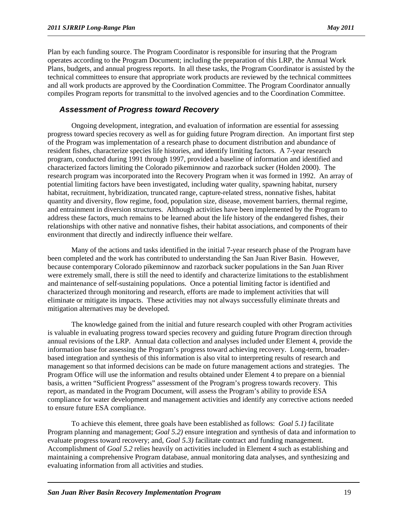Plan by each funding source. The Program Coordinator is responsible for insuring that the Program operates according to the Program Document; including the preparation of this LRP, the Annual Work Plans, budgets, and annual progress reports. In all these tasks, the Program Coordinator is assisted by the technical committees to ensure that appropriate work products are reviewed by the technical committees and all work products are approved by the Coordination Committee. The Program Coordinator annually compiles Program reports for transmittal to the involved agencies and to the Coordination Committee.

#### *Assessment of Progress toward Recovery*

Ongoing development, integration, and evaluation of information are essential for assessing progress toward species recovery as well as for guiding future Program direction. An important first step of the Program was implementation of a research phase to document distribution and abundance of resident fishes, characterize species life histories, and identify limiting factors. A 7-year research program, conducted during 1991 through 1997, provided a baseline of information and identified and characterized factors limiting the Colorado pikeminnow and razorback sucker (Holden 2000). The research program was incorporated into the Recovery Program when it was formed in 1992. An array of potential limiting factors have been investigated, including water quality, spawning habitat, nursery habitat, recruitment, hybridization, truncated range, capture-related stress, nonnative fishes, habitat quantity and diversity, flow regime, food, population size, disease, movement barriers, thermal regime, and entrainment in diversion structures. Although activities have been implemented by the Program to address these factors, much remains to be learned about the life history of the endangered fishes, their relationships with other native and nonnative fishes, their habitat associations, and components of their environment that directly and indirectly influence their welfare.

Many of the actions and tasks identified in the initial 7-year research phase of the Program have been completed and the work has contributed to understanding the San Juan River Basin. However, because contemporary Colorado pikeminnow and razorback sucker populations in the San Juan River were extremely small, there is still the need to identify and characterize limitations to the establishment and maintenance of self-sustaining populations. Once a potential limiting factor is identified and characterized through monitoring and research, efforts are made to implement activities that will eliminate or mitigate its impacts. These activities may not always successfully eliminate threats and mitigation alternatives may be developed.

The knowledge gained from the initial and future research coupled with other Program activities is valuable in evaluating progress toward species recovery and guiding future Program direction through annual revisions of the LRP. Annual data collection and analyses included under Element 4, provide the information base for assessing the Program's progress toward achieving recovery. Long-term, broaderbased integration and synthesis of this information is also vital to interpreting results of research and management so that informed decisions can be made on future management actions and strategies. The Program Office will use the information and results obtained under Element 4 to prepare on a biennial basis, a written "Sufficient Progress" assessment of the Program's progress towards recovery. This report, as mandated in the Program Document, will assess the Program's ability to provide ESA compliance for water development and management activities and identify any corrective actions needed to ensure future ESA compliance.

To achieve this element, three goals have been established as follows: *Goal 5.1)* facilitate Program planning and management; *Goal 5.2)* ensure integration and synthesis of data and information to evaluate progress toward recovery; and, *Goal 5.3)* facilitate contract and funding management. Accomplishment of *Goal 5.2* relies heavily on activities included in Element 4 such as establishing and maintaining a comprehensive Program database, annual monitoring data analyses, and synthesizing and evaluating information from all activities and studies.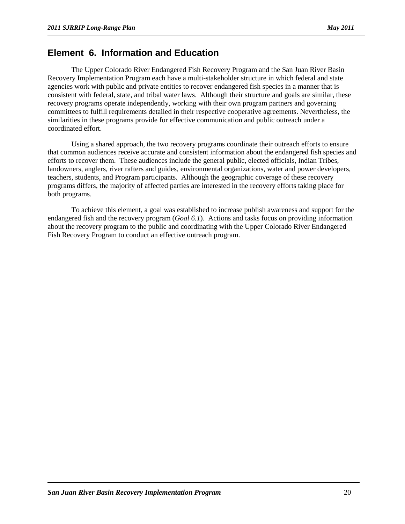### **Element 6. Information and Education**

The Upper Colorado River Endangered Fish Recovery Program and the San Juan River Basin Recovery Implementation Program each have a multi-stakeholder structure in which federal and state agencies work with public and private entities to recover endangered fish species in a manner that is consistent with federal, state, and tribal water laws. Although their structure and goals are similar, these recovery programs operate independently, working with their own program partners and governing committees to fulfill requirements detailed in their respective cooperative agreements. Nevertheless, the similarities in these programs provide for effective communication and public outreach under a coordinated effort.

Using a shared approach, the two recovery programs coordinate their outreach efforts to ensure that common audiences receive accurate and consistent information about the endangered fish species and efforts to recover them. These audiences include the general public, elected officials, Indian Tribes, landowners, anglers, river rafters and guides, environmental organizations, water and power developers, teachers, students, and Program participants. Although the geographic coverage of these recovery programs differs, the majority of affected parties are interested in the recovery efforts taking place for both programs.

To achieve this element, a goal was established to increase publish awareness and support for the endangered fish and the recovery program (*Goal 6.1*). Actions and tasks focus on providing information about the recovery program to the public and coordinating with the Upper Colorado River Endangered Fish Recovery Program to conduct an effective outreach program.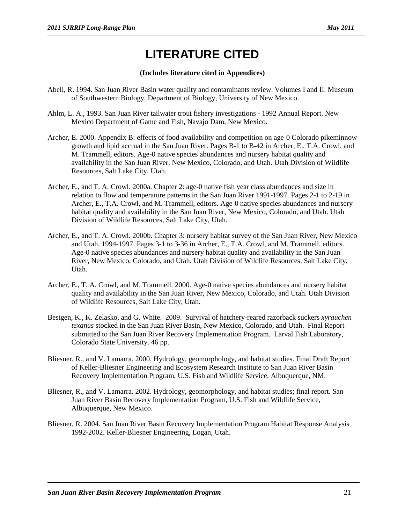# **LITERATURE CITED**

#### **(Includes literature cited in Appendices)**

- Abell, R. 1994. San Juan River Basin water quality and contaminants review. Volumes I and II. Museum of Southwestern Biology, Department of Biology, University of New Mexico.
- Ahlm, L. A., 1993. San Juan River tailwater trout fishery investigations 1992 Annual Report. New Mexico Department of Game and Fish, Navajo Dam, New Mexico.
- Archer, E. 2000. Appendix B: effects of food availability and competition on age-0 Colorado pikeminnow growth and lipid accrual in the San Juan River. Pages B-1 to B-42 in Archer, E., T.A. Crowl, and M. Trammell, editors. Age-0 native species abundances and nursery habitat quality and availability in the San Juan River, New Mexico, Colorado, and Utah. Utah Division of Wildlife Resources, Salt Lake City, Utah.
- Archer, E., and T. A. Crowl. 2000a. Chapter 2: age-0 native fish year class abundances and size in relation to flow and temperature patterns in the San Juan River 1991-1997. Pages 2-1 to 2-19 in Archer, E., T.A. Crowl, and M. Trammell, editors. Age-0 native species abundances and nursery habitat quality and availability in the San Juan River, New Mexico, Colorado, and Utah. Utah Division of Wildlife Resources, Salt Lake City, Utah.
- Archer, E., and T. A. Crowl. 2000b. Chapter 3: nursery habitat survey of the San Juan River, New Mexico and Utah, 1994-1997. Pages 3-1 to 3-36 in Archer, E., T.A. Crowl, and M. Trammell, editors. Age-0 native species abundances and nursery habitat quality and availability in the San Juan River, New Mexico, Colorado, and Utah. Utah Division of Wildlife Resources, Salt Lake City, Utah.
- Archer, E., T. A. Crowl, and M. Trammell. 2000. Age-0 native species abundances and nursery habitat quality and availability in the San Juan River, New Mexico, Colorado, and Utah. Utah Division of Wildlife Resources, Salt Lake City, Utah.
- Bestgen, K., K. Zelasko, and G. White. 2009. Survival of hatchery-reared razorback suckers *xyrauchen texanus* stocked in the San Juan River Basin, New Mexico, Colorado, and Utah. Final Report submitted to the San Juan River Recovery Implementation Program. Larval Fish Laboratory, Colorado State University. 46 pp.
- Bliesner, R., and V. Lamarra. 2000. Hydrology, geomorphology, and habitat studies. Final Draft Report of Keller-Bliesner Engineering and Ecosystem Research Institute to San Juan River Basin Recovery Implementation Program, U.S. Fish and Wildlife Service, Albuquerque, NM.
- Bliesner, R., and V. Lamarra. 2002. Hydrology, geomorphology, and habitat studies; final report. San Juan River Basin Recovery Implementation Program, U.S. Fish and Wildlife Service, Albuquerque, New Mexico.
- Bliesner, R. 2004. San Juan River Basin Recovery Implementation Program Habitat Response Analysis 1992-2002. Keller-Bliesner Engineering, Logan, Utah.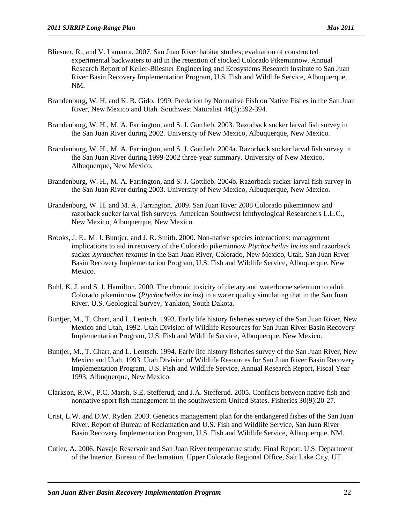- Bliesner, R., and V. Lamarra. 2007. San Juan River habitat studies; evaluation of constructed experimental backwaters to aid in the retention of stocked Colorado Pikeminnow. Annual Research Report of Keller-Bliesner Engineering and Ecosystems Research Institute to San Juan River Basin Recovery Implementation Program, U.S. Fish and Wildlife Service, Albuquerque, NM.
- Brandenburg, W. H. and K. B. Gido. 1999. Predation by Nonnative Fish on Native Fishes in the San Juan River, New Mexico and Utah. Southwest Naturalist 44(3):392-394.
- Brandenburg, W. H., M. A. Farrington, and S. J. Gottlieb. 2003. Razorback sucker larval fish survey in the San Juan River during 2002. University of New Mexico, Albuquerque, New Mexico.
- Brandenburg, W. H., M. A. Farrington, and S. J. Gottlieb. 2004a. Razorback sucker larval fish survey in the San Juan River during 1999-2002 three-year summary. University of New Mexico, Albuquerque, New Mexico.
- Brandenburg, W. H., M. A. Farrington, and S. J. Gottlieb. 2004b. Razorback sucker larval fish survey in the San Juan River during 2003. University of New Mexico, Albuquerque, New Mexico.
- Brandenburg, W. H. and M. A. Farrington. 2009. San Juan River 2008 Colorado pikeminnow and razorback sucker larval fish surveys. American Southwest Ichthyological Researchers L.L.C., New Mexico, Albuquerque, New Mexico.
- Brooks, J. E., M. J. Buntjer, and J. R. Smith. 2000. Non-native species interactions: management implications to aid in recovery of the Colorado pikeminnow *Ptychocheilus lucius* and razorback sucker *Xyrauchen texanus* in the San Juan River, Colorado, New Mexico, Utah. San Juan River Basin Recovery Implementation Program, U.S. Fish and Wildlife Service, Albuquerque, New Mexico.
- Buhl, K. J. and S. J. Hamilton. 2000. The chronic toxicity of dietary and waterborne selenium to adult Colorado pikeminnow (*Ptychocheilus lucius*) in a water quality simulating that in the San Juan River. U.S. Geological Survey, Yankton, South Dakota.
- Buntjer, M., T. Chart, and L. Lentsch. 1993. Early life history fisheries survey of the San Juan River, New Mexico and Utah, 1992. Utah Division of Wildlife Resources for San Juan River Basin Recovery Implementation Program, U.S. Fish and Wildlife Service, Albuquerque, New Mexico.
- Buntjer, M., T. Chart, and L. Lentsch. 1994. Early life history fisheries survey of the San Juan River, New Mexico and Utah, 1993. Utah Division of Wildlife Resources for San Juan River Basin Recovery Implementation Program, U.S. Fish and Wildlife Service, Annual Research Report, Fiscal Year 1993, Albuquerque, New Mexico.
- Clarkson, R.W., P.C. Marsh, S.E. Stefferud, and J.A. Stefferud. 2005. Conflicts between native fish and nonnative sport fish management in the southwestern United States. Fisheries 30(9):20-27.
- Crist, L.W. and D.W. Ryden. 2003. Genetics management plan for the endangered fishes of the San Juan River. Report of Bureau of Reclamation and U.S. Fish and Wildlife Service, San Juan River Basin Recovery Implementation Program, U.S. Fish and Wildlife Service, Albuquerque, NM.
- Cutler, A. 2006. Navajo Reservoir and San Juan River temperature study. Final Report. U.S. Department of the Interior, Bureau of Reclamation, Upper Colorado Regional Office, Salt Lake City, UT.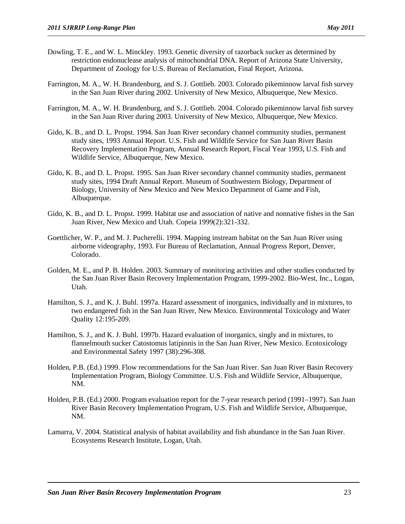- Dowling, T. E., and W. L. Minckley. 1993. Genetic diversity of razorback sucker as determined by restriction endonuclease analysis of mitochondrial DNA. Report of Arizona State University, Department of Zoology for U.S. Bureau of Reclamation, Final Report, Arizona.
- Farrington, M. A., W. H. Brandenburg, and S. J. Gottlieb. 2003. Colorado pikeminnow larval fish survey in the San Juan River during 2002. University of New Mexico, Albuquerque, New Mexico.
- Farrington, M. A., W. H. Brandenburg, and S. J. Gottlieb. 2004. Colorado pikeminnow larval fish survey in the San Juan River during 2003. University of New Mexico, Albuquerque, New Mexico.
- Gido, K. B., and D. L. Propst. 1994. San Juan River secondary channel community studies, permanent study sites, 1993 Annual Report. U.S. Fish and Wildlife Service for San Juan River Basin Recovery Implementation Program, Annual Research Report, Fiscal Year 1993, U.S. Fish and Wildlife Service, Albuquerque, New Mexico.
- Gido, K. B., and D. L. Propst. 1995. San Juan River secondary channel community studies, permanent study sites, 1994 Draft Annual Report. Museum of Southwestern Biology, Department of Biology, University of New Mexico and New Mexico Department of Game and Fish, Albuquerque.
- Gido, K. B., and D. L. Propst. 1999. Habitat use and association of native and nonnative fishes in the San Juan River, New Mexico and Utah. Copeia 1999(2):321-332.
- Goettlicher, W. P., and M. J. Pucherelli. 1994. Mapping instream habitat on the San Juan River using airborne videography, 1993. For Bureau of Reclamation, Annual Progress Report, Denver, Colorado.
- Golden, M. E., and P. B. Holden. 2003. Summary of monitoring activities and other studies conducted by the San Juan River Basin Recovery Implementation Program, 1999-2002. Bio-West, Inc., Logan, Utah.
- Hamilton, S. J., and K. J. Buhl. 1997a. Hazard assessment of inorganics, individually and in mixtures, to two endangered fish in the San Juan River, New Mexico. Environmental Toxicology and Water Quality 12:195-209.
- Hamilton, S. J., and K. J. Buhl. 1997b. Hazard evaluation of inorganics, singly and in mixtures, to flannelmouth sucker Catostomus latipinnis in the San Juan River, New Mexico. Ecotoxicology and Environmental Safety 1997 (38):296-308.
- Holden, P.B. (Ed.) 1999. Flow recommendations for the San Juan River. San Juan River Basin Recovery Implementation Program, Biology Committee. U.S. Fish and Wildlife Service, Albuquerque, NM.
- Holden, P.B. (Ed.) 2000. Program evaluation report for the 7-year research period (1991–1997). San Juan River Basin Recovery Implementation Program, U.S. Fish and Wildlife Service, Albuquerque, NM.
- Lamarra, V. 2004. Statistical analysis of habitat availability and fish abundance in the San Juan River. Ecosystems Research Institute, Logan, Utah.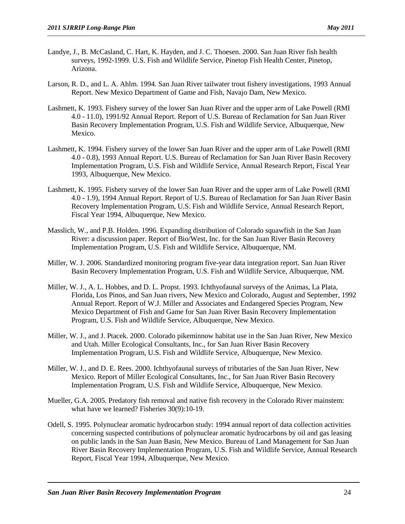- Landye, J., B. McCasland, C. Hart, K. Hayden, and J. C. Thoesen. 2000. San Juan River fish health surveys, 1992-1999. U.S. Fish and Wildlife Service, Pinetop Fish Health Center, Pinetop, Arizona.
- Larson, R. D., and L. A. Ahlm. 1994. San Juan River tailwater trout fishery investigations, 1993 Annual Report. New Mexico Department of Game and Fish, Navajo Dam, New Mexico.
- Lashmett, K. 1993. Fishery survey of the lower San Juan River and the upper arm of Lake Powell (RMI 4.0 - 11.0), 1991/92 Annual Report. Report of U.S. Bureau of Reclamation for San Juan River Basin Recovery Implementation Program, U.S. Fish and Wildlife Service, Albuquerque, New Mexico.
- Lashmett, K. 1994. Fishery survey of the lower San Juan River and the upper arm of Lake Powell (RMI 4.0 - 0.8), 1993 Annual Report. U.S. Bureau of Reclamation for San Juan River Basin Recovery Implementation Program, U.S. Fish and Wildlife Service, Annual Research Report, Fiscal Year 1993, Albuquerque, New Mexico.
- Lashmett, K. 1995. Fishery survey of the lower San Juan River and the upper arm of Lake Powell (RMI 4.0 - 1.9), 1994 Annual Report. Report of U.S. Bureau of Reclamation for San Juan River Basin Recovery Implementation Program, U.S. Fish and Wildlife Service, Annual Research Report, Fiscal Year 1994, Albuquerque, New Mexico.
- Masslich, W., and P.B. Holden. 1996. Expanding distribution of Colorado squawfish in the San Juan River: a discussion paper. Report of Bio/West, Inc. for the San Juan River Basin Recovery Implementation Program, U.S. Fish and Wildlife Service, Albuquerque, NM.
- Miller, W. J. 2006. Standardized monitoring program five-year data integration report. San Juan River Basin Recovery Implementation Program, U.S. Fish and Wildlife Service, Albuquerque, NM.
- Miller, W. J., A. L. Hobbes, and D. L. Propst. 1993. Ichthyofaunal surveys of the Animas, La Plata, Florida, Los Pinos, and San Juan rivers, New Mexico and Colorado, August and September, 1992 Annual Report. Report of W.J. Miller and Associates and Endangered Species Program, New Mexico Department of Fish and Game for San Juan River Basin Recovery Implementation Program, U.S. Fish and Wildlife Service, Albuquerque, New Mexico.
- Miller, W. J., and J. Ptacek. 2000. Colorado pikeminnow habitat use in the San Juan River, New Mexico and Utah. Miller Ecological Consultants, Inc., for San Juan River Basin Recovery Implementation Program, U.S. Fish and Wildlife Service, Albuquerque, New Mexico.
- Miller, W. J., and D. E. Rees. 2000. Ichthyofaunal surveys of tributaries of the San Juan River, New Mexico. Report of Miller Ecological Consultants, Inc., for San Juan River Basin Recovery Implementation Program, U.S. Fish and Wildlife Service, Albuquerque, New Mexico.
- Mueller, G.A. 2005. Predatory fish removal and native fish recovery in the Colorado River mainstem: what have we learned? Fisheries 30(9):10-19.
- Odell, S. 1995. Polynuclear aromatic hydrocarbon study: 1994 annual report of data collection activities concerning suspected contributions of polynuclear aromatic hydrocarbons by oil and gas leasing on public lands in the San Juan Basin, New Mexico. Bureau of Land Management for San Juan River Basin Recovery Implementation Program, U.S. Fish and Wildlife Service, Annual Research Report, Fiscal Year 1994, Albuquerque, New Mexico.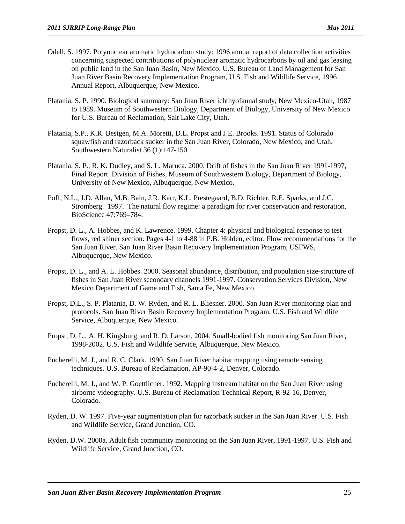- Odell, S. 1997. Polynuclear aromatic hydrocarbon study: 1996 annual report of data collection activities concerning suspected contributions of polynuclear aromatic hydrocarbons by oil and gas leasing on public land in the San Juan Basin, New Mexico. U.S. Bureau of Land Management for San Juan River Basin Recovery Implementation Program, U.S. Fish and Wildlife Service, 1996 Annual Report, Albuquerque, New Mexico.
- Platania, S. P. 1990. Biological summary: San Juan River ichthyofaunal study, New Mexico-Utah, 1987 to 1989. Museum of Southwestern Biology, Department of Biology, University of New Mexico for U.S. Bureau of Reclamation, Salt Lake City, Utah.
- Platania, S.P., K.R. Bestgen, M.A. Moretti, D.L. Propst and J.E. Brooks. 1991. Status of Colorado squawfish and razorback sucker in the San Juan River, Colorado, New Mexico, and Utah. Southwestern Naturalist 36 (1):147-150.
- Platania, S. P., R. K. Dudley, and S. L. Maruca. 2000. Drift of fishes in the San Juan River 1991-1997, Final Report. Division of Fishes, Museum of Southwestern Biology, Department of Biology, University of New Mexico, Albuquerque, New Mexico.
- Poff, N.L., J.D. Allan, M.B. Bain, J.R. Karr, K.L. Prestegaard, B.D. Richter, R.E. Sparks, and J.C. Stromberg. 1997. The natural flow regime: a paradigm for river conservation and restoration. BioScience 47:769–784.
- Propst, D. L., A. Hobbes, and K. Lawrence. 1999. Chapter 4: physical and biological response to test flows, red shiner section. Pages 4-1 to 4-88 in P.B. Holden, editor. Flow recommendations for the San Juan River. San Juan River Basin Recovery Implementation Program, USFWS, Albuquerque, New Mexico.
- Propst, D. L., and A. L. Hobbes. 2000. Seasonal abundance, distribution, and population size-structure of fishes in San Juan River secondary channels 1991-1997. Conservation Services Division, New Mexico Department of Game and Fish, Santa Fe, New Mexico.
- Propst, D.L., S. P. Platania, D. W. Ryden, and R. L. Bliesner. 2000. San Juan River monitoring plan and protocols. San Juan River Basin Recovery Implementation Program, U.S. Fish and Wildlife Service, Albuquerque, New Mexico.
- Propst, D. L., A. H. Kingsburg, and R. D. Larson. 2004. Small-bodied fish monitoring San Juan River, 1998-2002. U.S. Fish and Wildlife Service, Albuquerque, New Mexico.
- Pucherelli, M. J., and R. C. Clark. 1990. San Juan River habitat mapping using remote sensing techniques. U.S. Bureau of Reclamation, AP-90-4-2, Denver, Colorado.
- Pucherelli, M. J., and W. P. Goettlicher. 1992. Mapping instream habitat on the San Juan River using airborne videography. U.S. Bureau of Reclamation Technical Report, R-92-16, Denver, Colorado.
- Ryden, D. W. 1997. Five-year augmentation plan for razorback sucker in the San Juan River. U.S. Fish and Wildlife Service, Grand Junction, CO.
- Ryden, D.W. 2000a. Adult fish community monitoring on the San Juan River, 1991-1997. U.S. Fish and Wildlife Service, Grand Junction, CO.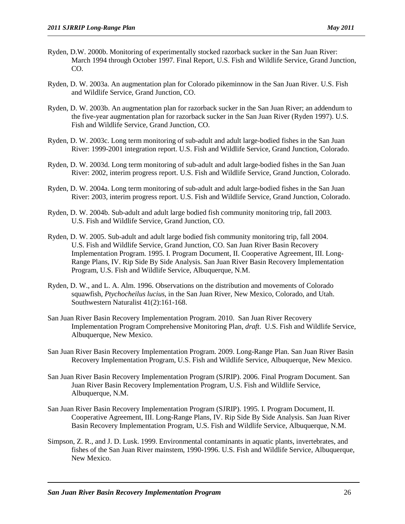- Ryden, D.W. 2000b. Monitoring of experimentally stocked razorback sucker in the San Juan River: March 1994 through October 1997. Final Report, U.S. Fish and Wildlife Service, Grand Junction, CO.
- Ryden, D. W. 2003a. An augmentation plan for Colorado pikeminnow in the San Juan River. U.S. Fish and Wildlife Service, Grand Junction, CO.
- Ryden, D. W. 2003b. An augmentation plan for razorback sucker in the San Juan River; an addendum to the five-year augmentation plan for razorback sucker in the San Juan River (Ryden 1997). U.S. Fish and Wildlife Service, Grand Junction, CO.
- Ryden, D. W. 2003c. Long term monitoring of sub-adult and adult large-bodied fishes in the San Juan River: 1999-2001 integration report. U.S. Fish and Wildlife Service, Grand Junction, Colorado.
- Ryden, D. W. 2003d. Long term monitoring of sub-adult and adult large-bodied fishes in the San Juan River: 2002, interim progress report. U.S. Fish and Wildlife Service, Grand Junction, Colorado.
- Ryden, D. W. 2004a. Long term monitoring of sub-adult and adult large-bodied fishes in the San Juan River: 2003, interim progress report. U.S. Fish and Wildlife Service, Grand Junction, Colorado.
- Ryden, D. W. 2004b. Sub-adult and adult large bodied fish community monitoring trip, fall 2003. U.S. Fish and Wildlife Service, Grand Junction, CO.
- Ryden, D. W. 2005. Sub-adult and adult large bodied fish community monitoring trip, fall 2004. U.S. Fish and Wildlife Service, Grand Junction, CO. San Juan River Basin Recovery Implementation Program. 1995. I. Program Document, II. Cooperative Agreement, III. Long-Range Plans, IV. Rip Side By Side Analysis. San Juan River Basin Recovery Implementation Program, U.S. Fish and Wildlife Service, Albuquerque, N.M.
- Ryden, D. W., and L. A. Alm. 1996. Observations on the distribution and movements of Colorado squawfish, *Ptychocheilus lucius*, in the San Juan River, New Mexico, Colorado, and Utah. Southwestern Naturalist 41(2):161-168.
- San Juan River Basin Recovery Implementation Program. 2010. San Juan River Recovery Implementation Program Comprehensive Monitoring Plan, *draft*. U.S. Fish and Wildlife Service, Albuquerque, New Mexico.
- San Juan River Basin Recovery Implementation Program. 2009. Long-Range Plan. San Juan River Basin Recovery Implementation Program, U.S. Fish and Wildlife Service, Albuquerque, New Mexico.
- San Juan River Basin Recovery Implementation Program (SJRIP). 2006. Final Program Document. San Juan River Basin Recovery Implementation Program, U.S. Fish and Wildlife Service, Albuquerque, N.M.
- San Juan River Basin Recovery Implementation Program (SJRIP). 1995. I. Program Document, II. Cooperative Agreement, III. Long-Range Plans, IV. Rip Side By Side Analysis. San Juan River Basin Recovery Implementation Program, U.S. Fish and Wildlife Service, Albuquerque, N.M.
- Simpson, Z. R., and J. D. Lusk. 1999. Environmental contaminants in aquatic plants, invertebrates, and fishes of the San Juan River mainstem, 1990-1996. U.S. Fish and Wildlife Service, Albuquerque, New Mexico.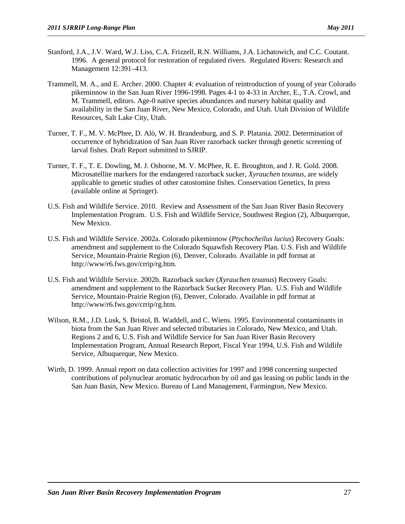- Stanford, J.A., J.V. Ward, W.J. Liss, C.A. Frizzell, R.N. Williams, J.A. Lichatowich, and C.C. Coutant. 1996. A general protocol for restoration of regulated rivers. Regulated Rivers: Research and Management 12:391–413.
- Trammell, M. A., and E. Archer. 2000. Chapter 4: evaluation of reintroduction of young of year Colorado pikeminnow in the San Juan River 1996-1998. Pages 4-1 to 4-33 in Archer, E., T.A. Crowl, and M. Trammell, editors. Age-0 native species abundances and nursery habitat quality and availability in the San Juan River, New Mexico, Colorado, and Utah. Utah Division of Wildlife Resources, Salt Lake City, Utah.
- Turner, T. F., M. V. McPhee, D. Alò, W. H. Brandenburg, and S. P. Platania. 2002. Determination of occurrence of hybridization of San Juan River razorback sucker through genetic screening of larval fishes. Draft Report submitted to SJRIP.
- Turner, T. F., T. E. Dowling, M. J. Osborne, M. V. McPhee, R. E. Broughton, and J. R. Gold. 2008. Microsatellite markers for the endangered razorback sucker, *Xyrauchen texanus*, are widely applicable to genetic studies of other catostomine fishes. Conservation Genetics, In press (available online at Springer).
- U.S. Fish and Wildlife Service. 2010. Review and Assessment of the San Juan River Basin Recovery Implementation Program. U.S. Fish and Wildlife Service, Southwest Region (2), Albuquerque, New Mexico.
- U.S. Fish and Wildlife Service. 2002a. Colorado pikeminnow (*Ptychocheilus lucius*) Recovery Goals: amendment and supplement to the Colorado Squawfish Recovery Plan. U.S. Fish and Wildlife Service, Mountain-Prairie Region (6), Denver, Colorado. Available in pdf format at http://www/r6.fws.gov/crrip/rg.htm.
- U.S. Fish and Wildlife Service. 2002b. Razorback sucker (*Xyrauchen texanus*) Recovery Goals: amendment and supplement to the Razorback Sucker Recovery Plan. U.S. Fish and Wildlife Service, Mountain-Prairie Region (6), Denver, Colorado. Available in pdf format at http://www/r6.fws.gov/crrip/rg.htm.
- Wilson, R.M., J.D. Lusk, S. Bristol, B. Waddell, and C. Wiens. 1995. Environmental contaminants in biota from the San Juan River and selected tributaries in Colorado, New Mexico, and Utah. Regions 2 and 6, U.S. Fish and Wildlife Service for San Juan River Basin Recovery Implementation Program, Annual Research Report, Fiscal Year 1994, U.S. Fish and Wildlife Service, Albuquerque, New Mexico.
- Wirth, D. 1999. Annual report on data collection activities for 1997 and 1998 concerning suspected contributions of polynuclear aromatic hydrocarbon by oil and gas leasing on public lands in the San Juan Basin, New Mexico. Bureau of Land Management, Farmington, New Mexico.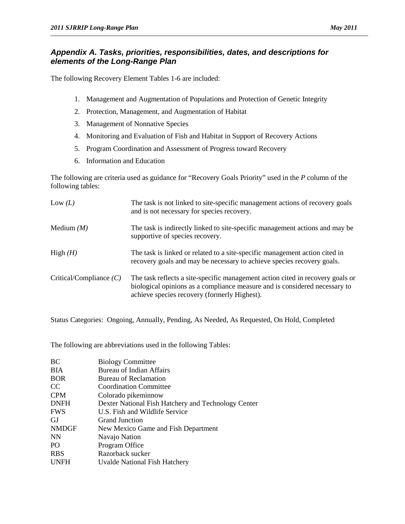#### *Appendix A. Tasks, priorities, responsibilities, dates, and descriptions for elements of the Long-Range Plan*

The following Recovery Element Tables 1-6 are included:

- 1. Management and Augmentation of Populations and Protection of Genetic Integrity
- 2. Protection, Management, and Augmentation of Habitat
- 3. Management of Nonnative Species
- 4. Monitoring and Evaluation of Fish and Habitat in Support of Recovery Actions
- 5. Program Coordination and Assessment of Progress toward Recovery
- 6. Information and Education

The following are criteria used as guidance for "Recovery Goals Priority" used in the *P* column of the following tables:

| Low $(L)$                 | The task is not linked to site-specific management actions of recovery goals<br>and is not necessary for species recovery.                                                                                   |
|---------------------------|--------------------------------------------------------------------------------------------------------------------------------------------------------------------------------------------------------------|
| Medium $(M)$              | The task is indirectly linked to site-specific management actions and may be<br>supportive of species recovery.                                                                                              |
| High $(H)$                | The task is linked or related to a site-specific management action cited in<br>recovery goals and may be necessary to achieve species recovery goals.                                                        |
| Critical/Compliance $(C)$ | The task reflects a site-specific management action cited in recovery goals or<br>biological opinions as a compliance measure and is considered necessary to<br>achieve species recovery (formerly Highest). |

Status Categories: Ongoing, Annually, Pending, As Needed, As Requested, On Hold, Completed

The following are abbreviations used in the following Tables:

| BС              | <b>Biology Committee</b>                            |
|-----------------|-----------------------------------------------------|
| ВIА             | <b>Bureau of Indian Affairs</b>                     |
| <b>BOR</b>      | Bureau of Reclamation                               |
| CC              | <b>Coordination Committee</b>                       |
| <b>CPM</b>      | Colorado pikeminnow                                 |
| DNFH            | Dexter National Fish Hatchery and Technology Center |
| <b>FWS</b>      | U.S. Fish and Wildlife Service                      |
| GJ              | <b>Grand Junction</b>                               |
| <b>NMDGF</b>    | New Mexico Game and Fish Department                 |
| NN              | Navajo Nation                                       |
| PO <sub>1</sub> | Program Office                                      |
| <b>RBS</b>      | Razorback sucker                                    |
| <b>UNFH</b>     | Uvalde National Fish Hatchery                       |
|                 |                                                     |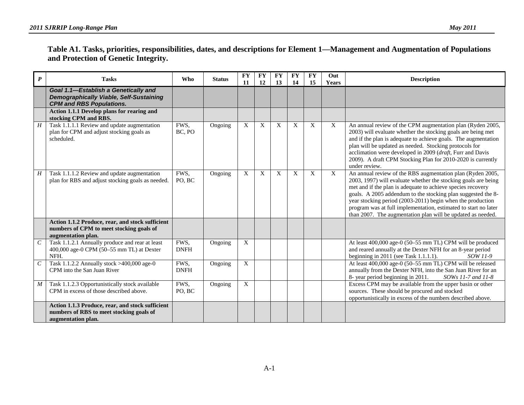|                                      | Table A1. Tasks, priorities, responsibilities, dates, and descriptions for Element 1—Management and Augmentation of Populations |  |
|--------------------------------------|---------------------------------------------------------------------------------------------------------------------------------|--|
| and Protection of Genetic Integrity. |                                                                                                                                 |  |

| $\boldsymbol{P}$      | <b>Tasks</b>                                                                                                              | <b>Who</b>          | <b>Status</b> | <b>FY</b><br>11           | <b>FY</b><br>12 | FY<br>13 | <b>FY</b><br>14 | <b>FY</b><br>15 | Out<br><b>Years</b> | <b>Description</b>                                                                                                                                                                                                                                                                                                                                                                                                                                          |
|-----------------------|---------------------------------------------------------------------------------------------------------------------------|---------------------|---------------|---------------------------|-----------------|----------|-----------------|-----------------|---------------------|-------------------------------------------------------------------------------------------------------------------------------------------------------------------------------------------------------------------------------------------------------------------------------------------------------------------------------------------------------------------------------------------------------------------------------------------------------------|
|                       | Goal 1.1-Establish a Genetically and<br><b>Demographically Viable, Self-Sustaining</b><br><b>CPM and RBS Populations.</b> |                     |               |                           |                 |          |                 |                 |                     |                                                                                                                                                                                                                                                                                                                                                                                                                                                             |
|                       | Action 1.1.1 Develop plans for rearing and<br>stocking CPM and RBS.                                                       |                     |               |                           |                 |          |                 |                 |                     |                                                                                                                                                                                                                                                                                                                                                                                                                                                             |
| H                     | Task 1.1.1.1 Review and update augmentation<br>plan for CPM and adjust stocking goals as<br>scheduled.                    | FWS,<br>BC, PO      | Ongoing       | X                         | X               | X        | X               | X               | X                   | An annual review of the CPM augmentation plan (Ryden 2005,<br>2003) will evaluate whether the stocking goals are being met<br>and if the plan is adequate to achieve goals. The augmentation<br>plan will be updated as needed. Stocking protocols for<br>acclimation were developed in 2009 (draft, Furr and Davis<br>2009). A draft CPM Stocking Plan for 2010-2020 is currently<br>under review.                                                         |
| Н                     | Task 1.1.1.2 Review and update augmentation<br>plan for RBS and adjust stocking goals as needed.                          | FWS.<br>PO. BC      | Ongoing       | X                         | X               | X        | X               | X               | X                   | An annual review of the RBS augmentation plan (Ryden 2005,<br>2003, 1997) will evaluate whether the stocking goals are being<br>met and if the plan is adequate to achieve species recovery<br>goals. A 2005 addendum to the stocking plan suggested the 8-<br>year stocking period (2003-2011) begin when the production<br>program was at full implementation, estimated to start no later<br>than 2007. The augmentation plan will be updated as needed. |
|                       | Action 1.1.2 Produce, rear, and stock sufficient<br>numbers of CPM to meet stocking goals of<br>augmentation plan.        |                     |               |                           |                 |          |                 |                 |                     |                                                                                                                                                                                                                                                                                                                                                                                                                                                             |
| $\overline{C}$        | Task 1.1.2.1 Annually produce and rear at least<br>400,000 age-0 CPM (50-55 mm TL) at Dexter<br>NFH.                      | FWS,<br><b>DNFH</b> | Ongoing       | $\overline{X}$            |                 |          |                 |                 |                     | At least 400,000 age-0 (50-55 mm TL) CPM will be produced<br>and reared annually at the Dexter NFH for an 8-year period<br>beginning in 2011 (see Task 1.1.1.1).<br>SOW 11-9                                                                                                                                                                                                                                                                                |
| $\mathcal{C}_{0}^{0}$ | Task 1.1.2.2 Annually stock >400,000 age-0<br>CPM into the San Juan River                                                 | FWS.<br><b>DNFH</b> | Ongoing       | $\mathbf{X}$              |                 |          |                 |                 |                     | At least 400,000 age-0 (50-55 mm TL) CPM will be released<br>annually from the Dexter NFH, into the San Juan River for an<br>8- year period beginning in 2011.<br>SOWs 11-7 and 11-8                                                                                                                                                                                                                                                                        |
| M                     | Task 1.1.2.3 Opportunistically stock available<br>CPM in excess of those described above.                                 | FWS.<br>PO, BC      | Ongoing       | $\boldsymbol{\mathrm{X}}$ |                 |          |                 |                 |                     | Excess CPM may be available from the upper basin or other<br>sources. These should be procured and stocked<br>opportunistically in excess of the numbers described above.                                                                                                                                                                                                                                                                                   |
|                       | Action 1.1.3 Produce, rear, and stock sufficient<br>numbers of RBS to meet stocking goals of<br>augmentation plan.        |                     |               |                           |                 |          |                 |                 |                     |                                                                                                                                                                                                                                                                                                                                                                                                                                                             |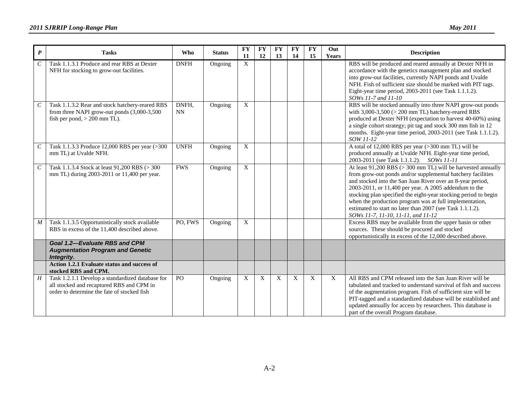| $\boldsymbol{P}$            | <b>Tasks</b>                                                                                                                                 | <b>Who</b>   | <b>Status</b> | <b>FY</b><br>11           | ${\bf F}{\bf Y}$<br>12 | <b>FY</b><br>13 | <b>FY</b><br>14 | ${\bf F}{\bf Y}$<br>15 | Out<br>Years | <b>Description</b>                                                                                                                                                                                                                                                                                                                                                                                                                                                                       |
|-----------------------------|----------------------------------------------------------------------------------------------------------------------------------------------|--------------|---------------|---------------------------|------------------------|-----------------|-----------------|------------------------|--------------|------------------------------------------------------------------------------------------------------------------------------------------------------------------------------------------------------------------------------------------------------------------------------------------------------------------------------------------------------------------------------------------------------------------------------------------------------------------------------------------|
| $\mathcal{C}_{\mathcal{C}}$ | Task 1.1.3.1 Produce and rear RBS at Dexter<br>NFH for stocking to grow-out facilities.                                                      | <b>DNFH</b>  | Ongoing       | $\overline{X}$            |                        |                 |                 |                        |              | RBS will be produced and reared annually at Dexter NFH in<br>accordance with the genetics management plan and stocked<br>into grow-out facilities, currently NAPI ponds and Uvalde<br>NFH. Fish of sufficient size should be marked with PIT tags.<br>Eight-year time period, 2003-2011 (see Task 1.1.1.2).<br>SOWs 11-7 and 11-10                                                                                                                                                       |
| $\mathcal{C}_{\mathcal{C}}$ | Task 1.1.3.2 Rear and stock hatchery-reared RBS<br>from three NAPI grow-out ponds (3,000-3,500<br>fish per pond, $> 200$ mm TL).             | DNFH,<br>NN. | Ongoing       | $\boldsymbol{\mathrm{X}}$ |                        |                 |                 |                        |              | RBS will be stocked annually into three NAPI grow-out ponds<br>with $3,000-3,500$ ( $> 200$ mm TL) hatchery-reared RBS<br>produced at Dexter NFH (expectation to harvest 40-60%) using<br>a single cohort strategy; pit tag and stock 300 mm fish in 12<br>months. Eight-year time period, 2003-2011 (see Task 1.1.1.2).<br>SOW 11-12                                                                                                                                                    |
| $\,$                        | Task 1.1.3.3 Produce 12,000 RBS per year (>300<br>mm TL) at Uvalde NFH.                                                                      | <b>UNFH</b>  | Ongoing       | $\mathbf X$               |                        |                 |                 |                        |              | A total of 12,000 RBS per year (>300 mm TL) will be<br>produced annually at Uvalde NFH. Eight-year time period,<br>2003-2011 (see Task 1.1.1.2). SOWs 11-11                                                                                                                                                                                                                                                                                                                              |
| $\mathcal{C}$               | Task 1.1.3.4 Stock at least 91,200 RBS (> 300<br>mm TL) during 2003-2011 or 11,400 per year.                                                 | <b>FWS</b>   | Ongoing       | $\overline{X}$            |                        |                 |                 |                        |              | At least $91,200$ RBS ( $> 300$ mm TL) will be harvested annually<br>from grow-out ponds and/or supplemental hatchery facilities<br>and stocked into the San Juan River over an 8-year period,<br>2003-2011, or 11,400 per year. A 2005 addendum to the<br>stocking plan specified the eight-year stocking period to begin<br>when the production program was at full implementation,<br>estimated to start no later than 2007 (see Task 1.1.1.2).<br>SOWs 11-7, 11-10, 11-11, and 11-12 |
| $\boldsymbol{M}$            | Task 1.1.3.5 Opportunistically stock available<br>RBS in excess of the 11,400 described above.                                               | PO, FWS      | Ongoing       | $\overline{X}$            |                        |                 |                 |                        |              | Excess RBS may be available from the upper basin or other<br>sources. These should be procured and stocked<br>opportunistically in excess of the 12,000 described above.                                                                                                                                                                                                                                                                                                                 |
|                             | <b>Goal 1.2-Evaluate RBS and CPM</b><br><b>Augmentation Program and Genetic</b><br>Integrity.                                                |              |               |                           |                        |                 |                 |                        |              |                                                                                                                                                                                                                                                                                                                                                                                                                                                                                          |
|                             | Action 1.2.1 Evaluate status and success of<br>stocked RBS and CPM.                                                                          |              |               |                           |                        |                 |                 |                        |              |                                                                                                                                                                                                                                                                                                                                                                                                                                                                                          |
| H                           | Task 1.2.1.1 Develop a standardized database for<br>all stocked and recaptured RBS and CPM in<br>order to determine the fate of stocked fish | PO           | Ongoing       | X                         | X                      | $\mathbf{X}$    | X               | X                      | X            | All RBS and CPM released into the San Juan River will be<br>tabulated and tracked to understand survival of fish and success<br>of the augmentation program. Fish of sufficient size will be<br>PIT-tagged and a standardized database will be established and<br>updated annually for access by researchers. This database is<br>part of the overall Program database.                                                                                                                  |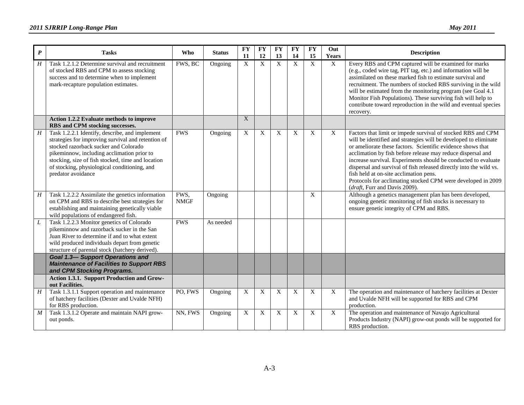| $\pmb{P}$      | <b>Tasks</b>                                                                                                                                                                                                                                                                                                           | Who                 | <b>Status</b> | <b>FY</b><br>11           | <b>FY</b><br><b>12</b> | <b>FY</b><br>13           | <b>FY</b><br>14 | <b>FY</b><br>15 | Out<br>Years | <b>Description</b>                                                                                                                                                                                                                                                                                                                                                                                                                                                                                                                                |
|----------------|------------------------------------------------------------------------------------------------------------------------------------------------------------------------------------------------------------------------------------------------------------------------------------------------------------------------|---------------------|---------------|---------------------------|------------------------|---------------------------|-----------------|-----------------|--------------|---------------------------------------------------------------------------------------------------------------------------------------------------------------------------------------------------------------------------------------------------------------------------------------------------------------------------------------------------------------------------------------------------------------------------------------------------------------------------------------------------------------------------------------------------|
| $H_{\rm}$      | Task 1.2.1.2 Determine survival and recruitment<br>of stocked RBS and CPM to assess stocking<br>success and to determine when to implement<br>mark-recapture population estimates.                                                                                                                                     | FWS, BC             | Ongoing       | X                         | X                      | $\boldsymbol{\mathrm{X}}$ | X               | X               | X            | Every RBS and CPM captured will be examined for marks<br>(e.g., coded wire tag, PIT tag, etc.) and information will be<br>assimilated on these marked fish to estimate survival and<br>recruitment. The numbers of stocked RBS surviving in the wild<br>will be estimated from the monitoring program (see Goal 4.1<br>Monitor Fish Populations). These surviving fish will help to<br>contribute toward reproduction in the wild and eventual species<br>recovery.                                                                               |
|                | Action 1.2.2 Evaluate methods to improve<br>RBS and CPM stocking successes.                                                                                                                                                                                                                                            |                     |               | X                         |                        |                           |                 |                 |              |                                                                                                                                                                                                                                                                                                                                                                                                                                                                                                                                                   |
| $\overline{H}$ | Task 1.2.2.1 Identify, describe, and implement<br>strategies for improving survival and retention of<br>stocked razorback sucker and Colorado<br>pikeminnow, including acclimation prior to<br>stocking, size of fish stocked, time and location<br>of stocking, physiological conditioning, and<br>predator avoidance | <b>FWS</b>          | Ongoing       | X                         | X                      | X                         | X               | X               | X            | Factors that limit or impede survival of stocked RBS and CPM<br>will be identified and strategies will be developed to eliminate<br>or ameliorate these factors. Scientific evidence shows that<br>acclimation by fish before release may reduce dispersal and<br>increase survival. Experiments should be conducted to evaluate<br>dispersal and survival of fish released directly into the wild vs.<br>fish held at on-site acclimation pens.<br>Protocols for acclimating stocked CPM were developed in 2009<br>(draft, Furr and Davis 2009). |
| H              | Task 1.2.2.2 Assimilate the genetics information<br>on CPM and RBS to describe best strategies for<br>establishing and maintaining genetically viable<br>wild populations of endangered fish.                                                                                                                          | FWS,<br><b>NMGF</b> | Ongoing       |                           |                        |                           |                 | X               |              | Although a genetics management plan has been developed,<br>ongoing genetic monitoring of fish stocks is necessary to<br>ensure genetic integrity of CPM and RBS.                                                                                                                                                                                                                                                                                                                                                                                  |
| L              | Task 1.2.2.3 Monitor genetics of Colorado<br>pikeminnow and razorback sucker in the San<br>Juan River to determine if and to what extent<br>wild produced individuals depart from genetic<br>structure of parental stock (hatchery derived).                                                                           | <b>FWS</b>          | As needed     |                           |                        |                           |                 |                 |              |                                                                                                                                                                                                                                                                                                                                                                                                                                                                                                                                                   |
|                | <b>Goal 1.3- Support Operations and</b><br><b>Maintenance of Facilities to Support RBS</b><br>and CPM Stocking Programs.                                                                                                                                                                                               |                     |               |                           |                        |                           |                 |                 |              |                                                                                                                                                                                                                                                                                                                                                                                                                                                                                                                                                   |
|                | Action 1.3.1. Support Production and Grow-<br>out Facilities.                                                                                                                                                                                                                                                          |                     |               |                           |                        |                           |                 |                 |              |                                                                                                                                                                                                                                                                                                                                                                                                                                                                                                                                                   |
| H              | Task 1.3.1.1 Support operation and maintenance<br>of hatchery facilities (Dexter and Uvalde NFH)<br>for RBS production.                                                                                                                                                                                                | PO, FWS             | Ongoing       | X                         | X                      | X                         | X               | X               | X            | The operation and maintenance of hatchery facilities at Dexter<br>and Uvalde NFH will be supported for RBS and CPM<br>production.                                                                                                                                                                                                                                                                                                                                                                                                                 |
| M              | Task 1.3.1.2 Operate and maintain NAPI grow-<br>out ponds.                                                                                                                                                                                                                                                             | NN, FWS             | Ongoing       | $\boldsymbol{\mathrm{X}}$ | X                      | X                         | X               | X               | X            | The operation and maintenance of Navajo Agricultural<br>Products Industry (NAPI) grow-out ponds will be supported for<br>RBS production.                                                                                                                                                                                                                                                                                                                                                                                                          |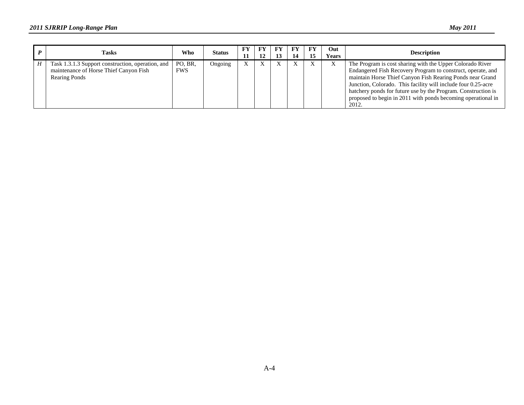| <b>Tasks</b>                                                                                                        | Who                   | Status  | ${\bf F}{\bf Y}$<br>11 | FY<br>12 | FY<br>14 | FY<br>15 | Out  <br>Years | <b>Description</b>                                                                                                                                                                                                                                                                                                                                                                               |
|---------------------------------------------------------------------------------------------------------------------|-----------------------|---------|------------------------|----------|----------|----------|----------------|--------------------------------------------------------------------------------------------------------------------------------------------------------------------------------------------------------------------------------------------------------------------------------------------------------------------------------------------------------------------------------------------------|
| Task 1.3.1.3 Support construction, operation, and<br>maintenance of Horse Thief Canyon Fish<br><b>Rearing Ponds</b> | PO, BR.<br><b>FWS</b> | Ongoing |                        | X        |          | X        |                | The Program is cost sharing with the Upper Colorado River<br>Endangered Fish Recovery Program to construct, operate, and<br>maintain Horse Thief Canyon Fish Rearing Ponds near Grand<br>Junction, Colorado. This facility will include four 0.25-acre<br>hatchery ponds for future use by the Program. Construction is<br>proposed to begin in 2011 with ponds becoming operational in<br>2012. |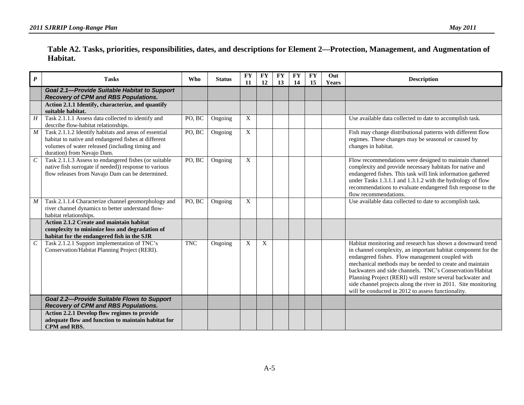#### **Table A2. Tasks, priorities, responsibilities, dates, and descriptions for Element 2—Protection, Management, and Augmentation of Habitat.**

| $\boldsymbol{P}$            | <b>Tasks</b>                                                                                                                                                                                   | <b>Who</b> | <b>Status</b> | <b>FY</b><br>11 | <b>FY</b><br>12 | <b>FY</b><br>13 | <b>FY</b><br>14 | <b>FY</b><br>15 | Out<br>Years | <b>Description</b>                                                                                                                                                                                                                                                                                                                                                                                                                                                                          |
|-----------------------------|------------------------------------------------------------------------------------------------------------------------------------------------------------------------------------------------|------------|---------------|-----------------|-----------------|-----------------|-----------------|-----------------|--------------|---------------------------------------------------------------------------------------------------------------------------------------------------------------------------------------------------------------------------------------------------------------------------------------------------------------------------------------------------------------------------------------------------------------------------------------------------------------------------------------------|
|                             | <b>Goal 2.1-Provide Suitable Habitat to Support</b><br><b>Recovery of CPM and RBS Populations.</b>                                                                                             |            |               |                 |                 |                 |                 |                 |              |                                                                                                                                                                                                                                                                                                                                                                                                                                                                                             |
|                             | Action 2.1.1 Identify, characterize, and quantify<br>suitable habitat.                                                                                                                         |            |               |                 |                 |                 |                 |                 |              |                                                                                                                                                                                                                                                                                                                                                                                                                                                                                             |
| H                           | Task 2.1.1.1 Assess data collected to identify and<br>describe flow-habitat relationships.                                                                                                     | PO, BC     | Ongoing       | X               |                 |                 |                 |                 |              | Use available data collected to date to accomplish task.                                                                                                                                                                                                                                                                                                                                                                                                                                    |
| M                           | Task 2.1.1.2 Identify habitats and areas of essential<br>habitat to native and endangered fishes at different<br>volumes of water released (including timing and<br>duration) from Navajo Dam. | PO, BC     | Ongoing       | $\overline{X}$  |                 |                 |                 |                 |              | Fish may change distributional patterns with different flow<br>regimes. These changes may be seasonal or caused by<br>changes in habitat.                                                                                                                                                                                                                                                                                                                                                   |
| $\mathcal{C}_{\mathcal{C}}$ | Task 2.1.1.3 Assess to endangered fishes (or suitable<br>native fish surrogate if needed)) response to various<br>flow releases from Navajo Dam can be determined.                             | PO, BC     | Ongoing       | X               |                 |                 |                 |                 |              | Flow recommendations were designed to maintain channel<br>complexity and provide necessary habitats for native and<br>endangered fishes. This task will link information gathered<br>under Tasks 1.3.1.1 and 1.3.1.2 with the hydrology of flow<br>recommendations to evaluate endangered fish response to the<br>flow recommendations.                                                                                                                                                     |
| M                           | Task 2.1.1.4 Characterize channel geomorphology and<br>river channel dynamics to better understand flow-<br>habitat relationships.                                                             | PO, BC     | Ongoing       | X               |                 |                 |                 |                 |              | Use available data collected to date to accomplish task.                                                                                                                                                                                                                                                                                                                                                                                                                                    |
|                             | Action 2.1.2 Create and maintain habitat<br>complexity to minimize loss and degradation of<br>habitat for the endangered fish in the SJR                                                       |            |               |                 |                 |                 |                 |                 |              |                                                                                                                                                                                                                                                                                                                                                                                                                                                                                             |
| $\cal C$                    | Task 2.1.2.1 Support implementation of TNC's<br>Conservation/Habitat Planning Project (RERI).                                                                                                  | <b>TNC</b> | Ongoing       | X               | X               |                 |                 |                 |              | Habitat monitoring and research has shown a downward trend<br>in channel complexity, an important habitat component for the<br>endangered fishes. Flow management coupled with<br>mechanical methods may be needed to create and maintain<br>backwaters and side channels. TNC's Conservation/Habitat<br>Planning Project (RERI) will restore several backwater and<br>side channel projects along the river in 2011. Site monitoring<br>will be conducted in 2012 to assess functionality. |
|                             | <b>Goal 2.2-Provide Suitable Flows to Support</b><br><b>Recovery of CPM and RBS Populations.</b>                                                                                               |            |               |                 |                 |                 |                 |                 |              |                                                                                                                                                                                                                                                                                                                                                                                                                                                                                             |
|                             | Action 2.2.1 Develop flow regimes to provide<br>adequate flow and function to maintain habitat for<br>CPM and RBS.                                                                             |            |               |                 |                 |                 |                 |                 |              |                                                                                                                                                                                                                                                                                                                                                                                                                                                                                             |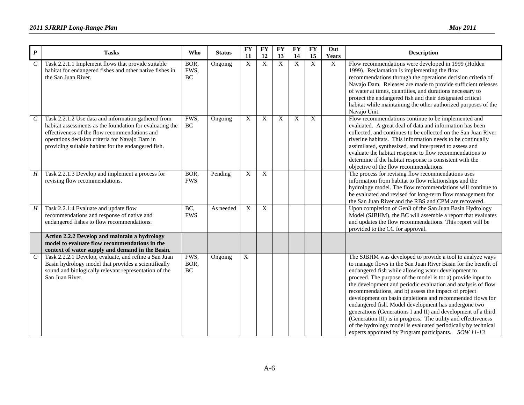| $\boldsymbol{P}$ | <b>Tasks</b>                                                                                                                                                                                                                                                              | Who                       | <b>Status</b> | <b>FY</b><br>11 | <b>FY</b><br>12 | $\mathbf{F}\mathbf{Y}$<br>13 | <b>FY</b><br>14 | $\overline{\mathbf{FY}}$<br>15 | Out<br><b>Years</b> | <b>Description</b>                                                                                                                                                                                                                                                                                                                                                                                                                                                                                                                                                                                                                                                                                                                                          |
|------------------|---------------------------------------------------------------------------------------------------------------------------------------------------------------------------------------------------------------------------------------------------------------------------|---------------------------|---------------|-----------------|-----------------|------------------------------|-----------------|--------------------------------|---------------------|-------------------------------------------------------------------------------------------------------------------------------------------------------------------------------------------------------------------------------------------------------------------------------------------------------------------------------------------------------------------------------------------------------------------------------------------------------------------------------------------------------------------------------------------------------------------------------------------------------------------------------------------------------------------------------------------------------------------------------------------------------------|
| $\boldsymbol{C}$ | Task 2.2.1.1 Implement flows that provide suitable<br>habitat for endangered fishes and other native fishes in<br>the San Juan River.                                                                                                                                     | BOR,<br>FWS,<br><b>BC</b> | Ongoing       | $\mathbf X$     | $\mathbf X$     | $\mathbf X$                  | $\mathbf X$     | $\overline{X}$                 | $\mathbf X$         | Flow recommendations were developed in 1999 (Holden<br>1999). Reclamation is implementing the flow<br>recommendations through the operations decision criteria of<br>Navajo Dam. Releases are made to provide sufficient releases<br>of water at times, quantities, and durations necessary to<br>protect the endangered fish and their designated critical<br>habitat while maintaining the other authorized purposes of the<br>Navajo Unit.                                                                                                                                                                                                                                                                                                               |
| $\mathcal C$     | Task 2.2.1.2 Use data and information gathered from<br>habitat assessments as the foundation for evaluating the<br>effectiveness of the flow recommendations and<br>operations decision criteria for Navajo Dam in<br>providing suitable habitat for the endangered fish. | FWS,<br>BC                | Ongoing       | X               | X               | X                            | X               | X                              |                     | Flow recommendations continue to be implemented and<br>evaluated. A great deal of data and information has been<br>collected, and continues to be collected on the San Juan River<br>riverine habitats. This information needs to be continually<br>assimilated, synthesized, and interpreted to assess and<br>evaluate the habitat response to flow recommendations to<br>determine if the habitat response is consistent with the<br>objective of the flow recommendations.                                                                                                                                                                                                                                                                               |
| $H_{\rm}$        | Task 2.2.1.3 Develop and implement a process for<br>revising flow recommendations.                                                                                                                                                                                        | BOR,<br><b>FWS</b>        | Pending       | X               | $\overline{X}$  |                              |                 |                                |                     | The process for revising flow recommendations uses<br>information from habitat to flow relationships and the<br>hydrology model. The flow recommendations will continue to<br>be evaluated and revised for long-term flow management for<br>the San Juan River and the RBS and CPM are recovered.                                                                                                                                                                                                                                                                                                                                                                                                                                                           |
| H                | Task 2.2.1.4 Evaluate and update flow<br>recommendations and response of native and<br>endangered fishes to flow recommendations.                                                                                                                                         | BC,<br><b>FWS</b>         | As needed     | X               | X               |                              |                 |                                |                     | Upon completion of Gen3 of the San Juan Basin Hydrology<br>Model (SJBHM), the BC will assemble a report that evaluates<br>and updates the flow recommendations. This report will be<br>provided to the CC for approval.                                                                                                                                                                                                                                                                                                                                                                                                                                                                                                                                     |
|                  | Action 2.2.2 Develop and maintain a hydrology<br>model to evaluate flow recommendations in the<br>context of water supply and demand in the Basin.                                                                                                                        |                           |               |                 |                 |                              |                 |                                |                     |                                                                                                                                                                                                                                                                                                                                                                                                                                                                                                                                                                                                                                                                                                                                                             |
| $\cal C$         | Task 2.2.2.1 Develop, evaluate, and refine a San Juan<br>Basin hydrology model that provides a scientifically<br>sound and biologically relevant representation of the<br>San Juan River.                                                                                 | FWS,<br>BOR,<br><b>BC</b> | Ongoing       | $\overline{X}$  |                 |                              |                 |                                |                     | The SJBHM was developed to provide a tool to analyze ways<br>to manage flows in the San Juan River Basin for the benefit of<br>endangered fish while allowing water development to<br>proceed. The purpose of the model is to: a) provide input to<br>the development and periodic evaluation and analysis of flow<br>recommendations, and b) assess the impact of project<br>development on basin depletions and recommended flows for<br>endangered fish. Model development has undergone two<br>generations (Generations I and II) and development of a third<br>(Generation III) is in progress. The utility and effectiveness<br>of the hydrology model is evaluated periodically by technical<br>experts appointed by Program participants. SOW 11-13 |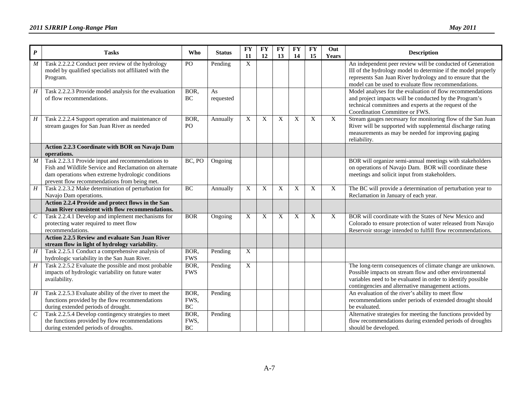| $\boldsymbol{P}$ | <b>Tasks</b>                                                                                                                                                                                                     | <b>Who</b>                          | <b>Status</b>   | <b>FY</b><br>11           | <b>FY</b><br>12 | <b>FY</b><br>13           | <b>FY</b><br>14 | <b>FY</b><br>15           | Out<br>Years   | <b>Description</b>                                                                                                                                                                                                                               |
|------------------|------------------------------------------------------------------------------------------------------------------------------------------------------------------------------------------------------------------|-------------------------------------|-----------------|---------------------------|-----------------|---------------------------|-----------------|---------------------------|----------------|--------------------------------------------------------------------------------------------------------------------------------------------------------------------------------------------------------------------------------------------------|
| $\boldsymbol{M}$ | Task 2.2.2.2 Conduct peer review of the hydrology<br>model by qualified specialists not affiliated with the<br>Program.                                                                                          | P <sub>O</sub>                      | Pending         | $\mathbf X$               |                 |                           |                 |                           |                | An independent peer review will be conducted of Generation<br>III of the hydrology model to determine if the model properly<br>represents San Juan River hydrology and to ensure that the<br>model can be used to evaluate flow recommendations. |
| H                | Task 2.2.2.3 Provide model analysis for the evaluation<br>of flow recommendations.                                                                                                                               | BOR.<br>BC                          | As<br>requested |                           |                 |                           |                 |                           |                | Model analyses for the evaluation of flow recommendations<br>and project impacts will be conducted by the Program's<br>technical committees and experts at the request of the<br>Coordination Committee or FWS.                                  |
| H                | Task 2.2.2.4 Support operation and maintenance of<br>stream gauges for San Juan River as needed                                                                                                                  | BOR,<br>PO                          | Annually        | $\boldsymbol{\mathrm{X}}$ | X               | X                         | $\mathbf X$     | X                         | $\overline{X}$ | Stream gauges necessary for monitoring flow of the San Juan<br>River will be supported with supplemental discharge rating<br>measurements as may be needed for improving gaging<br>reliability.                                                  |
|                  | Action 2.2.3 Coordinate with BOR on Navajo Dam<br>operations.                                                                                                                                                    |                                     |                 |                           |                 |                           |                 |                           |                |                                                                                                                                                                                                                                                  |
| $\boldsymbol{M}$ | Task 2.2.3.1 Provide input and recommendations to<br>Fish and Wildlife Service and Reclamation on alternate<br>dam operations when extreme hydrologic conditions<br>prevent flow recommendations from being met. | BC, PO                              | Ongoing         |                           |                 |                           |                 |                           |                | BOR will organize semi-annual meetings with stakeholders<br>on operations of Navajo Dam. BOR will coordinate these<br>meetings and solicit input from stakeholders.                                                                              |
| $\overline{H}$   | Task 2.2.3.2 Make determination of perturbation for<br>Navajo Dam operations.                                                                                                                                    | BC                                  | Annually        | $\mathbf X$               | $\mathbf X$     | X                         | X               | $\boldsymbol{\mathrm{X}}$ | X              | The BC will provide a determination of perturbation year to<br>Reclamation in January of each year.                                                                                                                                              |
|                  | Action 2.2.4 Provide and protect flows in the San<br>Juan River consistent with flow recommendations.                                                                                                            |                                     |                 |                           |                 |                           |                 |                           |                |                                                                                                                                                                                                                                                  |
| $\overline{C}$   | Task 2.2.4.1 Develop and implement mechanisms for<br>protecting water required to meet flow<br>recommendations.                                                                                                  | <b>BOR</b>                          | Ongoing         | X                         | $\mathbf X$     | $\boldsymbol{\mathrm{X}}$ | X               | X                         | X              | BOR will coordinate with the States of New Mexico and<br>Colorado to ensure protection of water released from Navajo<br>Reservoir storage intended to fulfill flow recommendations.                                                              |
|                  | <b>Action 2.2.5 Review and evaluate San Juan River</b><br>stream flow in light of hydrology variability.                                                                                                         |                                     |                 |                           |                 |                           |                 |                           |                |                                                                                                                                                                                                                                                  |
| $\boldsymbol{H}$ | Task 2.2.5.1 Conduct a comprehensive analysis of<br>hydrologic variability in the San Juan River.                                                                                                                | BOR,<br><b>FWS</b>                  | Pending         | $\mathbf X$               |                 |                           |                 |                           |                |                                                                                                                                                                                                                                                  |
| $\boldsymbol{H}$ | Task 2.2.5.2 Evaluate the possible and most probable<br>impacts of hydrologic variability on future water<br>availability.                                                                                       | BOR,<br><b>FWS</b>                  | Pending         | $\mathbf X$               |                 |                           |                 |                           |                | The long-term consequences of climate change are unknown.<br>Possible impacts on stream flow and other environmental<br>variables need to be evaluated in order to identify possible<br>contingencies and alternative management actions.        |
| H                | Task 2.2.5.3 Evaluate ability of the river to meet the<br>functions provided by the flow recommendations<br>during extended periods of drought.                                                                  | BOR,<br>FWS,<br><b>BC</b>           | Pending         |                           |                 |                           |                 |                           |                | An evaluation of the river's ability to meet flow<br>recommendations under periods of extended drought should<br>be evaluated.                                                                                                                   |
| $\mathcal C$     | Task 2.2.5.4 Develop contingency strategies to meet<br>the functions provided by flow recommendations<br>during extended periods of droughts.                                                                    | BOR,<br>FWS,<br>$\operatorname{BC}$ | Pending         |                           |                 |                           |                 |                           |                | Alternative strategies for meeting the functions provided by<br>flow recommendations during extended periods of droughts<br>should be developed.                                                                                                 |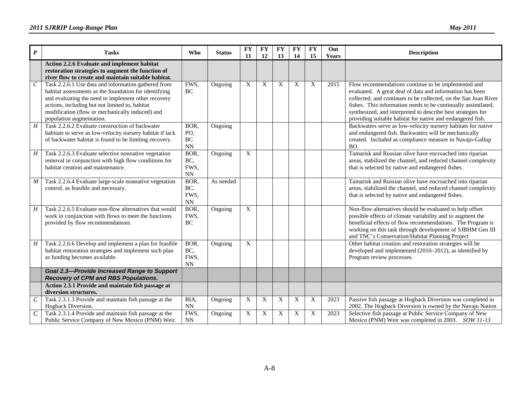| $\boldsymbol{P}$ | <b>Tasks</b>                                                                                                                                                                                                                                                                                         | Who                                               | <b>Status</b> | <b>FY</b>      | <b>FY</b> | <b>FY</b> | <b>FY</b> | <b>FY</b> | Out          | <b>Description</b>                                                                                                                                                                                                                                                                                                                                                                |
|------------------|------------------------------------------------------------------------------------------------------------------------------------------------------------------------------------------------------------------------------------------------------------------------------------------------------|---------------------------------------------------|---------------|----------------|-----------|-----------|-----------|-----------|--------------|-----------------------------------------------------------------------------------------------------------------------------------------------------------------------------------------------------------------------------------------------------------------------------------------------------------------------------------------------------------------------------------|
|                  |                                                                                                                                                                                                                                                                                                      |                                                   |               | 11             | 12        | 13        | 14        | 15        | <b>Years</b> |                                                                                                                                                                                                                                                                                                                                                                                   |
|                  | Action 2.2.6 Evaluate and implement habitat<br>restoration strategies to augment the function of<br>river flow to create and maintain suitable habitat.                                                                                                                                              |                                                   |               |                |           |           |           |           |              |                                                                                                                                                                                                                                                                                                                                                                                   |
| $\mathcal C$     | Task 2.2.6.1 Use data and information gathered from<br>habitat assessments as the foundation for identifying<br>and evaluating the need to implement other recovery<br>actions, including but not limited to, habitat<br>modification (flow or mechanically induced) and<br>population augmentation. | FWS,<br>BC                                        | Ongoing       | X              | X         | X         | X         | X         | 2015         | Flow recommendations continue to be implemented and<br>evaluated. A great deal of data and information has been<br>collected, and continues to be collected, on the San Juan River<br>fishes. This information needs to be continually assimilated,<br>synthesized, and interpreted to describe best strategies for<br>providing suitable habitat for native and endangered fish. |
| $\boldsymbol{H}$ | Task 2.2.6.2 Evaluate construction of backwater<br>habitats to serve as low-velocity nursery habitat if lack<br>of backwater habitat is found to be limiting recovery.                                                                                                                               | BOR,<br>PO,<br>$\rm BC$<br><b>NN</b>              | Ongoing       |                |           |           |           |           |              | Backwaters serve as low-velocity nursery habitats for native<br>and endangered fish. Backwaters will be mechanically<br>created. Included as compliance measure in Navajo-Gallup<br>BO.                                                                                                                                                                                           |
| H                | Task 2.2.6.3 Evaluate selective nonnative vegetation<br>removal in conjunction with high flow conditions for<br>habitat creation and maintenance.                                                                                                                                                    | BOR,<br>BC,<br>FWS,<br>$\mathbf{N} \mathbf{N}$    | Ongoing       | X              |           |           |           |           |              | Tamarisk and Russian olive have encroached into riparian<br>areas, stabilized the channel, and reduced channel complexity<br>that is selected by native and endangered fishes.                                                                                                                                                                                                    |
| $\boldsymbol{M}$ | Task 2.2.6.4 Evaluate large-scale nonnative vegetation<br>control, as feasible and necessary.                                                                                                                                                                                                        | BOR,<br>BC,<br>FWS.<br>$\mathop{\rm NN}\nolimits$ | As needed     |                |           |           |           |           |              | Tamarisk and Russian olive have encroached into riparian<br>areas, stabilized the channel, and reduced channel complexity<br>that is selected by native and endangered fishes.                                                                                                                                                                                                    |
| H                | Task 2.2.6.5 Evaluate non-flow alternatives that would<br>work in conjunction with flows to meet the functions<br>provided by flow recommendations.                                                                                                                                                  | BOR,<br>FWS,<br>BC.                               | Ongoing       | $\overline{X}$ |           |           |           |           |              | Non-flow alternatives should be evaluated to help offset<br>possible effects of climate variability and to augment the<br>beneficial effects of flow recommendations. The Program is<br>working on this task through development of SJBHM Gen III<br>and TNC's Conservation/Habitat Planning Project                                                                              |
| $H_{\rm}$        | Task 2.2.6.6 Develop and implement a plan for feasible<br>habitat restoration strategies and implement such plan<br>as funding becomes available.                                                                                                                                                    | BOR,<br>BC,<br>FWS,<br>NN                         | Ongoing       | $\overline{X}$ |           |           |           |           |              | Other habitat creation and restoration strategies will be<br>developed and implemented (2010-2012), as identified by<br>Program review processes.                                                                                                                                                                                                                                 |
|                  | <b>Goal 2.3-Provide Increased Range to Support</b><br><b>Recovery of CPM and RBS Populations.</b>                                                                                                                                                                                                    |                                                   |               |                |           |           |           |           |              |                                                                                                                                                                                                                                                                                                                                                                                   |
|                  | Action 2.3.1 Provide and maintain fish passage at<br>diversion structures.                                                                                                                                                                                                                           |                                                   |               |                |           |           |           |           |              |                                                                                                                                                                                                                                                                                                                                                                                   |
| $\mathcal C$     | Task 2.3.1.3 Provide and maintain fish passage at the<br>Hogback Diversion.                                                                                                                                                                                                                          | BIA,<br>$\mathbf{N} \mathbf{N}$                   | Ongoing       | X              | X         | X         | X         | X         | 2023         | Passive fish passage at Hogback Diversion was completed in<br>2002. The Hogback Diversion is owned by the Navajo Nation                                                                                                                                                                                                                                                           |
| $\mathcal C$     | Task 2.3.1.4 Provide and maintain fish passage at the<br>Public Service Company of New Mexico (PNM) Weir.                                                                                                                                                                                            | FWS,<br>$\mathop{\rm NN}\nolimits$                | Ongoing       | X              | X         | X         | X         | X         | 2023         | Selective fish passage at Public Service Company of New<br>Mexico (PNM) Weir was completed in 2003. SOW 11-13                                                                                                                                                                                                                                                                     |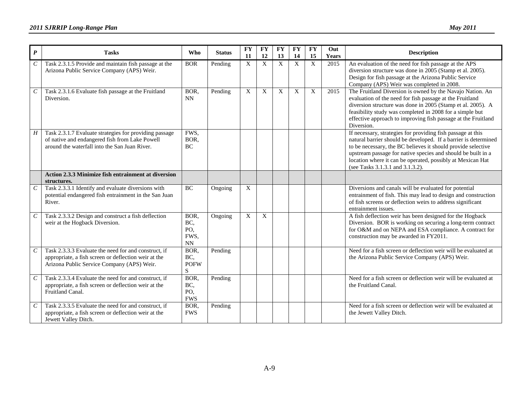| $\boldsymbol{P}$      | <b>Tasks</b>                                                                                                                                               | Who                                     | <b>Status</b> | <b>FY</b><br>11           | <b>FY</b><br>12 | <b>FY</b><br>13           | <b>FY</b><br>14 | <b>FY</b><br>15 | Out<br><b>Years</b> | <b>Description</b>                                                                                                                                                                                                                                                                                                                                               |
|-----------------------|------------------------------------------------------------------------------------------------------------------------------------------------------------|-----------------------------------------|---------------|---------------------------|-----------------|---------------------------|-----------------|-----------------|---------------------|------------------------------------------------------------------------------------------------------------------------------------------------------------------------------------------------------------------------------------------------------------------------------------------------------------------------------------------------------------------|
| $\mathcal{C}_{0}^{0}$ | Task 2.3.1.5 Provide and maintain fish passage at the<br>Arizona Public Service Company (APS) Weir.                                                        | <b>BOR</b>                              | Pending       | $\boldsymbol{X}$          | X               | $\boldsymbol{\mathrm{X}}$ | X               | $\mathbf X$     | 2015                | An evaluation of the need for fish passage at the APS<br>diversion structure was done in 2005 (Stamp et al. 2005).<br>Design for fish passage at the Arizona Public Service<br>Company (APS) Weir was completed in 2008.                                                                                                                                         |
| $\boldsymbol{C}$      | Task 2.3.1.6 Evaluate fish passage at the Fruitland<br>Diversion.                                                                                          | BOR,<br><b>NN</b>                       | Pending       | $\boldsymbol{\mathrm{X}}$ | X               | X                         | X               | $\mathbf X$     | 2015                | The Fruitland Diversion is owned by the Navajo Nation. An<br>evaluation of the need for fish passage at the Fruitland<br>diversion structure was done in 2005 (Stamp et al. 2005). A<br>feasibility study was completed in 2008 for a simple but<br>effective approach to improving fish passage at the Fruitland<br>Diversion.                                  |
| $H_{\rm}$             | Task 2.3.1.7 Evaluate strategies for providing passage<br>of native and endangered fish from Lake Powell<br>around the waterfall into the San Juan River.  | FWS,<br>BOR,<br>BC                      |               |                           |                 |                           |                 |                 |                     | If necessary, strategies for providing fish passage at this<br>natural barrier should be developed. If a barrier is determined<br>to be necessary, the BC believes it should provide selective<br>upstream passage for native species and should be built in a<br>location where it can be operated, possibly at Mexican Hat<br>(see Tasks 3.1.3.1 and 3.1.3.2). |
|                       | <b>Action 2.3.3 Minimize fish entrainment at diversion</b><br>structures.                                                                                  |                                         |               |                           |                 |                           |                 |                 |                     |                                                                                                                                                                                                                                                                                                                                                                  |
| $\mathcal C$          | Task 2.3.3.1 Identify and evaluate diversions with<br>potential endangered fish entrainment in the San Juan<br>River.                                      | BC                                      | Ongoing       | $\overline{X}$            |                 |                           |                 |                 |                     | Diversions and canals will be evaluated for potential<br>entrainment of fish. This may lead to design and construction<br>of fish screens or deflection weirs to address significant<br>entrainment issues.                                                                                                                                                      |
| $\boldsymbol{C}$      | Task 2.3.3.2 Design and construct a fish deflection<br>weir at the Hogback Diversion.                                                                      | BOR,<br>BC,<br>PO,<br>FWS.<br><b>NN</b> | Ongoing       | X                         | X               |                           |                 |                 |                     | A fish deflection weir has been designed for the Hogback<br>Diversion. BOR is working on securing a long-term contract<br>for O&M and on NEPA and ESA compliance. A contract for<br>construction may be awarded in FY2011.                                                                                                                                       |
| $\mathcal{C}_{0}^{0}$ | Task 2.3.3.3 Evaluate the need for and construct, if<br>appropriate, a fish screen or deflection weir at the<br>Arizona Public Service Company (APS) Weir. | BOR,<br>BC,<br><b>POFW</b><br>S         | Pending       |                           |                 |                           |                 |                 |                     | Need for a fish screen or deflection weir will be evaluated at<br>the Arizona Public Service Company (APS) Weir.                                                                                                                                                                                                                                                 |
| $\mathcal{C}$         | Task 2.3.3.4 Evaluate the need for and construct, if<br>appropriate, a fish screen or deflection weir at the<br>Fruitland Canal.                           | BOR,<br>BC,<br>PO,<br><b>FWS</b>        | Pending       |                           |                 |                           |                 |                 |                     | Need for a fish screen or deflection weir will be evaluated at<br>the Fruitland Canal.                                                                                                                                                                                                                                                                           |
| $\mathcal{C}_{0}^{0}$ | Task 2.3.3.5 Evaluate the need for and construct, if<br>appropriate, a fish screen or deflection weir at the<br>Jewett Valley Ditch.                       | BOR.<br><b>FWS</b>                      | Pending       |                           |                 |                           |                 |                 |                     | Need for a fish screen or deflection weir will be evaluated at<br>the Jewett Valley Ditch.                                                                                                                                                                                                                                                                       |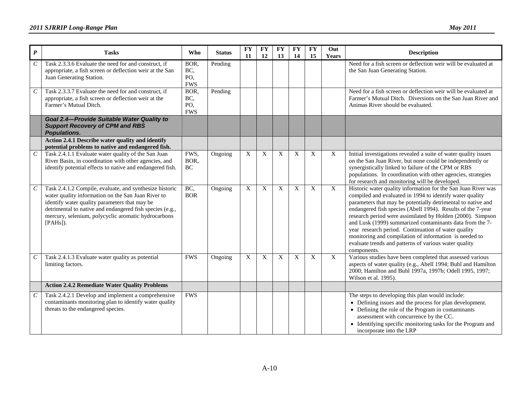| $\boldsymbol{P}$      | <b>Tasks</b>                                                                                                                                                                                                                                                                                     | <b>Who</b>                       | <b>Status</b> | <b>FY</b><br>11           | <b>FY</b><br><b>12</b> | <b>FY</b><br>13           | <b>FY</b><br>14 | <b>FY</b><br>15 | Out<br>Years | <b>Description</b>                                                                                                                                                                                                                                                                                                                                                                                                                                                                                                                                                          |
|-----------------------|--------------------------------------------------------------------------------------------------------------------------------------------------------------------------------------------------------------------------------------------------------------------------------------------------|----------------------------------|---------------|---------------------------|------------------------|---------------------------|-----------------|-----------------|--------------|-----------------------------------------------------------------------------------------------------------------------------------------------------------------------------------------------------------------------------------------------------------------------------------------------------------------------------------------------------------------------------------------------------------------------------------------------------------------------------------------------------------------------------------------------------------------------------|
| $\mathcal{C}$         | Task 2.3.3.6 Evaluate the need for and construct, if<br>appropriate, a fish screen or deflection weir at the San<br>Juan Generating Station.                                                                                                                                                     | BOR,<br>BC,<br>PO,<br><b>FWS</b> | Pending       |                           |                        |                           |                 |                 |              | Need for a fish screen or deflection weir will be evaluated at<br>the San Juan Generating Station.                                                                                                                                                                                                                                                                                                                                                                                                                                                                          |
| $\mathcal{C}$         | Task 2.3.3.7 Evaluate the need for and construct, if<br>appropriate, a fish screen or deflection weir at the<br>Farmer's Mutual Ditch.                                                                                                                                                           | BOR,<br>BC,<br>PO,<br><b>FWS</b> | Pending       |                           |                        |                           |                 |                 |              | Need for a fish screen or deflection weir will be evaluated at<br>Farmer's Mutual Ditch. Diversions on the San Juan River and<br>Animas River should be evaluated.                                                                                                                                                                                                                                                                                                                                                                                                          |
|                       | Goal 2.4-Provide Suitable Water Quality to<br><b>Support Recovery of CPM and RBS</b><br><b>Populations.</b>                                                                                                                                                                                      |                                  |               |                           |                        |                           |                 |                 |              |                                                                                                                                                                                                                                                                                                                                                                                                                                                                                                                                                                             |
|                       | Action 2.4.1 Describe water quality and identify<br>potential problems to native and endangered fish.                                                                                                                                                                                            |                                  |               |                           |                        |                           |                 |                 |              |                                                                                                                                                                                                                                                                                                                                                                                                                                                                                                                                                                             |
| $\mathcal{C}_{0}^{0}$ | Task 2.4.1.1 Evaluate water quality of the San Juan<br>River Basin, in coordination with other agencies, and<br>identify potential effects to native and endangered fish.                                                                                                                        | FWS,<br>BOR,<br>BC               | Ongoing       | $\boldsymbol{\mathrm{X}}$ | X                      | X                         | X               | X               | X            | Initial investigations revealed a suite of water quality issues<br>on the San Juan River, but none could be independently or<br>synergistically linked to failure of the CPM or RBS<br>populations. In coordination with other agencies, strategies<br>for research and monitoring will be developed.                                                                                                                                                                                                                                                                       |
| $\mathcal{C}$         | Task 2.4.1.2 Compile, evaluate, and synthesize historic<br>water quality information on the San Juan River to<br>identify water quality parameters that may be<br>detrimental to native and endangered fish species (e.g.,<br>mercury, selenium, polycyclic aromatic hydrocarbons<br>$[PAHs]$ ). | BC,<br><b>BOR</b>                | Ongoing       | $\mathbf{X}$              | X                      | X                         | X               | X               | X            | Historic water quality information for the San Juan River was<br>compiled and evaluated in 1994 to identify water quality<br>parameters that may be potentially detrimental to native and<br>endangered fish species (Abell 1994). Results of the 7-year<br>research period were assimilated by Holden (2000). Simpson<br>and Lusk (1999) summarized contaminants data from the 7-<br>year research period. Continuation of water quality<br>monitoring and compilation of information is needed to<br>evaluate trends and patterns of various water quality<br>components. |
| $\mathcal{C}$         | Task 2.4.1.3 Evaluate water quality as potential<br>limiting factors.                                                                                                                                                                                                                            | <b>FWS</b>                       | Ongoing       | $\boldsymbol{X}$          | X                      | $\boldsymbol{\mathrm{X}}$ | $\mathbf X$     | $\mathbf X$     | X            | Various studies have been completed that assessed various<br>aspects of water quality (e.g., Abell 1994; Buhl and Hamilton<br>2000; Hamilton and Buhl 1997a, 1997b; Odell 1995, 1997;<br>Wilson et al. 1995).                                                                                                                                                                                                                                                                                                                                                               |
|                       | <b>Action 2.4.2 Remediate Water Quality Problems</b>                                                                                                                                                                                                                                             |                                  |               |                           |                        |                           |                 |                 |              |                                                                                                                                                                                                                                                                                                                                                                                                                                                                                                                                                                             |
| $\mathcal{C}_{0}^{0}$ | Task 2.4.2.1 Develop and implement a comprehensive<br>contaminants monitoring plan to identify water quality<br>threats to the endangered species.                                                                                                                                               | <b>FWS</b>                       |               |                           |                        |                           |                 |                 |              | The steps to developing this plan would include:<br>• Defining issues and the process for plan development.<br>• Defining the role of the Program in contaminants<br>assessment with concurrence by the CC.<br>• Identifying specific monitoring tasks for the Program and<br>incorporate into the LRP                                                                                                                                                                                                                                                                      |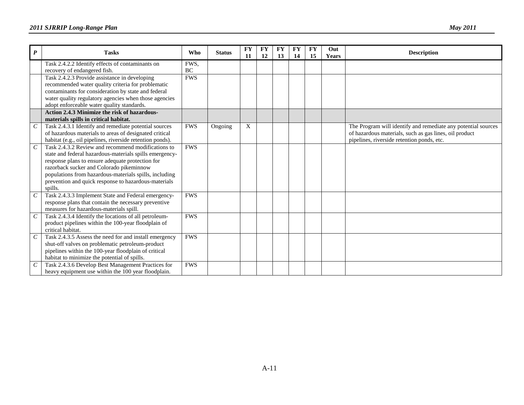| $\boldsymbol{P}$            | <b>Tasks</b>                                              | <b>Who</b> | <b>Status</b> | <b>FY</b> | <b>FY</b> | <b>FY</b> | <b>FY</b> | <b>FY</b> | Out          | <b>Description</b>                                            |
|-----------------------------|-----------------------------------------------------------|------------|---------------|-----------|-----------|-----------|-----------|-----------|--------------|---------------------------------------------------------------|
|                             |                                                           |            |               | 11        | 12        | 13        | 14        | 15        | <b>Years</b> |                                                               |
|                             | Task 2.4.2.2 Identify effects of contaminants on          | FWS.       |               |           |           |           |           |           |              |                                                               |
|                             | recovery of endangered fish.                              | <b>BC</b>  |               |           |           |           |           |           |              |                                                               |
|                             | Task 2.4.2.3 Provide assistance in developing             | <b>FWS</b> |               |           |           |           |           |           |              |                                                               |
|                             | recommended water quality criteria for problematic        |            |               |           |           |           |           |           |              |                                                               |
|                             | contaminants for consideration by state and federal       |            |               |           |           |           |           |           |              |                                                               |
|                             | water quality regulatory agencies when those agencies     |            |               |           |           |           |           |           |              |                                                               |
|                             | adopt enforceable water quality standards.                |            |               |           |           |           |           |           |              |                                                               |
|                             | Action 2.4.3 Minimize the risk of hazardous-              |            |               |           |           |           |           |           |              |                                                               |
|                             | materials spills in critical habitat.                     |            |               |           |           |           |           |           |              |                                                               |
| $\mathcal{C}_{\mathcal{C}}$ | Task 2.4.3.1 Identify and remediate potential sources     | <b>FWS</b> | Ongoing       | X         |           |           |           |           |              | The Program will identify and remediate any potential sources |
|                             | of hazardous materials to areas of designated critical    |            |               |           |           |           |           |           |              | of hazardous materials, such as gas lines, oil product        |
|                             | habitat (e.g., oil pipelines, riverside retention ponds). |            |               |           |           |           |           |           |              | pipelines, riverside retention ponds, etc.                    |
| $\mathcal{C}_{0}^{0}$       | Task 2.4.3.2 Review and recommend modifications to        | <b>FWS</b> |               |           |           |           |           |           |              |                                                               |
|                             | state and federal hazardous-materials spills emergency-   |            |               |           |           |           |           |           |              |                                                               |
|                             | response plans to ensure adequate protection for          |            |               |           |           |           |           |           |              |                                                               |
|                             | razorback sucker and Colorado pikeminnow                  |            |               |           |           |           |           |           |              |                                                               |
|                             | populations from hazardous-materials spills, including    |            |               |           |           |           |           |           |              |                                                               |
|                             | prevention and quick response to hazardous-materials      |            |               |           |           |           |           |           |              |                                                               |
|                             | spills.                                                   |            |               |           |           |           |           |           |              |                                                               |
| $\mathcal{C}$               | Task 2.4.3.3 Implement State and Federal emergency-       | <b>FWS</b> |               |           |           |           |           |           |              |                                                               |
|                             | response plans that contain the necessary preventive      |            |               |           |           |           |           |           |              |                                                               |
|                             | measures for hazardous-materials spill.                   |            |               |           |           |           |           |           |              |                                                               |
| $\mathcal{C}_{\mathcal{C}}$ | Task 2.4.3.4 Identify the locations of all petroleum-     | <b>FWS</b> |               |           |           |           |           |           |              |                                                               |
|                             | product pipelines within the 100-year floodplain of       |            |               |           |           |           |           |           |              |                                                               |
|                             | critical habitat.                                         |            |               |           |           |           |           |           |              |                                                               |
| $\mathcal{C}_{\mathcal{C}}$ | Task 2.4.3.5 Assess the need for and install emergency    | <b>FWS</b> |               |           |           |           |           |           |              |                                                               |
|                             | shut-off valves on problematic petroleum-product          |            |               |           |           |           |           |           |              |                                                               |
|                             | pipelines within the 100-year floodplain of critical      |            |               |           |           |           |           |           |              |                                                               |
|                             | habitat to minimize the potential of spills.              |            |               |           |           |           |           |           |              |                                                               |
| $\mathcal{C}_{0}^{0}$       | Task 2.4.3.6 Develop Best Management Practices for        | <b>FWS</b> |               |           |           |           |           |           |              |                                                               |
|                             | heavy equipment use within the 100 year floodplain.       |            |               |           |           |           |           |           |              |                                                               |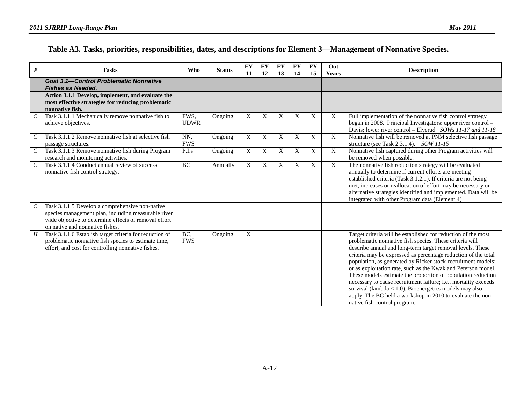#### **Table A3. Tasks, priorities, responsibilities, dates, and descriptions for Element 3—Management of Nonnative Species.**

| $\boldsymbol{P}$      | <b>Tasks</b>                                                                                                                                                                                       | <b>Who</b>          | <b>Status</b> | <b>FY</b><br>11           | <b>FY</b><br>12 | <b>FY</b><br>13 | <b>FY</b><br>14 | <b>FY</b><br>15           | Out<br>Years | <b>Description</b>                                                                                                                                                                                                                                                                                                                                                                                                                                                                                                                                                                                                                                                                      |
|-----------------------|----------------------------------------------------------------------------------------------------------------------------------------------------------------------------------------------------|---------------------|---------------|---------------------------|-----------------|-----------------|-----------------|---------------------------|--------------|-----------------------------------------------------------------------------------------------------------------------------------------------------------------------------------------------------------------------------------------------------------------------------------------------------------------------------------------------------------------------------------------------------------------------------------------------------------------------------------------------------------------------------------------------------------------------------------------------------------------------------------------------------------------------------------------|
|                       | <b>Goal 3.1-Control Problematic Nonnative</b><br><b>Fishes as Needed.</b>                                                                                                                          |                     |               |                           |                 |                 |                 |                           |              |                                                                                                                                                                                                                                                                                                                                                                                                                                                                                                                                                                                                                                                                                         |
|                       | Action 3.1.1 Develop, implement, and evaluate the<br>most effective strategies for reducing problematic<br>nonnative fish.                                                                         |                     |               |                           |                 |                 |                 |                           |              |                                                                                                                                                                                                                                                                                                                                                                                                                                                                                                                                                                                                                                                                                         |
| $\mathcal{C}$         | Task 3.1.1.1 Mechanically remove nonnative fish to<br>achieve objectives.                                                                                                                          | FWS,<br><b>UDWR</b> | Ongoing       | X                         | X               | X               | X               | X                         | X            | Full implementation of the nonnative fish control strategy<br>began in 2008. Principal Investigators: upper river control -<br>Davis; lower river control - Elverud SOWs 11-17 and 11-18                                                                                                                                                                                                                                                                                                                                                                                                                                                                                                |
| $\mathcal{C}$         | Task 3.1.1.2 Remove nonnative fish at selective fish<br>passage structures.                                                                                                                        | NN,<br><b>FWS</b>   | Ongoing       | X                         | X               | X               | X               | X                         | X            | Nonnative fish will be removed at PNM selective fish passage<br>structure (see Task 2.3.1.4). SOW 11-15                                                                                                                                                                                                                                                                                                                                                                                                                                                                                                                                                                                 |
| $\mathcal{C}_{0}^{0}$ | Task 3.1.1.3 Remove nonnative fish during Program<br>research and monitoring activities.                                                                                                           | P.I.s               | Ongoing       | $\mathbf X$               | $\mathbf X$     | X               | X               | $\boldsymbol{\mathrm{X}}$ | X            | Nonnative fish captured during other Program activities will<br>be removed when possible.                                                                                                                                                                                                                                                                                                                                                                                                                                                                                                                                                                                               |
| $\mathcal C$          | Task 3.1.1.4 Conduct annual review of success<br>nonnative fish control strategy.                                                                                                                  | <b>BC</b>           | Annually      | $\boldsymbol{\mathrm{X}}$ | X               | X               | X               | X                         | X            | The nonnative fish reduction strategy will be evaluated<br>annually to determine if current efforts are meeting<br>established criteria (Task 3.1.2.1). If criteria are not being<br>met, increases or reallocation of effort may be necessary or<br>alternative strategies identified and implemented. Data will be<br>integrated with other Program data (Element 4)                                                                                                                                                                                                                                                                                                                  |
|                       | Task 3.1.1.5 Develop a comprehensive non-native<br>species management plan, including measurable river<br>wide objective to determine effects of removal effort<br>on native and nonnative fishes. |                     |               |                           |                 |                 |                 |                           |              |                                                                                                                                                                                                                                                                                                                                                                                                                                                                                                                                                                                                                                                                                         |
| H                     | Task 3.1.1.6 Establish target criteria for reduction of<br>problematic nonnative fish species to estimate time,<br>effort, and cost for controlling nonnative fishes.                              | BC,<br><b>FWS</b>   | Ongoing       | X                         |                 |                 |                 |                           |              | Target criteria will be established for reduction of the most<br>problematic nonnative fish species. These criteria will<br>describe annual and long-term target removal levels. These<br>criteria may be expressed as percentage reduction of the total<br>population, as generated by Ricker stock-recruitment models;<br>or as exploitation rate, such as the Kwak and Peterson model.<br>These models estimate the proportion of population reduction<br>necessary to cause recruitment failure; i.e., mortality exceeds<br>survival (lambda < $1.0$ ). Bioenergetics models may also<br>apply. The BC held a workshop in 2010 to evaluate the non-<br>native fish control program. |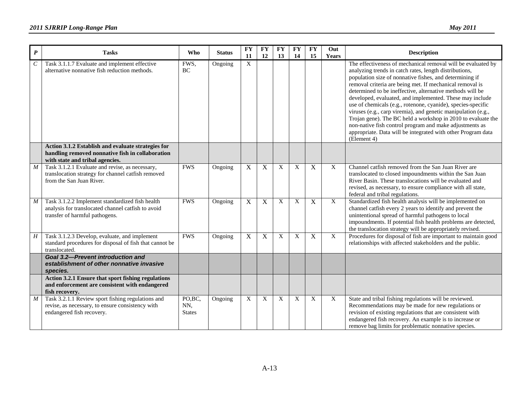| $\pmb{P}$        | <b>Tasks</b>                                                                                                                              | <b>Who</b>                      | <b>Status</b> | <b>FY</b><br>11           | <b>FY</b><br>12 | <b>FY</b><br>13 | <b>FY</b><br>14 | <b>FY</b><br>15 | Out<br><b>Years</b> | <b>Description</b>                                                                                                                                                                                                                                                                                                                                                                                                                                                                                                                                                                                                                                                                                                |
|------------------|-------------------------------------------------------------------------------------------------------------------------------------------|---------------------------------|---------------|---------------------------|-----------------|-----------------|-----------------|-----------------|---------------------|-------------------------------------------------------------------------------------------------------------------------------------------------------------------------------------------------------------------------------------------------------------------------------------------------------------------------------------------------------------------------------------------------------------------------------------------------------------------------------------------------------------------------------------------------------------------------------------------------------------------------------------------------------------------------------------------------------------------|
| $\boldsymbol{C}$ | Task 3.1.1.7 Evaluate and implement effective<br>alternative nonnative fish reduction methods.                                            | FWS,<br><b>BC</b>               | Ongoing       | X                         |                 |                 |                 |                 |                     | The effectiveness of mechanical removal will be evaluated by<br>analyzing trends in catch rates, length distributions,<br>population size of nonnative fishes, and determining if<br>removal criteria are being met. If mechanical removal is<br>determined to be ineffective, alternative methods will be<br>developed, evaluated, and implemented. These may include<br>use of chemicals (e.g., rotenone, cyanide), species-specific<br>viruses (e.g., carp viremia), and genetic manipulation (e.g.,<br>Trojan gene). The BC held a workshop in 2010 to evaluate the<br>non-native fish control program and make adjustments as<br>appropriate. Data will be integrated with other Program data<br>(Element 4) |
|                  | Action 3.1.2 Establish and evaluate strategies for<br>handling removed nonnative fish in collaboration<br>with state and tribal agencies. |                                 |               |                           |                 |                 |                 |                 |                     |                                                                                                                                                                                                                                                                                                                                                                                                                                                                                                                                                                                                                                                                                                                   |
| $\boldsymbol{M}$ | Task 3.1.2.1 Evaluate and revise, as necessary,<br>translocation strategy for channel catfish removed<br>from the San Juan River.         | <b>FWS</b>                      | Ongoing       | $\mathbf X$               | X               | X               | X               | $\mathbf X$     | X                   | Channel catfish removed from the San Juan River are<br>translocated to closed impoundments within the San Juan<br>River Basin. These translocations will be evaluated and<br>revised, as necessary, to ensure compliance with all state,<br>federal and tribal regulations.                                                                                                                                                                                                                                                                                                                                                                                                                                       |
| $\boldsymbol{M}$ | Task 3.1.2.2 Implement standardized fish health<br>analysis for translocated channel catfish to avoid<br>transfer of harmful pathogens.   | <b>FWS</b>                      | Ongoing       | $\mathbf X$               | $\mathbf X$     | X               | X               | $\mathbf X$     | X                   | Standardized fish health analysis will be implemented on<br>channel catfish every 2 years to identify and prevent the<br>unintentional spread of harmful pathogens to local<br>impoundments. If potential fish health problems are detected,<br>the translocation strategy will be appropriately revised.                                                                                                                                                                                                                                                                                                                                                                                                         |
| H                | Task 3.1.2.3 Develop, evaluate, and implement<br>standard procedures for disposal of fish that cannot be<br>translocated.                 | <b>FWS</b>                      | Ongoing       | $\mathbf X$               | X               | X               | X               | $\mathbf X$     | X                   | Procedures for disposal of fish are important to maintain good<br>relationships with affected stakeholders and the public.                                                                                                                                                                                                                                                                                                                                                                                                                                                                                                                                                                                        |
|                  | <b>Goal 3.2-Prevent introduction and</b><br>establishment of other nonnative invasive<br>species.                                         |                                 |               |                           |                 |                 |                 |                 |                     |                                                                                                                                                                                                                                                                                                                                                                                                                                                                                                                                                                                                                                                                                                                   |
|                  | Action 3.2.1 Ensure that sport fishing regulations<br>and enforcement are consistent with endangered<br>fish recovery.                    |                                 |               |                           |                 |                 |                 |                 |                     |                                                                                                                                                                                                                                                                                                                                                                                                                                                                                                                                                                                                                                                                                                                   |
| $\boldsymbol{M}$ | Task 3.2.1.1 Review sport fishing regulations and<br>revise, as necessary, to ensure consistency with<br>endangered fish recovery.        | PO, BC,<br>NN,<br><b>States</b> | Ongoing       | $\boldsymbol{\mathrm{X}}$ | X               | X               | X               | X               | X                   | State and tribal fishing regulations will be reviewed.<br>Recommendations may be made for new regulations or<br>revision of existing regulations that are consistent with<br>endangered fish recovery. An example is to increase or<br>remove bag limits for problematic nonnative species.                                                                                                                                                                                                                                                                                                                                                                                                                       |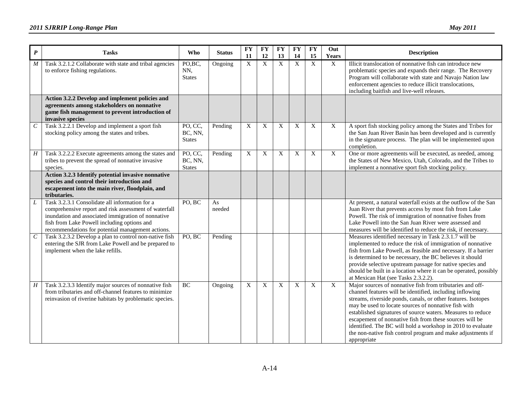| $\boldsymbol{P}$      | <b>Tasks</b>                                                                                                                                                                                                                                                      | Who                                 | <b>Status</b> | <b>FY</b><br>11           | <b>FY</b><br>12           | <b>FY</b><br>13 | <b>FY</b><br>14  | <b>FY</b><br>15 | Out<br>Years | <b>Description</b>                                                                                                                                                                                                                                                                                                                                                                                                                                                                                                    |
|-----------------------|-------------------------------------------------------------------------------------------------------------------------------------------------------------------------------------------------------------------------------------------------------------------|-------------------------------------|---------------|---------------------------|---------------------------|-----------------|------------------|-----------------|--------------|-----------------------------------------------------------------------------------------------------------------------------------------------------------------------------------------------------------------------------------------------------------------------------------------------------------------------------------------------------------------------------------------------------------------------------------------------------------------------------------------------------------------------|
| $\boldsymbol{M}$      | Task 3.2.1.2 Collaborate with state and tribal agencies<br>to enforce fishing regulations.                                                                                                                                                                        | PO,BC,<br>NN,<br><b>States</b>      | Ongoing       | $\mathbf X$               | $\boldsymbol{\mathrm{X}}$ | $\mathbf X$     | X                | $\mathbf X$     | $\mathbf X$  | Illicit translocation of nonnative fish can introduce new<br>problematic species and expands their range. The Recovery<br>Program will collaborate with state and Navajo Nation law<br>enforcement agencies to reduce illicit translocations,<br>including baitfish and live-well releases.                                                                                                                                                                                                                           |
|                       | Action 3.2.2 Develop and implement policies and<br>agreements among stakeholders on nonnative<br>game fish management to prevent introduction of<br>invasive species                                                                                              |                                     |               |                           |                           |                 |                  |                 |              |                                                                                                                                                                                                                                                                                                                                                                                                                                                                                                                       |
| $\mathcal{C}_{0}^{0}$ | Task 3.2.2.1 Develop and implement a sport fish<br>stocking policy among the states and tribes.                                                                                                                                                                   | PO, CC,<br>BC, NN,<br><b>States</b> | Pending       | X                         | X                         | X               | X                | X               | X            | A sport fish stocking policy among the States and Tribes for<br>the San Juan River Basin has been developed and is currently<br>in the signature process. The plan will be implemented upon<br>completion.                                                                                                                                                                                                                                                                                                            |
| $\boldsymbol{H}$      | Task 3.2.2.2 Execute agreements among the states and<br>tribes to prevent the spread of nonnative invasive<br>species.                                                                                                                                            | PO, CC,<br>BC, NN,<br><b>States</b> | Pending       | $\overline{X}$            | $\mathbf X$               | $\mathbf X$     | $\boldsymbol{X}$ | $\mathbf X$     | $\mathbf X$  | One or more agreements will be executed, as needed, among<br>the States of New Mexico, Utah, Colorado, and the Tribes to<br>implement a nonnative sport fish stocking policy.                                                                                                                                                                                                                                                                                                                                         |
|                       | Action 3.2.3 Identify potential invasive nonnative<br>species and control their introduction and<br>escapement into the main river, floodplain, and<br>tributaries.                                                                                               |                                     |               |                           |                           |                 |                  |                 |              |                                                                                                                                                                                                                                                                                                                                                                                                                                                                                                                       |
|                       | Task 3.2.3.1 Consolidate all information for a<br>comprehensive report and risk assessment of waterfall<br>inundation and associated immigration of nonnative<br>fish from Lake Powell including options and<br>recommendations for potential management actions. | PO, BC                              | As<br>needed  |                           |                           |                 |                  |                 |              | At present, a natural waterfall exists at the outflow of the San<br>Juan River that prevents access by most fish from Lake<br>Powell. The risk of immigration of nonnative fishes from<br>Lake Powell into the San Juan River were assessed and<br>measures will be identified to reduce the risk, if necessary.                                                                                                                                                                                                      |
| $\mathcal{C}$         | Task 3.2.3.2 Develop a plan to control non-native fish<br>entering the SJR from Lake Powell and be prepared to<br>implement when the lake refills.                                                                                                                | PO, BC                              | Pending       |                           |                           |                 |                  |                 |              | Measures identified necessary in Task 2.3.1.7 will be<br>implemented to reduce the risk of immigration of nonnative<br>fish from Lake Powell, as feasible and necessary. If a barrier<br>is determined to be necessary, the BC believes it should<br>provide selective upstream passage for native species and<br>should be built in a location where it can be operated, possibly<br>at Mexican Hat (see Tasks 2.3.2.2).                                                                                             |
| H                     | Task 3.2.3.3 Identify major sources of nonnative fish<br>from tributaries and off-channel features to minimize<br>reinvasion of riverine habitats by problematic species.                                                                                         | BC                                  | Ongoing       | $\boldsymbol{\mathrm{X}}$ | X                         | X               | X                | X               | X            | Major sources of nonnative fish from tributaries and off-<br>channel features will be identified, including inflowing<br>streams, riverside ponds, canals, or other features. Isotopes<br>may be used to locate sources of nonnative fish with<br>established signatures of source waters. Measures to reduce<br>escapement of nonnative fish from these sources will be<br>identified. The BC will hold a workshop in 2010 to evaluate<br>the non-native fish control program and make adjustments if<br>appropriate |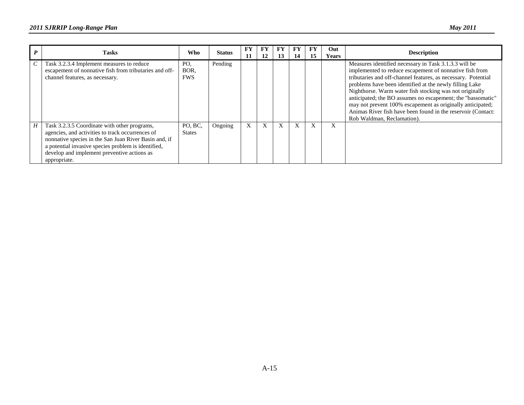|   | <b>Tasks</b>                                                                                                                                                                                                                                                                    | Who                       | <b>Status</b> | FY<br>11 | FY<br>12 | 13 | 14 | FY<br>15  | Out.<br><b>Years</b> | <b>Description</b>                                                                                                                                                                                                                                                                                                                                                                                                                                                                                                                 |
|---|---------------------------------------------------------------------------------------------------------------------------------------------------------------------------------------------------------------------------------------------------------------------------------|---------------------------|---------------|----------|----------|----|----|-----------|----------------------|------------------------------------------------------------------------------------------------------------------------------------------------------------------------------------------------------------------------------------------------------------------------------------------------------------------------------------------------------------------------------------------------------------------------------------------------------------------------------------------------------------------------------------|
|   | Task 3.2.3.4 Implement measures to reduce<br>escapement of nonnative fish from tributaries and off-<br>channel features, as necessary.                                                                                                                                          | PO.<br>BOR.<br><b>FWS</b> | Pending       |          |          |    |    |           |                      | Measures identified necessary in Task 3.1.3.3 will be<br>implemented to reduce escapement of nonnative fish from<br>tributaries and off-channel features, as necessary. Potential<br>problems have been identified at the newly filling Lake<br>Nighthorse. Warm water fish stocking was not originally<br>anticipated; the BO assumes no escapement; the "bassomatic"<br>may not prevent 100% escapement as originally anticipated;<br>Animas River fish have been found in the reservoir (Contact:<br>Rob Waldman, Reclamation). |
| H | Task 3.2.3.5 Coordinate with other programs,<br>agencies, and activities to track occurrences of<br>nonnative species in the San Juan River Basin and, if<br>a potential invasive species problem is identified,<br>develop and implement preventive actions as<br>appropriate. | PO, BC,<br><b>States</b>  | Ongoing       | X        | X        | X  | X  | $\lambda$ | X                    |                                                                                                                                                                                                                                                                                                                                                                                                                                                                                                                                    |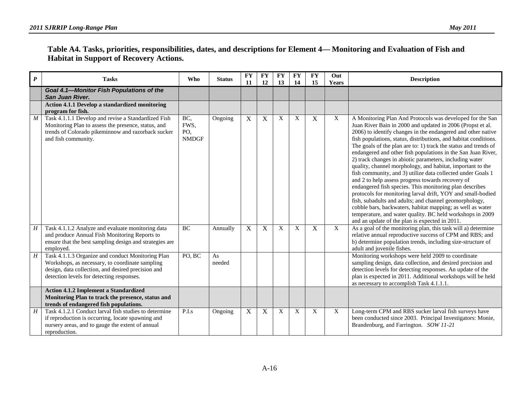| Table A4. Tasks, priorities, responsibilities, dates, and descriptions for Element 4— Monitoring and Evaluation of Fish and |  |
|-----------------------------------------------------------------------------------------------------------------------------|--|
| <b>Habitat in Support of Recovery Actions.</b>                                                                              |  |

| $\boldsymbol{P}$ | <b>Tasks</b>                                                                                                                                                                                            | <b>Who</b>                         | <b>Status</b> | <b>FY</b><br>11 | <b>FY</b><br>12 | <b>FY</b><br>13 | <b>FY</b><br>14 | <b>FY</b><br>15 | Out<br>Years   | <b>Description</b>                                                                                                                                                                                                                                                                                                                                                                                                                                                                                                                                                                                                                                                                                                                                                                                                                                                                                                                                                                                           |
|------------------|---------------------------------------------------------------------------------------------------------------------------------------------------------------------------------------------------------|------------------------------------|---------------|-----------------|-----------------|-----------------|-----------------|-----------------|----------------|--------------------------------------------------------------------------------------------------------------------------------------------------------------------------------------------------------------------------------------------------------------------------------------------------------------------------------------------------------------------------------------------------------------------------------------------------------------------------------------------------------------------------------------------------------------------------------------------------------------------------------------------------------------------------------------------------------------------------------------------------------------------------------------------------------------------------------------------------------------------------------------------------------------------------------------------------------------------------------------------------------------|
|                  | Goal 4.1-Monitor Fish Populations of the<br>San Juan River.                                                                                                                                             |                                    |               |                 |                 |                 |                 |                 |                |                                                                                                                                                                                                                                                                                                                                                                                                                                                                                                                                                                                                                                                                                                                                                                                                                                                                                                                                                                                                              |
|                  | Action 4.1.1 Develop a standardized monitoring<br>program for fish.                                                                                                                                     |                                    |               |                 |                 |                 |                 |                 |                |                                                                                                                                                                                                                                                                                                                                                                                                                                                                                                                                                                                                                                                                                                                                                                                                                                                                                                                                                                                                              |
| $\boldsymbol{M}$ | Task 4.1.1.1 Develop and revise a Standardized Fish<br>Monitoring Plan to assess the presence, status, and<br>trends of Colorado pikeminnow and razorback sucker<br>and fish community.                 | BC,<br>FWS,<br>PO,<br><b>NMDGF</b> | Ongoing       | $\mathbf X$     | $\mathbf X$     | X               | X               | $\mathbf X$     | X              | A Monitoring Plan And Protocols was developed for the San<br>Juan River Bain in 2000 and updated in 2006 (Propst et al.<br>2006) to identify changes in the endangered and other native<br>fish populations, status, distributions, and habitat conditions.<br>The goals of the plan are to: 1) track the status and trends of<br>endangered and other fish populations in the San Juan River,<br>2) track changes in abiotic parameters, including water<br>quality, channel morphology, and habitat, important to the<br>fish community, and 3) utilize data collected under Goals 1<br>and 2 to help assess progress towards recovery of<br>endangered fish species. This monitoring plan describes<br>protocols for monitoring larval drift, YOY and small-bodied<br>fish, subadults and adults; and channel geomorphology,<br>cobble bars, backwaters, habitat mapping; as well as water<br>temperature, and water quality. BC held workshops in 2009<br>and an update of the plan is expected in 2011. |
| H                | Task 4.1.1.2 Analyze and evaluate monitoring data<br>and produce Annual Fish Monitoring Reports to<br>ensure that the best sampling design and strategies are<br>employed.                              | <b>BC</b>                          | Annually      | X               | $\mathbf X$     | X               | $\mathbf{X}$    | X               | $\overline{X}$ | As a goal of the monitoring plan, this task will a) determine<br>relative annual reproductive success of CPM and RBS; and<br>b) determine population trends, including size-structure of<br>adult and juvenile fishes.                                                                                                                                                                                                                                                                                                                                                                                                                                                                                                                                                                                                                                                                                                                                                                                       |
| H                | Task 4.1.1.3 Organize and conduct Monitoring Plan<br>Workshops, as necessary, to coordinate sampling<br>design, data collection, and desired precision and<br>detection levels for detecting responses. | PO, BC                             | As<br>needed  |                 |                 |                 |                 |                 |                | Monitoring workshops were held 2009 to coordinate<br>sampling design, data collection, and desired precision and<br>detection levels for detecting responses. An update of the<br>plan is expected in 2011. Additional workshops will be held<br>as necessary to accomplish Task 4.1.1.1.                                                                                                                                                                                                                                                                                                                                                                                                                                                                                                                                                                                                                                                                                                                    |
|                  | <b>Action 4.1.2 Implement a Standardized</b><br>Monitoring Plan to track the presence, status and<br>trends of endangered fish populations.                                                             |                                    |               |                 |                 |                 |                 |                 |                |                                                                                                                                                                                                                                                                                                                                                                                                                                                                                                                                                                                                                                                                                                                                                                                                                                                                                                                                                                                                              |
| H                | Task 4.1.2.1 Conduct larval fish studies to determine<br>if reproduction is occurring, locate spawning and<br>nursery areas, and to gauge the extent of annual<br>reproduction.                         | P.I.s                              | Ongoing       | X               | X               | X               | X               | X               | X              | Long-term CPM and RBS sucker larval fish surveys have<br>been conducted since 2003. Principal Investigators: Monie,<br>Brandenburg, and Farrington. SOW 11-21                                                                                                                                                                                                                                                                                                                                                                                                                                                                                                                                                                                                                                                                                                                                                                                                                                                |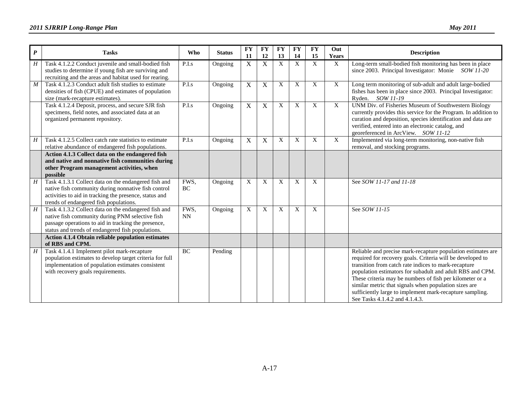| $\boldsymbol{P}$ | <b>Tasks</b>                                                                                                                                                                                                        | Who                | <b>Status</b> | <b>FY</b><br>11           | <b>FY</b><br>12         | <b>FY</b><br>13 | $\overline{\mathbf{F}\mathbf{Y}}$<br>14 | <b>FY</b><br>15 | Out<br>Years   | <b>Description</b>                                                                                                                                                                                                                                                                                                                                                                                                                                                 |
|------------------|---------------------------------------------------------------------------------------------------------------------------------------------------------------------------------------------------------------------|--------------------|---------------|---------------------------|-------------------------|-----------------|-----------------------------------------|-----------------|----------------|--------------------------------------------------------------------------------------------------------------------------------------------------------------------------------------------------------------------------------------------------------------------------------------------------------------------------------------------------------------------------------------------------------------------------------------------------------------------|
| H                | Task 4.1.2.2 Conduct juvenile and small-bodied fish<br>studies to determine if young fish are surviving and<br>recruiting and the areas and habitat used for rearing.                                               | P.I.s              | Ongoing       | $\mathbf X$               | X                       | X               | X                                       | X               | X              | Long-term small-bodied fish monitoring has been in place<br>since 2003. Principal Investigator: Monie SOW 11-20                                                                                                                                                                                                                                                                                                                                                    |
| M                | Task 4.1.2.3 Conduct adult fish studies to estimate<br>densities of fish (CPUE) and estimates of population<br>size (mark-recapture estimates).                                                                     | $\overline{P.I.s}$ | Ongoing       | $\overline{X}$            | $\overline{\mathrm{X}}$ | X               | $\mathbf X$                             | $\mathbf X$     | $\overline{X}$ | Long term monitoring of sub-adult and adult large-bodied<br>fishes has been in place since 2003. Principal Investigator:<br>Ryden. SOW 11-19                                                                                                                                                                                                                                                                                                                       |
|                  | Task 4.1.2.4 Deposit, process, and secure SJR fish<br>specimens, field notes, and associated data at an<br>organized permanent repository.                                                                          | $\overline{P.I.s}$ | Ongoing       | $\mathbf X$               | $\mathbf X$             | X               | $\mathbf X$                             | X               | $\overline{X}$ | UNM Div. of Fisheries Museum of Southwestern Biology<br>currently provides this service for the Program. In addition to<br>curation and deposition, species identification and data are<br>verified, entered into an electronic catalog, and<br>georeferenced in ArcView. SOW 11-12                                                                                                                                                                                |
| H                | Task 4.1.2.5 Collect catch rate statistics to estimate<br>relative abundance of endangered fish populations.                                                                                                        | P.I.s              | Ongoing       | $\mathbf X$               | X                       | X               | X                                       | X               | $\mathbf X$    | Implemented via long-term monitoring, non-native fish<br>removal, and stocking programs.                                                                                                                                                                                                                                                                                                                                                                           |
|                  | Action 4.1.3 Collect data on the endangered fish<br>and native and nonnative fish communities during<br>other Program management activities, when<br>possible                                                       |                    |               |                           |                         |                 |                                         |                 |                |                                                                                                                                                                                                                                                                                                                                                                                                                                                                    |
| $\boldsymbol{H}$ | Task 4.1.3.1 Collect data on the endangered fish and<br>native fish community during nonnative fish control<br>activities to aid in tracking the presence, status and<br>trends of endangered fish populations.     | FWS,<br>BC         | Ongoing       | $\boldsymbol{\mathrm{X}}$ | X                       | X               | X                                       | X               |                | See SOW 11-17 and 11-18                                                                                                                                                                                                                                                                                                                                                                                                                                            |
| H                | Task 4.1.3.2 Collect data on the endangered fish and<br>native fish community during PNM selective fish<br>passage operations to aid in tracking the presence,<br>status and trends of endangered fish populations. | FWS,<br><b>NN</b>  | Ongoing       | $\overline{X}$            | X                       | $\mathbf X$     | X                                       | X               |                | See SOW 11-15                                                                                                                                                                                                                                                                                                                                                                                                                                                      |
|                  | Action 4.1.4 Obtain reliable population estimates<br>of RBS and CPM.                                                                                                                                                |                    |               |                           |                         |                 |                                         |                 |                |                                                                                                                                                                                                                                                                                                                                                                                                                                                                    |
| H                | Task 4.1.4.1 Implement pilot mark-recapture<br>population estimates to develop target criteria for full<br>implementation of population estimates consistent<br>with recovery goals requirements.                   | <b>BC</b>          | Pending       |                           |                         |                 |                                         |                 |                | Reliable and precise mark-recapture population estimates are<br>required for recovery goals. Criteria will be developed to<br>transition from catch rate indices to mark-recapture<br>population estimators for subadult and adult RBS and CPM.<br>These criteria may be numbers of fish per kilometer or a<br>similar metric that signals when population sizes are<br>sufficiently large to implement mark-recapture sampling.<br>See Tasks 4.1.4.2 and 4.1.4.3. |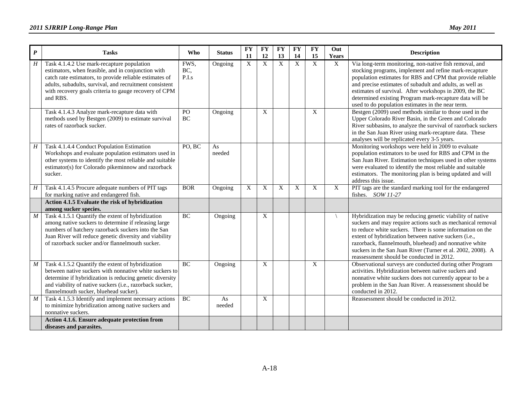| $\boldsymbol{P}$ | <b>Tasks</b>                                                                                                                                                                                                                                                                                | Who                  | <b>Status</b> | <b>FY</b><br>11 | <b>FY</b><br>12 | <b>FY</b><br>13 | <b>FY</b><br>14 | <b>FY</b><br>15           | Out<br>Years | <b>Description</b>                                                                                                                                                                                                                                                                                                                                                                                                   |
|------------------|---------------------------------------------------------------------------------------------------------------------------------------------------------------------------------------------------------------------------------------------------------------------------------------------|----------------------|---------------|-----------------|-----------------|-----------------|-----------------|---------------------------|--------------|----------------------------------------------------------------------------------------------------------------------------------------------------------------------------------------------------------------------------------------------------------------------------------------------------------------------------------------------------------------------------------------------------------------------|
| $H_{\rm}$        | Task 4.1.4.2 Use mark-recapture population<br>estimators, when feasible, and in conjunction with<br>catch rate estimators, to provide reliable estimates of<br>adults, subadults, survival, and recruitment consistent<br>with recovery goals criteria to gauge recovery of CPM<br>and RBS. | FWS,<br>BC,<br>P.I.s | Ongoing       | $\mathbf X$     | X               | X               | X               | X                         | X            | Via long-term monitoring, non-native fish removal, and<br>stocking programs, implement and refine mark-recapture<br>population estimates for RBS and CPM that provide reliable<br>and precise estimates of subadult and adults, as well as<br>estimates of survival. After workshops in 2009, the BC<br>determined existing Program mark-recapture data will be<br>used to do population estimates in the near term. |
|                  | Task 4.1.4.3 Analyze mark-recapture data with<br>methods used by Bestgen (2009) to estimate survival<br>rates of razorback sucker.                                                                                                                                                          | PO<br>$\rm BC$       | Ongoing       |                 | $\mathbf X$     |                 |                 | $\boldsymbol{\mathrm{X}}$ |              | Bestgen (2009) used methods similar to those used in the<br>Upper Colorado River Basin, in the Green and Colorado<br>River subbasins, to analyze the survival of razorback suckers<br>in the San Juan River using mark-recapture data. These<br>analyses will be replicated every 3-5 years.                                                                                                                         |
| H                | Task 4.1.4.4 Conduct Population Estimation<br>Workshops and evaluate population estimators used in<br>other systems to identify the most reliable and suitable<br>estimator(s) for Colorado pikeminnow and razorback<br>sucker.                                                             | PO, BC               | As<br>needed  |                 |                 |                 |                 |                           |              | Monitoring workshops were held in 2009 to evaluate<br>population estimators to be used for RBS and CPM in the<br>San Juan River. Estimation techniques used in other systems<br>were evaluated to identify the most reliable and suitable<br>estimators. The monitoring plan is being updated and will<br>address this issue.                                                                                        |
| H                | Task 4.1.4.5 Procure adequate numbers of PIT tags<br>for marking native and endangered fish.                                                                                                                                                                                                | <b>BOR</b>           | Ongoing       | $\mathbf X$     | $\mathbf X$     | X               | X               | X                         | $\mathbf X$  | PIT tags are the standard marking tool for the endangered<br>fishes. $SOW11-27$                                                                                                                                                                                                                                                                                                                                      |
|                  | Action 4.1.5 Evaluate the risk of hybridization<br>among sucker species.                                                                                                                                                                                                                    |                      |               |                 |                 |                 |                 |                           |              |                                                                                                                                                                                                                                                                                                                                                                                                                      |
| $\cal M$         | Task 4.1.5.1 Quantify the extent of hybridization<br>among native suckers to determine if releasing large<br>numbers of hatchery razorback suckers into the San<br>Juan River will reduce genetic diversity and viability<br>of razorback sucker and/or flannelmouth sucker.                | BC                   | Ongoing       |                 | $\mathbf X$     |                 |                 |                           |              | Hybridization may be reducing genetic viability of native<br>suckers and may require actions such as mechanical removal<br>to reduce white suckers. There is some information on the<br>extent of hybridization between native suckers (i.e.,<br>razorback, flannelmouth, bluehead) and nonnative white<br>suckers in the San Juan River (Turner et al. 2002, 2008). A<br>reassessment should be conducted in 2012.  |
| M                | Task 4.1.5.2 Quantify the extent of hybridization<br>between native suckers with nonnative white suckers to<br>determine if hybridization is reducing genetic diversity<br>and viability of native suckers (i.e., razorback sucker,<br>flannelmouth sucker, bluehead sucker).               | BC                   | Ongoing       |                 | X               |                 |                 | X                         |              | Observational surveys are conducted during other Program<br>activities. Hybridization between native suckers and<br>nonnative white suckers does not currently appear to be a<br>problem in the San Juan River. A reassessment should be<br>conducted in 2012.                                                                                                                                                       |
| $\boldsymbol{M}$ | Task 4.1.5.3 Identify and implement necessary actions<br>to minimize hybridization among native suckers and<br>nonnative suckers.                                                                                                                                                           | BC                   | As<br>needed  |                 | X               |                 |                 |                           |              | Reassessment should be conducted in 2012.                                                                                                                                                                                                                                                                                                                                                                            |
|                  | Action 4.1.6. Ensure adequate protection from<br>diseases and parasites.                                                                                                                                                                                                                    |                      |               |                 |                 |                 |                 |                           |              |                                                                                                                                                                                                                                                                                                                                                                                                                      |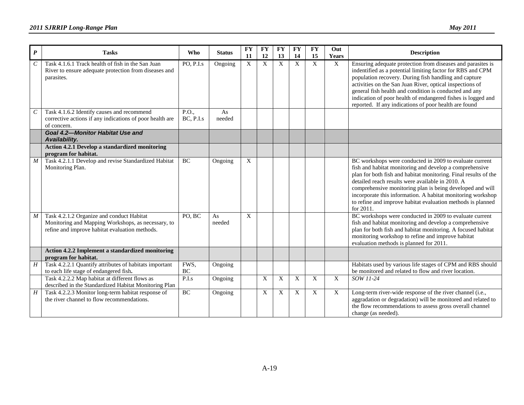| P                | <b>Tasks</b>                                                                                                                                      | <b>Who</b>         | <b>Status</b> | <b>FY</b><br><b>11</b> | <b>FY</b><br>12 | FY<br>13 | <b>FY</b><br>14 | <b>FY</b><br>15 | Out<br>Years | <b>Description</b>                                                                                                                                                                                                                                                                                                                                                                                                                                |
|------------------|---------------------------------------------------------------------------------------------------------------------------------------------------|--------------------|---------------|------------------------|-----------------|----------|-----------------|-----------------|--------------|---------------------------------------------------------------------------------------------------------------------------------------------------------------------------------------------------------------------------------------------------------------------------------------------------------------------------------------------------------------------------------------------------------------------------------------------------|
| $\,c\,$          | Task 4.1.6.1 Track health of fish in the San Juan<br>River to ensure adequate protection from diseases and<br>parasites.                          | PO, P.I.s          | Ongoing       | $\boldsymbol{X}$       | $\overline{X}$  | X        | X               | X               | $\mathbf X$  | Ensuring adequate protection from diseases and parasites is<br>indentified as a potential limiting factor for RBS and CPM<br>population recovery. During fish handling and capture<br>activities on the San Juan River, optical inspections of<br>general fish health and condition is conducted and any<br>indication of poor health of endangered fishes is logged and<br>reported. If any indications of poor health are found                 |
| $\,$             | Task 4.1.6.2 Identify causes and recommend<br>corrective actions if any indications of poor health are<br>of concern.                             | P.O.,<br>BC, P.I.s | As<br>needed  |                        |                 |          |                 |                 |              |                                                                                                                                                                                                                                                                                                                                                                                                                                                   |
|                  | Goal 4.2-Monitor Habitat Use and<br>Availability.                                                                                                 |                    |               |                        |                 |          |                 |                 |              |                                                                                                                                                                                                                                                                                                                                                                                                                                                   |
|                  | <b>Action 4.2.1 Develop a standardized monitoring</b><br>program for habitat.                                                                     |                    |               |                        |                 |          |                 |                 |              |                                                                                                                                                                                                                                                                                                                                                                                                                                                   |
| $\overline{M}$   | Task 4.2.1.1 Develop and revise Standardized Habitat<br>Monitoring Plan.                                                                          | $\rm BC$           | Ongoing       | X                      |                 |          |                 |                 |              | BC workshops were conducted in 2009 to evaluate current<br>fish and habitat monitoring and develop a comprehensive<br>plan for both fish and habitat monitoring. Final results of the<br>detailed reach results were available in 2010. A<br>comprehensive monitoring plan is being developed and will<br>incorporate this information. A habitat monitoring workshop<br>to refine and improve habitat evaluation methods is planned<br>for 2011. |
| $\boldsymbol{M}$ | Task 4.2.1.2 Organize and conduct Habitat<br>Monitoring and Mapping Workshops, as necessary, to<br>refine and improve habitat evaluation methods. | PO, BC             | As<br>needed  | X                      |                 |          |                 |                 |              | BC workshops were conducted in 2009 to evaluate current<br>fish and habitat monitoring and develop a comprehensive<br>plan for both fish and habitat monitoring. A focused habitat<br>monitoring workshop to refine and improve habitat<br>evaluation methods is planned for 2011.                                                                                                                                                                |
|                  | <b>Action 4.2.2 Implement a standardized monitoring</b><br>program for habitat.                                                                   |                    |               |                        |                 |          |                 |                 |              |                                                                                                                                                                                                                                                                                                                                                                                                                                                   |
| H                | Task 4.2.2.1 Quantify attributes of habitats important<br>to each life stage of endangered fish.                                                  | FWS,<br>$\rm BC$   | Ongoing       |                        |                 |          |                 |                 |              | Habitats used by various life stages of CPM and RBS should<br>be monitored and related to flow and river location.                                                                                                                                                                                                                                                                                                                                |
|                  | Task 4.2.2.2 Map habitat at different flows as<br>described in the Standardized Habitat Monitoring Plan                                           | P.I.s              | Ongoing       |                        | X               | X        | X               | X               | $\mathbf X$  | SOW 11-24                                                                                                                                                                                                                                                                                                                                                                                                                                         |
| H                | Task 4.2.2.3 Monitor long-term habitat response of<br>the river channel to flow recommendations.                                                  | BC                 | Ongoing       |                        | X               | X        | X               | X               | $\mathbf X$  | Long-term river-wide response of the river channel (i.e.,<br>aggradation or degradation) will be monitored and related to<br>the flow recommendations to assess gross overall channel<br>change (as needed).                                                                                                                                                                                                                                      |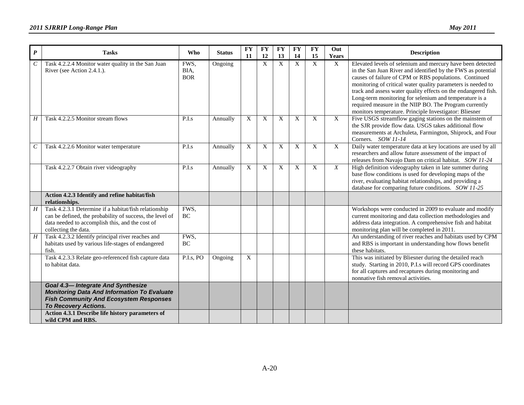| $\boldsymbol{P}$      | <b>Tasks</b>                                                                                                                                                                                 | <b>Who</b>                 | <b>Status</b> | $\mathbf{F}\mathbf{Y}$<br>11 | <b>FY</b><br>12 | <b>FY</b><br>13 | <b>FY</b><br>14 | <b>FY</b><br>15 | Out<br>Years              | <b>Description</b>                                                                                                                                                                                                                                                                                                                                                                                                                                                                                   |
|-----------------------|----------------------------------------------------------------------------------------------------------------------------------------------------------------------------------------------|----------------------------|---------------|------------------------------|-----------------|-----------------|-----------------|-----------------|---------------------------|------------------------------------------------------------------------------------------------------------------------------------------------------------------------------------------------------------------------------------------------------------------------------------------------------------------------------------------------------------------------------------------------------------------------------------------------------------------------------------------------------|
| $\mathcal{C}_{0}^{0}$ | Task 4.2.2.4 Monitor water quality in the San Juan<br>River (see Action 2.4.1.).                                                                                                             | FWS,<br>BIA,<br><b>BOR</b> | Ongoing       |                              | X               | $\mathbf X$     | X               | X               | $\boldsymbol{\mathrm{X}}$ | Elevated levels of selenium and mercury have been detected<br>in the San Juan River and identified by the FWS as potential<br>causes of failure of CPM or RBS populations. Continued<br>monitoring of critical water quality parameters is needed to<br>track and assess water quality effects on the endangered fish.<br>Long-term monitoring for selenium and temperature is a<br>required measure in the NIIP BO. The Program currently<br>monitors temperature. Principle Investigator: Bliesner |
| Η                     | Task 4.2.2.5 Monitor stream flows                                                                                                                                                            | P.L <sub>s</sub>           | Annually      | X                            | X               | X               | X               | X               | $\mathbf{X}$              | Five USGS streamflow gaging stations on the mainstem of<br>the SJR provide flow data. USGS takes additional flow<br>measurements at Archuleta, Farmington, Shiprock, and Four<br>Corners. SOW 11-14                                                                                                                                                                                                                                                                                                  |
| $\cal C$              | Task 4.2.2.6 Monitor water temperature                                                                                                                                                       | P.I.s                      | Annually      | $\mathbf X$                  | $\overline{X}$  | X               | $\mathbf X$     | X               | $\mathbf X$               | Daily water temperature data at key locations are used by all<br>researchers and allow future assessment of the impact of<br>releases from Navajo Dam on critical habitat. SOW 11-24                                                                                                                                                                                                                                                                                                                 |
|                       | Task 4.2.2.7 Obtain river videography                                                                                                                                                        | P.I.s                      | Annually      | X                            | X               | X               | X               | X               | X                         | High definition videography taken in late summer during<br>base flow conditions is used for developing maps of the<br>river, evaluating habitat relationships, and providing a<br>database for comparing future conditions. SOW 11-25                                                                                                                                                                                                                                                                |
|                       | Action 4.2.3 Identify and refine habitat/fish<br>relationships.                                                                                                                              |                            |               |                              |                 |                 |                 |                 |                           |                                                                                                                                                                                                                                                                                                                                                                                                                                                                                                      |
| $\boldsymbol{H}$      | Task 4.2.3.1 Determine if a habitat/fish relationship<br>can be defined, the probability of success, the level of<br>data needed to accomplish this, and the cost of<br>collecting the data. | FWS,<br>$\rm BC$           |               |                              |                 |                 |                 |                 |                           | Workshops were conducted in 2009 to evaluate and modify<br>current monitoring and data collection methodologies and<br>address data integration. A comprehensive fish and habitat<br>monitoring plan will be completed in 2011                                                                                                                                                                                                                                                                       |
| H                     | Task 4.2.3.2 Identify principal river reaches and<br>habitats used by various life-stages of endangered<br>fish.                                                                             | FWS,<br>BC                 |               |                              |                 |                 |                 |                 |                           | An understanding of river reaches and habitats used by CPM<br>and RBS is important in understanding how flows benefit<br>these habitats.                                                                                                                                                                                                                                                                                                                                                             |
|                       | Task 4.2.3.3 Relate geo-referenced fish capture data<br>to habitat data.                                                                                                                     | P.I.s, PO                  | Ongoing       | $\overline{X}$               |                 |                 |                 |                 |                           | This was initiated by Bliesner during the detailed reach<br>study. Starting in 2010, P.I.s will record GPS coordinates<br>for all captures and recaptures during monitoring and<br>nonnative fish removal activities.                                                                                                                                                                                                                                                                                |
|                       | Goal 4.3-Integrate And Synthesize<br><b>Monitoring Data And Information To Evaluate</b><br><b>Fish Community And Ecosystem Responses</b><br><b>To Recovery Actions.</b>                      |                            |               |                              |                 |                 |                 |                 |                           |                                                                                                                                                                                                                                                                                                                                                                                                                                                                                                      |
|                       | Action 4.3.1 Describe life history parameters of<br>wild CPM and RBS.                                                                                                                        |                            |               |                              |                 |                 |                 |                 |                           |                                                                                                                                                                                                                                                                                                                                                                                                                                                                                                      |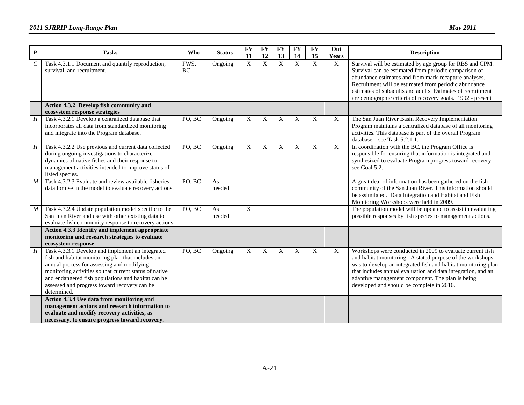| $\boldsymbol{P}$ | <b>Tasks</b>                                                                                                                                                                                                                                                                                                                       | <b>Who</b>          | <b>Status</b> | <b>FY</b><br>11           | <b>FY</b><br>12 | <b>FY</b><br>13 | FY<br>14 | <b>FY</b><br>15 | Out<br>Years              | <b>Description</b>                                                                                                                                                                                                                                                                                                                                               |
|------------------|------------------------------------------------------------------------------------------------------------------------------------------------------------------------------------------------------------------------------------------------------------------------------------------------------------------------------------|---------------------|---------------|---------------------------|-----------------|-----------------|----------|-----------------|---------------------------|------------------------------------------------------------------------------------------------------------------------------------------------------------------------------------------------------------------------------------------------------------------------------------------------------------------------------------------------------------------|
| C                | Task 4.3.1.1 Document and quantify reproduction,<br>survival, and recruitment.                                                                                                                                                                                                                                                     | FWS,<br><b>BC</b>   | Ongoing       | X                         | X               | $\mathbf X$     | X        | $\mathbf X$     | $\mathbf X$               | Survival will be estimated by age group for RBS and CPM.<br>Survival can be estimated from periodic comparison of<br>abundance estimates and from mark-recapture analyses.<br>Recruitment will be estimated from periodic abundance<br>estimates of subadults and adults. Estimates of recruitment<br>are demographic criteria of recovery goals. 1992 - present |
|                  | Action 4.3.2 Develop fish community and<br>ecosystem response strategies                                                                                                                                                                                                                                                           |                     |               |                           |                 |                 |          |                 |                           |                                                                                                                                                                                                                                                                                                                                                                  |
| H                | Task 4.3.2.1 Develop a centralized database that<br>incorporates all data from standardized monitoring<br>and integrate into the Program database.                                                                                                                                                                                 | $PO, \overline{BC}$ | Ongoing       | X                         | X               | X               | X        | X               | $\mathbf{X}$              | The San Juan River Basin Recovery Implementation<br>Program maintains a centralized database of all monitoring<br>activities. This database is part of the overall Program<br>database—see Task 5.2.1.1.                                                                                                                                                         |
| $H_{-}$          | Task 4.3.2.2 Use previous and current data collected<br>during ongoing investigations to characterize<br>dynamics of native fishes and their response to<br>management activities intended to improve status of<br>listed species.                                                                                                 | PO, BC              | Ongoing       | X                         | X               | X               | X        | X               | $\overline{X}$            | In coordination with the BC, the Program Office is<br>responsible for ensuring that information is integrated and<br>synthesized to evaluate Program progress toward recovery-<br>see Goal 5.2.                                                                                                                                                                  |
| M                | Task 4.3.2.3 Evaluate and review available fisheries<br>data for use in the model to evaluate recovery actions.                                                                                                                                                                                                                    | PO, BC              | As<br>needed  |                           |                 |                 |          |                 |                           | A great deal of information has been gathered on the fish<br>community of the San Juan River. This information should<br>be assimilated. Data Integration and Habitat and Fish<br>Monitoring Workshops were held in 2009.                                                                                                                                        |
| M                | Task 4.3.2.4 Update population model specific to the<br>San Juan River and use with other existing data to<br>evaluate fish community response to recovery actions.                                                                                                                                                                | $PO, \overline{BC}$ | As<br>needed  | X                         |                 |                 |          |                 |                           | The population model will be updated to assist in evaluating<br>possible responses by fish species to management actions.                                                                                                                                                                                                                                        |
|                  | Action 4.3.3 Identify and implement appropriate<br>monitoring and research strategies to evaluate<br>ecosystem response                                                                                                                                                                                                            |                     |               |                           |                 |                 |          |                 |                           |                                                                                                                                                                                                                                                                                                                                                                  |
| H                | Task 4.3.3.1 Develop and implement an integrated<br>fish and habitat monitoring plan that includes an<br>annual process for assessing and modifying<br>monitoring activities so that current status of native<br>and endangered fish populations and habitat can be<br>assessed and progress toward recovery can be<br>determined. | PO, BC              | Ongoing       | $\boldsymbol{\mathrm{X}}$ | X               | X               | X        | X               | $\boldsymbol{\mathrm{X}}$ | Workshops were conducted in 2009 to evaluate current fish<br>and habitat monitoring. A stated purpose of the workshops<br>was to develop an integrated fish and habitat monitoring plan<br>that includes annual evaluation and data integration, and an<br>adaptive management component. The plan is being<br>developed and should be complete in 2010.         |
|                  | Action 4.3.4 Use data from monitoring and<br>management actions and research information to<br>evaluate and modify recovery activities, as<br>necessary, to ensure progress toward recovery.                                                                                                                                       |                     |               |                           |                 |                 |          |                 |                           |                                                                                                                                                                                                                                                                                                                                                                  |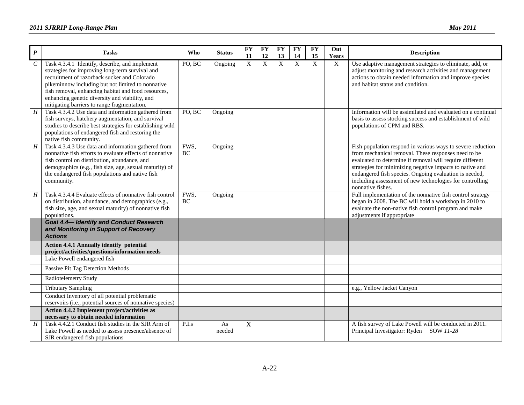| $\boldsymbol{P}$            | <b>Tasks</b>                                                                                                                                                                                                                                                                                                                                                   | <b>Who</b> | <b>Status</b> | <b>FY</b><br>11 | <b>FY</b><br>12 | ${\bf F}{\bf Y}$<br>13 | <b>FY</b><br>14 | <b>FY</b><br>15 | Out<br><b>Years</b>       | <b>Description</b>                                                                                                                                                                                                                                                                                                                                                                    |
|-----------------------------|----------------------------------------------------------------------------------------------------------------------------------------------------------------------------------------------------------------------------------------------------------------------------------------------------------------------------------------------------------------|------------|---------------|-----------------|-----------------|------------------------|-----------------|-----------------|---------------------------|---------------------------------------------------------------------------------------------------------------------------------------------------------------------------------------------------------------------------------------------------------------------------------------------------------------------------------------------------------------------------------------|
| $\mathcal{C}_{\mathcal{C}}$ | Task 4.3.4.1 Identify, describe, and implement<br>strategies for improving long-term survival and<br>recruitment of razorback sucker and Colorado<br>pikeminnow including but not limited to nonnative<br>fish removal, enhancing habitat and food resources,<br>enhancing genetic diversity and viability, and<br>mitigating barriers to range fragmentation. | PO, BC     | Ongoing       | X               | X               | $\mathbf X$            | X               | X               | $\boldsymbol{\mathrm{X}}$ | Use adaptive management strategies to eliminate, add, or<br>adjust monitoring and research activities and management<br>actions to obtain needed information and improve species<br>and habitat status and condition.                                                                                                                                                                 |
| H                           | Task 4.3.4.2 Use data and information gathered from<br>fish surveys, hatchery augmentation, and survival<br>studies to describe best strategies for establishing wild<br>populations of endangered fish and restoring the<br>native fish community.                                                                                                            | PO, BC     | Ongoing       |                 |                 |                        |                 |                 |                           | Information will be assimilated and evaluated on a continual<br>basis to assess stocking success and establishment of wild<br>populations of CPM and RBS.                                                                                                                                                                                                                             |
| $\overline{H}$              | Task 4.3.4.3 Use data and information gathered from<br>nonnative fish efforts to evaluate effects of nonnative<br>fish control on distribution, abundance, and<br>demographics (e.g., fish size, age, sexual maturity) of<br>the endangered fish populations and native fish<br>community.                                                                     | FWS,<br>BC | Ongoing       |                 |                 |                        |                 |                 |                           | Fish population respond in various ways to severe reduction<br>from mechanical removal. These responses need to be<br>evaluated to determine if removal will require different<br>strategies for minimizing negative impacts to native and<br>endangered fish species. Ongoing evaluation is needed,<br>including assessment of new technologies for controlling<br>nonnative fishes. |
| H                           | Task 4.3.4.4 Evaluate effects of nonnative fish control<br>on distribution, abundance, and demographics (e.g.,<br>fish size, age, and sexual maturity) of nonnative fish<br>populations.                                                                                                                                                                       | FWS,<br>BC | Ongoing       |                 |                 |                        |                 |                 |                           | Full implementation of the nonnative fish control strategy<br>began in 2008. The BC will hold a workshop in 2010 to<br>evaluate the non-native fish control program and make<br>adjustments if appropriate                                                                                                                                                                            |
|                             | <b>Goal 4.4-Identify and Conduct Research</b><br>and Monitoring in Support of Recovery<br><b>Actions</b>                                                                                                                                                                                                                                                       |            |               |                 |                 |                        |                 |                 |                           |                                                                                                                                                                                                                                                                                                                                                                                       |
|                             | <b>Action 4.4.1 Annually identify potential</b><br>project/activities/questions/information needs                                                                                                                                                                                                                                                              |            |               |                 |                 |                        |                 |                 |                           |                                                                                                                                                                                                                                                                                                                                                                                       |
|                             | Lake Powell endangered fish                                                                                                                                                                                                                                                                                                                                    |            |               |                 |                 |                        |                 |                 |                           |                                                                                                                                                                                                                                                                                                                                                                                       |
|                             | Passive Pit Tag Detection Methods                                                                                                                                                                                                                                                                                                                              |            |               |                 |                 |                        |                 |                 |                           |                                                                                                                                                                                                                                                                                                                                                                                       |
|                             | Radiotelemetry Study                                                                                                                                                                                                                                                                                                                                           |            |               |                 |                 |                        |                 |                 |                           |                                                                                                                                                                                                                                                                                                                                                                                       |
|                             | <b>Tributary Sampling</b>                                                                                                                                                                                                                                                                                                                                      |            |               |                 |                 |                        |                 |                 |                           | e.g., Yellow Jacket Canyon                                                                                                                                                                                                                                                                                                                                                            |
|                             | Conduct Inventory of all potential problematic<br>reservoirs (i.e., potential sources of nonnative species)                                                                                                                                                                                                                                                    |            |               |                 |                 |                        |                 |                 |                           |                                                                                                                                                                                                                                                                                                                                                                                       |
|                             | Action 4.4.2 Implement project/activities as<br>necessary to obtain needed information                                                                                                                                                                                                                                                                         |            |               |                 |                 |                        |                 |                 |                           |                                                                                                                                                                                                                                                                                                                                                                                       |
| $\boldsymbol{H}$            | Task 4.4.2.1 Conduct fish studies in the SJR Arm of<br>Lake Powell as needed to assess presence/absence of<br>SJR endangered fish populations                                                                                                                                                                                                                  | P.I.s      | As<br>needed  | $\mathbf X$     |                 |                        |                 |                 |                           | A fish survey of Lake Powell will be conducted in 2011.<br>Principal Investigator: Ryden SOW 11-28                                                                                                                                                                                                                                                                                    |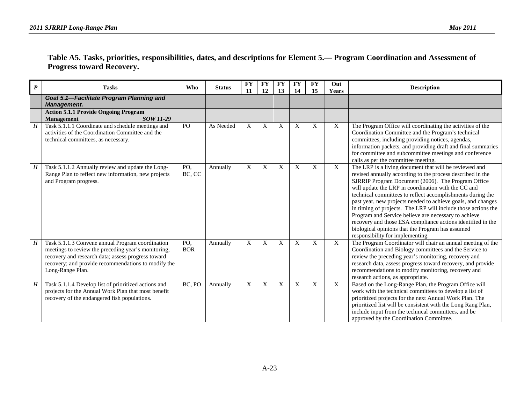#### **Table A5. Tasks, priorities, responsibilities, dates, and descriptions for Element 5.— Program Coordination and Assessment of Progress toward Recovery.**

| $\boldsymbol{P}$ | <b>Tasks</b>                                                                                                                                                                                                                             | Who               | <b>Status</b> | <b>FY</b><br>11 | <b>FY</b><br>12 | <b>FY</b><br>13 | <b>FY</b><br>14 | <b>FY</b><br>15 | Out<br>Years | <b>Description</b>                                                                                                                                                                                                                                                                                                                                                                                                                                                                                                                                                                                                                              |
|------------------|------------------------------------------------------------------------------------------------------------------------------------------------------------------------------------------------------------------------------------------|-------------------|---------------|-----------------|-----------------|-----------------|-----------------|-----------------|--------------|-------------------------------------------------------------------------------------------------------------------------------------------------------------------------------------------------------------------------------------------------------------------------------------------------------------------------------------------------------------------------------------------------------------------------------------------------------------------------------------------------------------------------------------------------------------------------------------------------------------------------------------------------|
|                  | Goal 5.1-Facilitate Program Planning and<br><b>Management.</b>                                                                                                                                                                           |                   |               |                 |                 |                 |                 |                 |              |                                                                                                                                                                                                                                                                                                                                                                                                                                                                                                                                                                                                                                                 |
|                  | <b>Action 5.1.1 Provide Ongoing Program</b><br><b>Management</b><br>SOW 11-29                                                                                                                                                            |                   |               |                 |                 |                 |                 |                 |              |                                                                                                                                                                                                                                                                                                                                                                                                                                                                                                                                                                                                                                                 |
| H                | Task 5.1.1.1 Coordinate and schedule meetings and<br>activities of the Coordination Committee and the<br>technical committees, as necessary.                                                                                             | PO                | As Needed     | X               | X               | X               | X               | X               | X            | The Program Office will coordinating the activities of the<br>Coordination Committee and the Program's technical<br>committees, including providing notices, agendas,<br>information packets, and providing draft and final summaries<br>for committee and subcommittee meetings and conference<br>calls as per the committee meeting.                                                                                                                                                                                                                                                                                                          |
| H                | Task 5.1.1.2 Annually review and update the Long-<br>Range Plan to reflect new information, new projects<br>and Program progress.                                                                                                        | PO,<br>BC, CC     | Annually      | X               | X               | X               | X               | $\mathbf{X}$    | $\mathbf{X}$ | The LRP is a living document that will be reviewed and<br>revised annually according to the process described in the<br>SJRRIP Program Document (2006). The Program Office<br>will update the LRP in coordination with the CC and<br>technical committees to reflect accomplishments during the<br>past year, new projects needed to achieve goals, and changes<br>in timing of projects. The LRP will include those actions the<br>Program and Service believe are necessary to achieve<br>recovery and those ESA compliance actions identified in the<br>biological opinions that the Program has assumed<br>responsibility for implementing. |
| Н                | Task 5.1.1.3 Convene annual Program coordination<br>meetings to review the preceding year's monitoring,<br>recovery and research data; assess progress toward<br>recovery; and provide recommendations to modify the<br>Long-Range Plan. | PO,<br><b>BOR</b> | Annually      | X               | X               | X               | $\mathbf X$     | X               | X            | The Program Coordinator will chair an annual meeting of the<br>Coordination and Biology committees and the Service to<br>review the preceding year's monitoring, recovery and<br>research data, assess progress toward recovery, and provide<br>recommendations to modify monitoring, recovery and<br>research actions, as appropriate.                                                                                                                                                                                                                                                                                                         |
| H                | Task 5.1.1.4 Develop list of prioritized actions and<br>projects for the Annual Work Plan that most benefit<br>recovery of the endangered fish populations.                                                                              | BC, PO            | Annually      | X               | X               | X               | X               | X               | X            | Based on the Long-Range Plan, the Program Office will<br>work with the technical committees to develop a list of<br>prioritized projects for the next Annual Work Plan. The<br>prioritized list will be consistent with the Long Rang Plan,<br>include input from the technical committees, and be<br>approved by the Coordination Committee.                                                                                                                                                                                                                                                                                                   |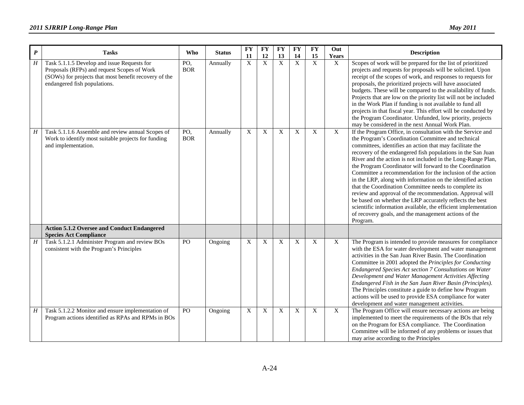| $\boldsymbol{P}$ | <b>Tasks</b>                                                                                                                                                                        | Who               | <b>Status</b> | <b>FY</b><br>11           | <b>FY</b><br>12 | <b>FY</b><br>13           | <b>FY</b><br>14           | $\mathbf{F}\mathbf{Y}$<br>15 | Out<br>Years | <b>Description</b>                                                                                                                                                                                                                                                                                                                                                                                                                                                                                                                                                                                                                                                                                                                                                                                                           |
|------------------|-------------------------------------------------------------------------------------------------------------------------------------------------------------------------------------|-------------------|---------------|---------------------------|-----------------|---------------------------|---------------------------|------------------------------|--------------|------------------------------------------------------------------------------------------------------------------------------------------------------------------------------------------------------------------------------------------------------------------------------------------------------------------------------------------------------------------------------------------------------------------------------------------------------------------------------------------------------------------------------------------------------------------------------------------------------------------------------------------------------------------------------------------------------------------------------------------------------------------------------------------------------------------------------|
| H                | Task 5.1.1.5 Develop and issue Requests for<br>Proposals (RFPs) and request Scopes of Work<br>(SOWs) for projects that most benefit recovery of the<br>endangered fish populations. | PO,<br><b>BOR</b> | Annually      | X                         | X               | $\overline{X}$            | $\overline{X}$            | X                            | $\mathbf{X}$ | Scopes of work will be prepared for the list of prioritized<br>projects and requests for proposals will be solicited. Upon<br>receipt of the scopes of work, and responses to requests for<br>proposals, the prioritized projects will have associated<br>budgets. These will be compared to the availability of funds.<br>Projects that are low on the priority list will not be included<br>in the Work Plan if funding is not available to fund all<br>projects in that fiscal year. This effort will be conducted by<br>the Program Coordinator. Unfunded, low priority, projects<br>may be considered in the next Annual Work Plan.                                                                                                                                                                                     |
| H                | Task 5.1.1.6 Assemble and review annual Scopes of<br>Work to identify most suitable projects for funding<br>and implementation.                                                     | PO,<br><b>BOR</b> | Annually      | X                         | X               | $\mathbf X$               | $\boldsymbol{\mathrm{X}}$ | X                            | $\mathbf X$  | If the Program Office, in consultation with the Service and<br>the Program's Coordination Committee and technical<br>committees, identifies an action that may facilitate the<br>recovery of the endangered fish populations in the San Juan<br>River and the action is not included in the Long-Range Plan,<br>the Program Coordinator will forward to the Coordination<br>Committee a recommendation for the inclusion of the action<br>in the LRP, along with information on the identified action<br>that the Coordination Committee needs to complete its<br>review and approval of the recommendation. Approval will<br>be based on whether the LRP accurately reflects the best<br>scientific information available, the efficient implementation<br>of recovery goals, and the management actions of the<br>Program. |
|                  | <b>Action 5.1.2 Oversee and Conduct Endangered</b><br><b>Species Act Compliance</b>                                                                                                 |                   |               |                           |                 |                           |                           |                              |              |                                                                                                                                                                                                                                                                                                                                                                                                                                                                                                                                                                                                                                                                                                                                                                                                                              |
| $\boldsymbol{H}$ | Task 5.1.2.1 Administer Program and review BOs<br>consistent with the Program's Principles                                                                                          | PO                | Ongoing       | X                         | X               | $\mathbf{X}$              | $\boldsymbol{\mathrm{X}}$ | X                            | X            | The Program is intended to provide measures for compliance<br>with the ESA for water development and water management<br>activities in the San Juan River Basin. The Coordination<br>Committee in 2001 adopted the Principles for Conducting<br>Endangered Species Act section 7 Consultations on Water<br>Development and Water Management Activities Affecting<br>Endangered Fish in the San Juan River Basin (Principles).<br>The Principles constitute a guide to define how Program<br>actions will be used to provide ESA compliance for water<br>development and water management activities.                                                                                                                                                                                                                         |
| H                | Task 5.1.2.2 Monitor and ensure implementation of<br>Program actions identified as RPAs and RPMs in BOs                                                                             | PO                | Ongoing       | $\boldsymbol{\mathrm{X}}$ | X               | $\boldsymbol{\mathrm{X}}$ | $\boldsymbol{\mathrm{X}}$ | X                            | $\mathbf{X}$ | The Program Office will ensure necessary actions are being<br>implemented to meet the requirements of the BOs that rely<br>on the Program for ESA compliance. The Coordination<br>Committee will be informed of any problems or issues that<br>may arise according to the Principles                                                                                                                                                                                                                                                                                                                                                                                                                                                                                                                                         |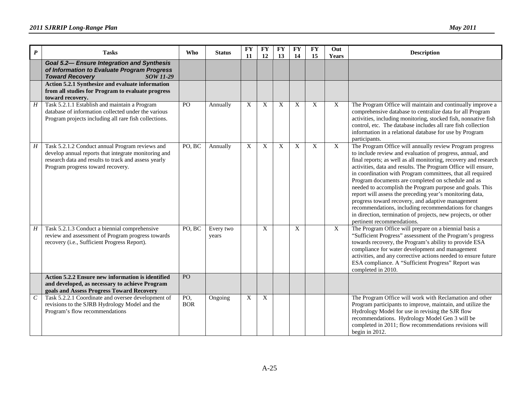| $\boldsymbol{P}$ | <b>Tasks</b>                                                                                                                                                                                         | Who               | <b>Status</b>      | <b>FY</b><br>11           | <b>FY</b><br>12 | <b>FY</b><br>13 | <b>FY</b><br>14 | <b>FY</b><br>15 | Out<br>Years | <b>Description</b>                                                                                                                                                                                                                                                                                                                                                                                                                                                                                                                                                                                                                                                                                                  |
|------------------|------------------------------------------------------------------------------------------------------------------------------------------------------------------------------------------------------|-------------------|--------------------|---------------------------|-----------------|-----------------|-----------------|-----------------|--------------|---------------------------------------------------------------------------------------------------------------------------------------------------------------------------------------------------------------------------------------------------------------------------------------------------------------------------------------------------------------------------------------------------------------------------------------------------------------------------------------------------------------------------------------------------------------------------------------------------------------------------------------------------------------------------------------------------------------------|
|                  | <b>Goal 5.2- Ensure Integration and Synthesis</b><br>of Information to Evaluate Program Progress<br><b>Toward Recovery</b><br><b>SOW 11-29</b>                                                       |                   |                    |                           |                 |                 |                 |                 |              |                                                                                                                                                                                                                                                                                                                                                                                                                                                                                                                                                                                                                                                                                                                     |
|                  | Action 5.2.1 Synthesize and evaluate information<br>from all studies for Program to evaluate progress<br>toward recovery.                                                                            |                   |                    |                           |                 |                 |                 |                 |              |                                                                                                                                                                                                                                                                                                                                                                                                                                                                                                                                                                                                                                                                                                                     |
| $\boldsymbol{H}$ | Task 5.2.1.1 Establish and maintain a Program<br>database of information collected under the various<br>Program projects including all rare fish collections.                                        | PO                | Annually           | $\boldsymbol{\mathrm{X}}$ | X               | X               | X               | X               | X            | The Program Office will maintain and continually improve a<br>comprehensive database to centralize data for all Program<br>activities, including monitoring, stocked fish, nonnative fish<br>control, etc. The database includes all rare fish collection<br>information in a relational database for use by Program<br>participants.                                                                                                                                                                                                                                                                                                                                                                               |
| H                | Task 5.2.1.2 Conduct annual Program reviews and<br>develop annual reports that integrate monitoring and<br>research data and results to track and assess yearly<br>Program progress toward recovery. | PO, BC            | Annually           | $\boldsymbol{X}$          | X               | X               | X               | X               | X            | The Program Office will annually review Program progress<br>to include review and evaluation of progress, annual, and<br>final reports; as well as all monitoring, recovery and research<br>activities, data and results. The Program Office will ensure,<br>in coordination with Program committees, that all required<br>Program documents are completed on schedule and as<br>needed to accomplish the Program purpose and goals. This<br>report will assess the preceding year's monitoring data,<br>progress toward recovery, and adaptive management<br>recommendations, including recommendations for changes<br>in direction, termination of projects, new projects, or other<br>pertinent recommendations. |
| $\overline{H}$   | Task 5.2.1.3 Conduct a biennial comprehensive<br>review and assessment of Program progress towards<br>recovery (i.e., Sufficient Progress Report).                                                   | PO, BC            | Every two<br>years |                           | X               |                 | X               |                 | $\mathbf X$  | The Program Office will prepare on a biennial basis a<br>"Sufficient Progress" assessment of the Program's progress<br>towards recovery, the Program's ability to provide ESA<br>compliance for water development and management<br>activities, and any corrective actions needed to ensure future<br>ESA compliance. A "Sufficient Progress" Report was<br>completed in 2010.                                                                                                                                                                                                                                                                                                                                      |
|                  | Action 5.2.2 Ensure new information is identified<br>and developed, as necessary to achieve Program<br>goals and Assess Progress Toward Recovery                                                     | PO                |                    |                           |                 |                 |                 |                 |              |                                                                                                                                                                                                                                                                                                                                                                                                                                                                                                                                                                                                                                                                                                                     |
| $\boldsymbol{C}$ | Task 5.2.2.1 Coordinate and oversee development of<br>revisions to the SJRB Hydrology Model and the<br>Program's flow recommendations                                                                | PO,<br><b>BOR</b> | Ongoing            | $\boldsymbol{\mathrm{X}}$ | X               |                 |                 |                 |              | The Program Office will work with Reclamation and other<br>Program participants to improve, maintain, and utilize the<br>Hydrology Model for use in revising the SJR flow<br>recommendations. Hydrology Model Gen 3 will be<br>completed in 2011; flow recommendations revisions will<br>begin in 2012.                                                                                                                                                                                                                                                                                                                                                                                                             |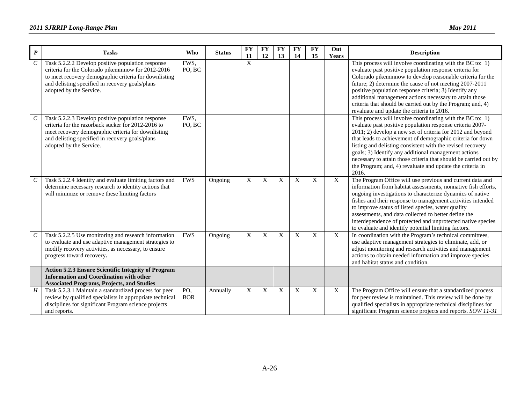| $\boldsymbol{P}$ | <b>Tasks</b>                                                                                                                                                                                                                                   | Who               | <b>Status</b> | <b>FY</b><br>11           | <b>FY</b><br>12 | <b>FY</b><br>13 | <b>FY</b><br>14 | <b>FY</b><br>15 | Out<br>Years   | <b>Description</b>                                                                                                                                                                                                                                                                                                                                                                                                                                                                                                    |
|------------------|------------------------------------------------------------------------------------------------------------------------------------------------------------------------------------------------------------------------------------------------|-------------------|---------------|---------------------------|-----------------|-----------------|-----------------|-----------------|----------------|-----------------------------------------------------------------------------------------------------------------------------------------------------------------------------------------------------------------------------------------------------------------------------------------------------------------------------------------------------------------------------------------------------------------------------------------------------------------------------------------------------------------------|
| $\boldsymbol{C}$ | Task 5.2.2.2 Develop positive population response<br>criteria for the Colorado pikeminnow for 2012-2016<br>to meet recovery demographic criteria for downlisting<br>and delisting specified in recovery goals/plans<br>adopted by the Service. | FWS,<br>PO, BC    |               | X                         |                 |                 |                 |                 |                | This process will involve coordinating with the BC to: 1)<br>evaluate past positive population response criteria for<br>Colorado pikeminnow to develop reasonable criteria for the<br>future; 2) determine the cause of not meeting 2007-2011<br>positive population response criteria; 3) Identify any<br>additional management actions necessary to attain those<br>criteria that should be carried out by the Program; and, 4)<br>revaluate and update the criteria in 2016.                                       |
| $\mathcal C$     | Task 5.2.2.3 Develop positive population response<br>criteria for the razorback sucker for 2012-2016 to<br>meet recovery demographic criteria for downlisting<br>and delisting specified in recovery goals/plans<br>adopted by the Service.    | FWS,<br>PO, BC    |               |                           |                 |                 |                 |                 |                | This process will involve coordinating with the BC to: $1$ )<br>evaluate past positive population response criteria 2007-<br>2011; 2) develop a new set of criteria for 2012 and beyond<br>that leads to achievement of demographic criteria for down<br>listing and delisting consistent with the revised recovery<br>goals; 3) Identify any additional management actions<br>necessary to attain those criteria that should be carried out by<br>the Program; and, 4) revaluate and update the criteria in<br>2016. |
| $\boldsymbol{C}$ | Task 5.2.2.4 Identify and evaluate limiting factors and<br>determine necessary research to identity actions that<br>will minimize or remove these limiting factors                                                                             | <b>FWS</b>        | Ongoing       | X                         | X               | X               | X               | X               | $\mathbf X$    | The Program Office will use previous and current data and<br>information from habitat assessments, nonnative fish efforts,<br>ongoing investigations to characterize dynamics of native<br>fishes and their response to management activities intended<br>to improve status of listed species, water quality<br>assessments, and data collected to better define the<br>interdependence of protected and unprotected native species<br>to evaluate and identify potential limiting factors.                           |
| $\cal C$         | Task 5.2.2.5 Use monitoring and research information<br>to evaluate and use adaptive management strategies to<br>modify recovery activities, as necessary, to ensure<br>progress toward recovery.                                              | <b>FWS</b>        | Ongoing       | $\boldsymbol{\mathrm{X}}$ | X               | X               | $\mathbf{X}$    | $\mathbf{X}$    | $\overline{X}$ | In coordination with the Program's technical committees,<br>use adaptive management strategies to eliminate, add, or<br>adjust monitoring and research activities and management<br>actions to obtain needed information and improve species<br>and habitat status and condition.                                                                                                                                                                                                                                     |
|                  | <b>Action 5.2.3 Ensure Scientific Integrity of Program</b><br><b>Information and Coordination with other</b><br><b>Associated Programs, Projects, and Studies</b>                                                                              |                   |               |                           |                 |                 |                 |                 |                |                                                                                                                                                                                                                                                                                                                                                                                                                                                                                                                       |
| H                | Task 5.2.3.1 Maintain a standardized process for peer<br>review by qualified specialists in appropriate technical<br>disciplines for significant Program science projects<br>and reports.                                                      | PO,<br><b>BOR</b> | Annually      | X                         | X               | X               | X               | X               | $\mathbf{X}$   | The Program Office will ensure that a standardized process<br>for peer review is maintained. This review will be done by<br>qualified specialists in appropriate technical disciplines for<br>significant Program science projects and reports. SOW 11-31                                                                                                                                                                                                                                                             |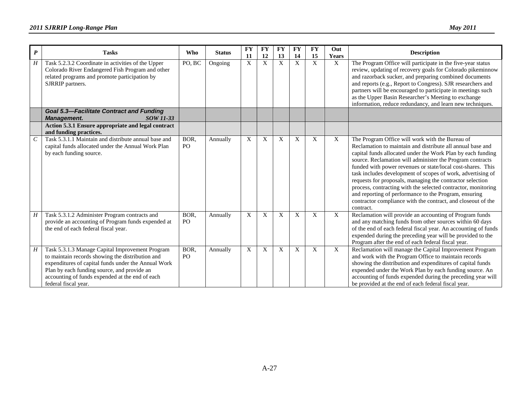| $\boldsymbol{P}$ | <b>Tasks</b>                                                                                                                                                                                                                                                                         | <b>Who</b>             | <b>Status</b> | <b>FY</b>   | <b>FY</b>    | <b>FY</b>                 | <b>FY</b>   | <b>FY</b>    | Out                       | <b>Description</b>                                                                                                                                                                                                                                                                                                                                                                                                                                                                                                                                                                                                                          |
|------------------|--------------------------------------------------------------------------------------------------------------------------------------------------------------------------------------------------------------------------------------------------------------------------------------|------------------------|---------------|-------------|--------------|---------------------------|-------------|--------------|---------------------------|---------------------------------------------------------------------------------------------------------------------------------------------------------------------------------------------------------------------------------------------------------------------------------------------------------------------------------------------------------------------------------------------------------------------------------------------------------------------------------------------------------------------------------------------------------------------------------------------------------------------------------------------|
|                  |                                                                                                                                                                                                                                                                                      |                        |               | 11          | 12           | 13                        | 14          | 15           | Years                     |                                                                                                                                                                                                                                                                                                                                                                                                                                                                                                                                                                                                                                             |
| $\boldsymbol{H}$ | Task 5.2.3.2 Coordinate in activities of the Upper<br>Colorado River Endangered Fish Program and other<br>related programs and promote participation by<br>SJRRIP partners.                                                                                                          | PO, BC                 | Ongoing       | $\mathbf X$ | $\mathbf{X}$ | $\boldsymbol{\mathrm{X}}$ | X           | $\mathbf{X}$ | $\overline{X}$            | The Program Office will participate in the five-year status<br>review, updating of recovery goals for Colorado pikeminnow<br>and razorback sucker, and preparing combined documents<br>and reports (e.g., Report to Congress). SJR researchers and<br>partners will be encouraged to participate in meetings such<br>as the Upper Basin Researcher's Meeting to exchange<br>information, reduce redundancy, and learn new techniques.                                                                                                                                                                                                       |
|                  | <b>Goal 5.3-Facilitate Contract and Funding</b><br><b>Management.</b><br>SOW 11-33                                                                                                                                                                                                   |                        |               |             |              |                           |             |              |                           |                                                                                                                                                                                                                                                                                                                                                                                                                                                                                                                                                                                                                                             |
|                  | Action 5.3.1 Ensure appropriate and legal contract<br>and funding practices.                                                                                                                                                                                                         |                        |               |             |              |                           |             |              |                           |                                                                                                                                                                                                                                                                                                                                                                                                                                                                                                                                                                                                                                             |
| $\mathcal{C}$    | Task 5.3.1.1 Maintain and distribute annual base and<br>capital funds allocated under the Annual Work Plan<br>by each funding source.                                                                                                                                                | BOR,<br>P <sub>O</sub> | Annually      | X           | X            | X                         | X           | X            | X                         | The Program Office will work with the Bureau of<br>Reclamation to maintain and distribute all annual base and<br>capital funds allocated under the Work Plan by each funding<br>source. Reclamation will administer the Program contracts<br>funded with power revenues or state/local cost-shares. This<br>task includes development of scopes of work, advertising of<br>requests for proposals, managing the contractor selection<br>process, contracting with the selected contractor, monitoring<br>and reporting of performance to the Program, ensuring<br>contractor compliance with the contract, and closeout of the<br>contract. |
| H                | Task 5.3.1.2 Administer Program contracts and<br>provide an accounting of Program funds expended at<br>the end of each federal fiscal year.                                                                                                                                          | BOR,<br>PO             | Annually      | X           | X            | X                         | X           | X            | $\boldsymbol{\mathrm{X}}$ | Reclamation will provide an accounting of Program funds<br>and any matching funds from other sources within 60 days<br>of the end of each federal fiscal year. An accounting of funds<br>expended during the preceding year will be provided to the<br>Program after the end of each federal fiscal year.                                                                                                                                                                                                                                                                                                                                   |
| $H_{\rm}$        | Task 5.3.1.3 Manage Capital Improvement Program<br>to maintain records showing the distribution and<br>expenditures of capital funds under the Annual Work<br>Plan by each funding source, and provide an<br>accounting of funds expended at the end of each<br>federal fiscal year. | BOR,<br>PO.            | Annually      | X           | $\mathbf X$  | X                         | $\mathbf X$ | X            | X                         | Reclamation will manage the Capital Improvement Program<br>and work with the Program Office to maintain records<br>showing the distribution and expenditures of capital funds<br>expended under the Work Plan by each funding source. An<br>accounting of funds expended during the preceding year will<br>be provided at the end of each federal fiscal year.                                                                                                                                                                                                                                                                              |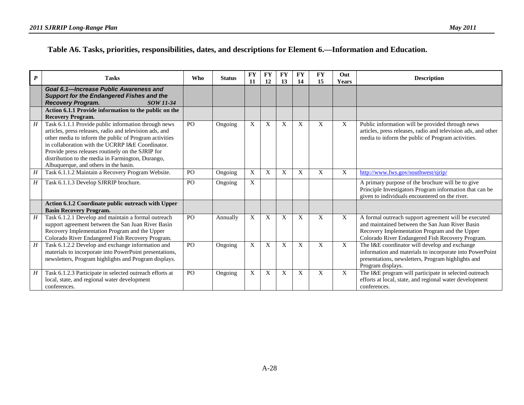### **Table A6. Tasks, priorities, responsibilities, dates, and descriptions for Element 6.—Information and Education.**

| $\boldsymbol{P}$ | <b>Tasks</b>                                                                                                                                                                                                                                                                                                                                                                     | <b>Who</b>     | <b>Status</b> | <b>FY</b><br>11 | <b>FY</b><br>12 | <b>FY</b><br>13 | <b>FY</b><br>14 | <b>FY</b><br>15 | Out<br><b>Years</b> | <b>Description</b>                                                                                                                                                                                           |
|------------------|----------------------------------------------------------------------------------------------------------------------------------------------------------------------------------------------------------------------------------------------------------------------------------------------------------------------------------------------------------------------------------|----------------|---------------|-----------------|-----------------|-----------------|-----------------|-----------------|---------------------|--------------------------------------------------------------------------------------------------------------------------------------------------------------------------------------------------------------|
|                  | Goal 6.1-Increase Public Awareness and<br><b>Support for the Endangered Fishes and the</b><br><b>Recovery Program.</b><br>SOW 11-34                                                                                                                                                                                                                                              |                |               |                 |                 |                 |                 |                 |                     |                                                                                                                                                                                                              |
|                  | Action 6.1.1 Provide information to the public on the<br><b>Recovery Program.</b>                                                                                                                                                                                                                                                                                                |                |               |                 |                 |                 |                 |                 |                     |                                                                                                                                                                                                              |
| H                | Task 6.1.1.1 Provide public information through news<br>articles, press releases, radio and television ads, and<br>other media to inform the public of Program activities<br>in collaboration with the UCRRP I&E Coordinator.<br>Provide press releases routinely on the SJRIP for<br>distribution to the media in Farmington, Durango,<br>Albuquerque, and others in the basin. | PO             | Ongoing       | X               | X               | X               | X               | X               | X                   | Public information will be provided through news<br>articles, press releases, radio and television ads, and other<br>media to inform the public of Program activities.                                       |
| H                | Task 6.1.1.2 Maintain a Recovery Program Website.                                                                                                                                                                                                                                                                                                                                | P <sub>O</sub> | Ongoing       | X               | X               | X               | X               | X               | X                   | http://www.fws.gov/southwest/sirip/                                                                                                                                                                          |
| H                | Task 6.1.1.3 Develop SJRRIP brochure.                                                                                                                                                                                                                                                                                                                                            | PO             | Ongoing       | X               |                 |                 |                 |                 |                     | A primary purpose of the brochure will be to give<br>Principle Investigators Program information that can be<br>given to individuals encountered on the river.                                               |
|                  | Action 6.1.2 Coordinate public outreach with Upper<br><b>Basin Recovery Program.</b>                                                                                                                                                                                                                                                                                             |                |               |                 |                 |                 |                 |                 |                     |                                                                                                                                                                                                              |
| $\boldsymbol{H}$ | Task 6.1.2.1 Develop and maintain a formal outreach<br>support agreement between the San Juan River Basin<br>Recovery Implementation Program and the Upper<br>Colorado River Endangered Fish Recovery Program.                                                                                                                                                                   | P <sub>O</sub> | Annually      | X               | X               | X               | X               | X               | X                   | A formal outreach support agreement will be executed<br>and maintained between the San Juan River Basin<br>Recovery Implementation Program and the Upper<br>Colorado River Endangered Fish Recovery Program. |
| H                | Task 6.1.2.2 Develop and exchange information and<br>materials to incorporate into PowerPoint presentations,<br>newsletters, Program highlights and Program displays.                                                                                                                                                                                                            | PO             | Ongoing       | X               | X               | X               | X               | X               | X                   | The I&E coordinator will develop and exchange<br>information and materials to incorporate into PowerPoint<br>presentations, newsletters, Program highlights and<br>Program displays.                         |
| H                | Task 6.1.2.3 Participate in selected outreach efforts at<br>local, state, and regional water development<br>conferences.                                                                                                                                                                                                                                                         | PO             | Ongoing       | X               | X               | X               | X               | X               | X                   | The I&E program will participate in selected outreach<br>efforts at local, state, and regional water development<br>conferences.                                                                             |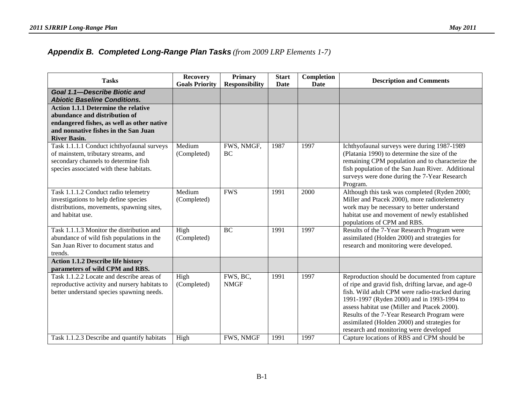### *Appendix B. Completed Long-Range Plan Tasks (from 2009 LRP Elements 1-7)*

| <b>Tasks</b>                                                                                                                                                                             | <b>Recovery</b><br><b>Goals Priority</b> | Primary<br><b>Responsibility</b> | <b>Start</b><br><b>Date</b> | Completion<br>Date | <b>Description and Comments</b>                                                                                                                                                                                                                                                                                                                                                                |
|------------------------------------------------------------------------------------------------------------------------------------------------------------------------------------------|------------------------------------------|----------------------------------|-----------------------------|--------------------|------------------------------------------------------------------------------------------------------------------------------------------------------------------------------------------------------------------------------------------------------------------------------------------------------------------------------------------------------------------------------------------------|
| Goal 1.1-Describe Biotic and<br><b>Abiotic Baseline Conditions.</b>                                                                                                                      |                                          |                                  |                             |                    |                                                                                                                                                                                                                                                                                                                                                                                                |
| <b>Action 1.1.1 Determine the relative</b><br>abundance and distribution of<br>endangered fishes, as well as other native<br>and nonnative fishes in the San Juan<br><b>River Basin.</b> |                                          |                                  |                             |                    |                                                                                                                                                                                                                                                                                                                                                                                                |
| Task 1.1.1.1 Conduct ichthyofaunal surveys<br>of mainstem, tributary streams, and<br>secondary channels to determine fish<br>species associated with these habitats.                     | Medium<br>(Completed)                    | FWS, NMGF,<br>BC                 | 1987                        | 1997               | Ichthyofaunal surveys were during 1987-1989<br>(Platania 1990) to determine the size of the<br>remaining CPM population and to characterize the<br>fish population of the San Juan River. Additional<br>surveys were done during the 7-Year Research<br>Program.                                                                                                                               |
| Task 1.1.1.2 Conduct radio telemetry<br>investigations to help define species<br>distributions, movements, spawning sites,<br>and habitat use.                                           | Medium<br>(Completed)                    | <b>FWS</b>                       | 1991                        | 2000               | Although this task was completed (Ryden 2000;<br>Miller and Ptacek 2000), more radiotelemetry<br>work may be necessary to better understand<br>habitat use and movement of newly established<br>populations of CPM and RBS.                                                                                                                                                                    |
| Task 1.1.1.3 Monitor the distribution and<br>abundance of wild fish populations in the<br>San Juan River to document status and<br>trends.                                               | High<br>(Completed)                      | <b>BC</b>                        | 1991                        | 1997               | Results of the 7-Year Research Program were<br>assimilated (Holden 2000) and strategies for<br>research and monitoring were developed.                                                                                                                                                                                                                                                         |
| <b>Action 1.1.2 Describe life history</b><br>parameters of wild CPM and RBS.                                                                                                             |                                          |                                  |                             |                    |                                                                                                                                                                                                                                                                                                                                                                                                |
| Task 1.1.2.2 Locate and describe areas of<br>reproductive activity and nursery habitats to<br>better understand species spawning needs.                                                  | High<br>(Completed)                      | FWS, BC,<br><b>NMGF</b>          | 1991                        | 1997               | Reproduction should be documented from capture<br>of ripe and gravid fish, drifting larvae, and age-0<br>fish. Wild adult CPM were radio-tracked during<br>1991-1997 (Ryden 2000) and in 1993-1994 to<br>assess habitat use (Miller and Ptacek 2000).<br>Results of the 7-Year Research Program were<br>assimilated (Holden 2000) and strategies for<br>research and monitoring were developed |
| Task 1.1.2.3 Describe and quantify habitats                                                                                                                                              | High                                     | FWS, NMGF                        | 1991                        | 1997               | Capture locations of RBS and CPM should be                                                                                                                                                                                                                                                                                                                                                     |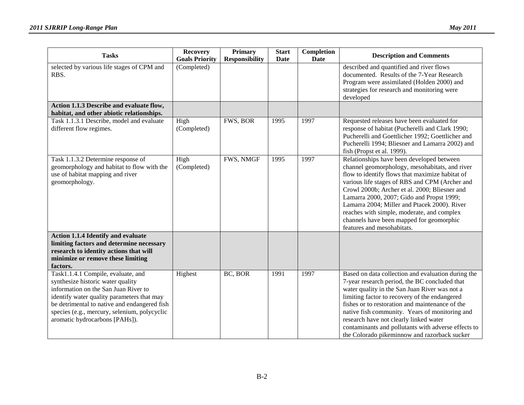| <b>Tasks</b>                                                                                                                                                                                                                                                                                    | <b>Recovery</b><br><b>Goals Priority</b> | <b>Primary</b><br><b>Responsibility</b> | <b>Start</b><br>Date | Completion<br><b>Date</b> | <b>Description and Comments</b>                                                                                                                                                                                                                                                                                                                                                                                                                                        |
|-------------------------------------------------------------------------------------------------------------------------------------------------------------------------------------------------------------------------------------------------------------------------------------------------|------------------------------------------|-----------------------------------------|----------------------|---------------------------|------------------------------------------------------------------------------------------------------------------------------------------------------------------------------------------------------------------------------------------------------------------------------------------------------------------------------------------------------------------------------------------------------------------------------------------------------------------------|
| selected by various life stages of CPM and<br>RBS.                                                                                                                                                                                                                                              | (Completed)                              |                                         |                      |                           | described and quantified and river flows<br>documented. Results of the 7-Year Research<br>Program were assimilated (Holden 2000) and<br>strategies for research and monitoring were<br>developed                                                                                                                                                                                                                                                                       |
| Action 1.1.3 Describe and evaluate flow,<br>habitat, and other abiotic relationships.                                                                                                                                                                                                           |                                          |                                         |                      |                           |                                                                                                                                                                                                                                                                                                                                                                                                                                                                        |
| Task 1.1.3.1 Describe, model and evaluate<br>different flow regimes.                                                                                                                                                                                                                            | High<br>(Completed)                      | FWS, BOR                                | 1995                 | 1997                      | Requested releases have been evaluated for<br>response of habitat (Pucherelli and Clark 1990;<br>Pucherelli and Goettlicher 1992; Goettlicher and<br>Pucherelli 1994; Bliesner and Lamarra 2002) and<br>fish (Propst et al. 1999).                                                                                                                                                                                                                                     |
| Task 1.1.3.2 Determine response of<br>geomorphology and habitat to flow with the<br>use of habitat mapping and river<br>geomorphology.                                                                                                                                                          | High<br>(Completed)                      | FWS, NMGF                               | 1995                 | 1997                      | Relationships have been developed between<br>channel geomorphology, mesohabitats, and river<br>flow to identify flows that maximize habitat of<br>various life stages of RBS and CPM (Archer and<br>Crowl 2000b; Archer et al. 2000; Bliesner and<br>Lamarra 2000, 2007; Gido and Propst 1999;<br>Lamarra 2004; Miller and Ptacek 2000). River<br>reaches with simple, moderate, and complex<br>channels have been mapped for geomorphic<br>features and mesohabitats. |
| <b>Action 1.1.4 Identify and evaluate</b><br>limiting factors and determine necessary<br>research to identity actions that will<br>minimize or remove these limiting<br>factors.                                                                                                                |                                          |                                         |                      |                           |                                                                                                                                                                                                                                                                                                                                                                                                                                                                        |
| Task1.1.4.1 Compile, evaluate, and<br>synthesize historic water quality<br>information on the San Juan River to<br>identify water quality parameters that may<br>be detrimental to native and endangered fish<br>species (e.g., mercury, selenium, polycyclic<br>aromatic hydrocarbons [PAHs]). | Highest                                  | BC, BOR                                 | 1991                 | 1997                      | Based on data collection and evaluation during the<br>7-year research period, the BC concluded that<br>water quality in the San Juan River was not a<br>limiting factor to recovery of the endangered<br>fishes or to restoration and maintenance of the<br>native fish community. Years of monitoring and<br>research have not clearly linked water<br>contaminants and pollutants with adverse effects to<br>the Colorado pikeminnow and razorback sucker            |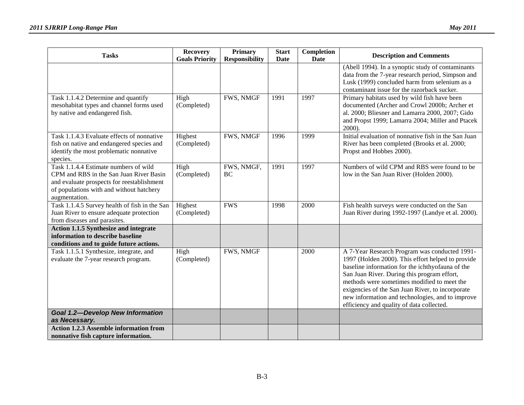| <b>Tasks</b>                                                                                                                                                                                | <b>Recovery</b>        | <b>Primary</b>        | <b>Start</b> | Completion  | <b>Description and Comments</b>                                                                                                                                                                                                                                                                                                                                                                           |
|---------------------------------------------------------------------------------------------------------------------------------------------------------------------------------------------|------------------------|-----------------------|--------------|-------------|-----------------------------------------------------------------------------------------------------------------------------------------------------------------------------------------------------------------------------------------------------------------------------------------------------------------------------------------------------------------------------------------------------------|
|                                                                                                                                                                                             | <b>Goals Priority</b>  | <b>Responsibility</b> | <b>Date</b>  | <b>Date</b> |                                                                                                                                                                                                                                                                                                                                                                                                           |
|                                                                                                                                                                                             |                        |                       |              |             | (Abell 1994). In a synoptic study of contaminants<br>data from the 7-year research period, Simpson and<br>Lusk (1999) concluded harm from selenium as a<br>contaminant issue for the razorback sucker.                                                                                                                                                                                                    |
| Task 1.1.4.2 Determine and quantify<br>mesohabitat types and channel forms used<br>by native and endangered fish.                                                                           | High<br>(Completed)    | FWS, NMGF             | 1991         | 1997        | Primary habitats used by wild fish have been<br>documented (Archer and Crowl 2000b; Archer et<br>al. 2000; Bliesner and Lamarra 2000, 2007; Gido<br>and Propst 1999; Lamarra 2004; Miller and Ptacek<br>2000).                                                                                                                                                                                            |
| Task 1.1.4.3 Evaluate effects of nonnative<br>fish on native and endangered species and<br>identify the most problematic nonnative<br>species.                                              | Highest<br>(Completed) | FWS, NMGF             | 1996         | 1999        | Initial evaluation of nonnative fish in the San Juan<br>River has been completed (Brooks et al. 2000;<br>Propst and Hobbes 2000).                                                                                                                                                                                                                                                                         |
| Task 1.1.4.4 Estimate numbers of wild<br>CPM and RBS in the San Juan River Basin<br>and evaluate prospects for reestablishment<br>of populations with and without hatchery<br>augmentation. | High<br>(Completed)    | FWS, NMGF,<br>BC      | 1991         | 1997        | Numbers of wild CPM and RBS were found to be<br>low in the San Juan River (Holden 2000).                                                                                                                                                                                                                                                                                                                  |
| Task 1.1.4.5 Survey health of fish in the San<br>Juan River to ensure adequate protection<br>from diseases and parasites.                                                                   | Highest<br>(Completed) | <b>FWS</b>            | 1998         | 2000        | Fish health surveys were conducted on the San<br>Juan River during 1992-1997 (Landye et al. 2000).                                                                                                                                                                                                                                                                                                        |
| Action 1.1.5 Synthesize and integrate<br>information to describe baseline<br>conditions and to guide future actions.                                                                        |                        |                       |              |             |                                                                                                                                                                                                                                                                                                                                                                                                           |
| Task 1.1.5.1 Synthesize, integrate, and<br>evaluate the 7-year research program.                                                                                                            | High<br>(Completed)    | FWS, NMGF             |              | 2000        | A 7-Year Research Program was conducted 1991-<br>1997 (Holden 2000). This effort helped to provide<br>baseline information for the ichthyofauna of the<br>San Juan River. During this program effort,<br>methods were sometimes modified to meet the<br>exigencies of the San Juan River, to incorporate<br>new information and technologies, and to improve<br>efficiency and quality of data collected. |
| <b>Goal 1.2-Develop New Information</b><br>as Necessary.                                                                                                                                    |                        |                       |              |             |                                                                                                                                                                                                                                                                                                                                                                                                           |
| <b>Action 1.2.3 Assemble information from</b><br>nonnative fish capture information.                                                                                                        |                        |                       |              |             |                                                                                                                                                                                                                                                                                                                                                                                                           |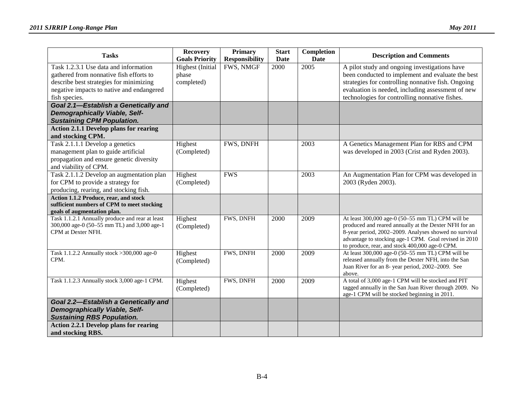| <b>Tasks</b>                                                              | <b>Recovery</b><br><b>Goals Priority</b> | <b>Primary</b><br><b>Responsibility</b> | <b>Start</b><br>Date | Completion<br><b>Date</b> | <b>Description and Comments</b>                                                                    |
|---------------------------------------------------------------------------|------------------------------------------|-----------------------------------------|----------------------|---------------------------|----------------------------------------------------------------------------------------------------|
| Task 1.2.3.1 Use data and information                                     | <b>Highest</b> (Initial                  | FWS, NMGF                               | 2000                 | 2005                      | A pilot study and ongoing investigations have                                                      |
| gathered from nonnative fish efforts to                                   | phase                                    |                                         |                      |                           | been conducted to implement and evaluate the best                                                  |
| describe best strategies for minimizing                                   | completed)                               |                                         |                      |                           | strategies for controlling nonnative fish. Ongoing                                                 |
| negative impacts to native and endangered                                 |                                          |                                         |                      |                           | evaluation is needed, including assessment of new                                                  |
| fish species.                                                             |                                          |                                         |                      |                           | technologies for controlling nonnative fishes.                                                     |
| Goal 2.1-Establish a Genetically and                                      |                                          |                                         |                      |                           |                                                                                                    |
| <b>Demographically Viable, Self-</b><br><b>Sustaining CPM Population.</b> |                                          |                                         |                      |                           |                                                                                                    |
| <b>Action 2.1.1 Develop plans for rearing</b>                             |                                          |                                         |                      |                           |                                                                                                    |
| and stocking CPM.                                                         |                                          |                                         |                      |                           |                                                                                                    |
| Task 2.1.1.1 Develop a genetics                                           | Highest                                  | FWS, DNFH                               |                      | 2003                      | A Genetics Management Plan for RBS and CPM                                                         |
| management plan to guide artificial                                       | (Completed)                              |                                         |                      |                           | was developed in 2003 (Crist and Ryden 2003).                                                      |
| propagation and ensure genetic diversity                                  |                                          |                                         |                      |                           |                                                                                                    |
| and viability of CPM.                                                     |                                          |                                         |                      |                           |                                                                                                    |
| Task 2.1.1.2 Develop an augmentation plan                                 | Highest                                  | <b>FWS</b>                              |                      | 2003                      | An Augmentation Plan for CPM was developed in                                                      |
| for CPM to provide a strategy for                                         | (Completed)                              |                                         |                      |                           | 2003 (Ryden 2003).                                                                                 |
| producing, rearing, and stocking fish.                                    |                                          |                                         |                      |                           |                                                                                                    |
| Action 1.1.2 Produce, rear, and stock                                     |                                          |                                         |                      |                           |                                                                                                    |
| sufficient numbers of CPM to meet stocking<br>goals of augmentation plan. |                                          |                                         |                      |                           |                                                                                                    |
| Task 1.1.2.1 Annually produce and rear at least                           | Highest                                  | FWS, DNFH                               | 2000                 | 2009                      | At least 300,000 age-0 (50-55 mm TL) CPM will be                                                   |
| 300,000 age-0 (50-55 mm TL) and 3,000 age-1                               | (Completed)                              |                                         |                      |                           | produced and reared annually at the Dexter NFH for an                                              |
| CPM at Dexter NFH.                                                        |                                          |                                         |                      |                           | 8-year period, 2002-2009. Analyses showed no survival                                              |
|                                                                           |                                          |                                         |                      |                           | advantage to stocking age-1 CPM. Goal revised in 2010                                              |
| Task 1.1.2.2 Annually stock > 300,000 age-0                               | Highest                                  | FWS, DNFH                               | 2000                 | 2009                      | to produce, rear, and stock 400,000 age-0 CPM.<br>At least 300,000 age-0 (50-55 mm TL) CPM will be |
| CPM.                                                                      | (Completed)                              |                                         |                      |                           | released annually from the Dexter NFH, into the San                                                |
|                                                                           |                                          |                                         |                      |                           | Juan River for an 8- year period, 2002-2009. See                                                   |
|                                                                           |                                          |                                         |                      |                           | above.                                                                                             |
| Task 1.1.2.3 Annually stock 3,000 age-1 CPM.                              | Highest                                  | FWS, DNFH                               | 2000                 | 2009                      | A total of 3,000 age-1 CPM will be stocked and PIT                                                 |
|                                                                           | (Completed)                              |                                         |                      |                           | tagged annually in the San Juan River through 2009. No                                             |
|                                                                           |                                          |                                         |                      |                           | age-1 CPM will be stocked beginning in 2011.                                                       |
| Goal 2.2-Establish a Genetically and                                      |                                          |                                         |                      |                           |                                                                                                    |
| <b>Demographically Viable, Self-</b><br><b>Sustaining RBS Population.</b> |                                          |                                         |                      |                           |                                                                                                    |
| <b>Action 2.2.1 Develop plans for rearing</b>                             |                                          |                                         |                      |                           |                                                                                                    |
| and stocking RBS.                                                         |                                          |                                         |                      |                           |                                                                                                    |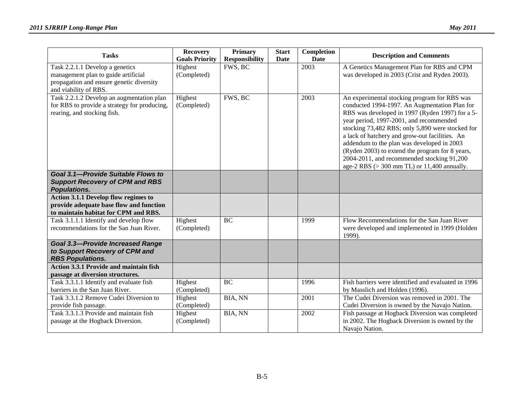| <b>Tasks</b>                                                                                                                                | <b>Recovery</b><br><b>Goals Priority</b> | Primary<br><b>Responsibility</b> | <b>Start</b><br>Date | Completion<br><b>Date</b> | <b>Description and Comments</b>                                                                                                                                                                                                                                                                                                                                                                                                                                                                  |
|---------------------------------------------------------------------------------------------------------------------------------------------|------------------------------------------|----------------------------------|----------------------|---------------------------|--------------------------------------------------------------------------------------------------------------------------------------------------------------------------------------------------------------------------------------------------------------------------------------------------------------------------------------------------------------------------------------------------------------------------------------------------------------------------------------------------|
| Task 2.2.1.1 Develop a genetics<br>management plan to guide artificial<br>propagation and ensure genetic diversity<br>and viability of RBS. | Highest<br>(Completed)                   | FWS, BC                          |                      | 2003                      | A Genetics Management Plan for RBS and CPM<br>was developed in 2003 (Crist and Ryden 2003).                                                                                                                                                                                                                                                                                                                                                                                                      |
| Task 2.2.1.2 Develop an augmentation plan<br>for RBS to provide a strategy for producing,<br>rearing, and stocking fish.                    | Highest<br>(Completed)                   | FWS, BC                          |                      | 2003                      | An experimental stocking program for RBS was<br>conducted 1994-1997. An Augmentation Plan for<br>RBS was developed in 1997 (Ryden 1997) for a 5-<br>year period, 1997-2001, and recommended<br>stocking 73,482 RBS; only 5,890 were stocked for<br>a lack of hatchery and grow-out facilities. An<br>addendum to the plan was developed in 2003<br>(Ryden 2003) to extend the program for 8 years,<br>2004-2011, and recommended stocking 91,200<br>age-2 RBS $(>300$ mm TL) or 11,400 annually. |
| Goal 3.1-Provide Suitable Flows to<br><b>Support Recovery of CPM and RBS</b><br>Populations.                                                |                                          |                                  |                      |                           |                                                                                                                                                                                                                                                                                                                                                                                                                                                                                                  |
| Action 3.1.1 Develop flow regimes to<br>provide adequate base flow and function<br>to maintain habitat for CPM and RBS.                     |                                          |                                  |                      |                           |                                                                                                                                                                                                                                                                                                                                                                                                                                                                                                  |
| Task 3.1.1.1 Identify and develop flow<br>recommendations for the San Juan River.                                                           | Highest<br>(Completed)                   | <b>BC</b>                        |                      | 1999                      | Flow Recommendations for the San Juan River<br>were developed and implemented in 1999 (Holden<br>1999).                                                                                                                                                                                                                                                                                                                                                                                          |
| <b>Goal 3.3-Provide Increased Range</b><br>to Support Recovery of CPM and<br><b>RBS Populations.</b>                                        |                                          |                                  |                      |                           |                                                                                                                                                                                                                                                                                                                                                                                                                                                                                                  |
| <b>Action 3.3.1 Provide and maintain fish</b><br>passage at diversion structures.                                                           |                                          |                                  |                      |                           |                                                                                                                                                                                                                                                                                                                                                                                                                                                                                                  |
| Task 3.3.1.1 Identify and evaluate fish<br>barriers in the San Juan River.                                                                  | Highest<br>(Completed)                   | <b>BC</b>                        |                      | 1996                      | Fish barriers were identified and evaluated in 1996<br>by Masslich and Holden (1996).                                                                                                                                                                                                                                                                                                                                                                                                            |
| Task 3.3.1.2 Remove Cudei Diversion to<br>provide fish passage.                                                                             | Highest<br>(Completed)                   | BIA, NN                          |                      | 2001                      | The Cudei Diversion was removed in 2001. The<br>Cudei Diversion is owned by the Navajo Nation.                                                                                                                                                                                                                                                                                                                                                                                                   |
| Task 3.3.1.3 Provide and maintain fish<br>passage at the Hogback Diversion.                                                                 | Highest<br>(Completed)                   | <b>BIA, NN</b>                   |                      | 2002                      | Fish passage at Hogback Diversion was completed<br>in 2002. The Hogback Diversion is owned by the<br>Navajo Nation.                                                                                                                                                                                                                                                                                                                                                                              |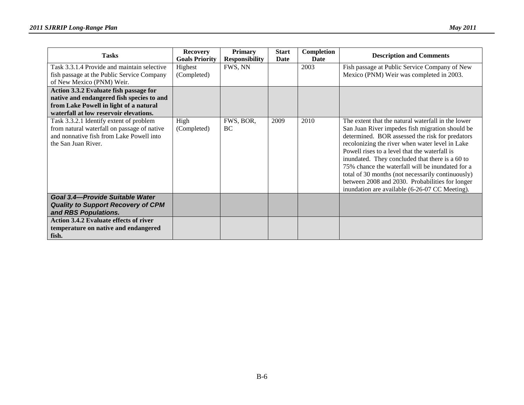| <b>Tasks</b>                                                                        | <b>Recovery</b><br><b>Goals Priority</b> | <b>Primary</b><br><b>Responsibility</b> | <b>Start</b><br>Date | Completion<br>Date | <b>Description and Comments</b>                                                                  |
|-------------------------------------------------------------------------------------|------------------------------------------|-----------------------------------------|----------------------|--------------------|--------------------------------------------------------------------------------------------------|
| Task 3.3.1.4 Provide and maintain selective                                         | Highest                                  | FWS, NN                                 |                      | 2003               | Fish passage at Public Service Company of New                                                    |
| fish passage at the Public Service Company                                          | (Completed)                              |                                         |                      |                    | Mexico (PNM) Weir was completed in 2003.                                                         |
| of New Mexico (PNM) Weir.                                                           |                                          |                                         |                      |                    |                                                                                                  |
| Action 3.3.2 Evaluate fish passage for<br>native and endangered fish species to and |                                          |                                         |                      |                    |                                                                                                  |
| from Lake Powell in light of a natural                                              |                                          |                                         |                      |                    |                                                                                                  |
| waterfall at low reservoir elevations.                                              |                                          |                                         |                      |                    |                                                                                                  |
| Task 3.3.2.1 Identify extent of problem                                             | High                                     | FWS, BOR,                               | 2009                 | 2010               | The extent that the natural waterfall in the lower                                               |
| from natural waterfall on passage of native                                         | (Completed)                              | BC                                      |                      |                    | San Juan River impedes fish migration should be                                                  |
| and nonnative fish from Lake Powell into                                            |                                          |                                         |                      |                    | determined. BOR assessed the risk for predators                                                  |
| the San Juan River.                                                                 |                                          |                                         |                      |                    | recolonizing the river when water level in Lake                                                  |
|                                                                                     |                                          |                                         |                      |                    | Powell rises to a level that the waterfall is<br>inundated. They concluded that there is a 60 to |
|                                                                                     |                                          |                                         |                      |                    | 75% chance the waterfall will be inundated for a                                                 |
|                                                                                     |                                          |                                         |                      |                    | total of 30 months (not necessarily continuously)                                                |
|                                                                                     |                                          |                                         |                      |                    | between 2008 and 2030. Probabilities for longer                                                  |
|                                                                                     |                                          |                                         |                      |                    | inundation are available (6-26-07 CC Meeting).                                                   |
| Goal 3.4-Provide Suitable Water                                                     |                                          |                                         |                      |                    |                                                                                                  |
| <b>Quality to Support Recovery of CPM</b>                                           |                                          |                                         |                      |                    |                                                                                                  |
| and RBS Populations.                                                                |                                          |                                         |                      |                    |                                                                                                  |
| <b>Action 3.4.2 Evaluate effects of river</b>                                       |                                          |                                         |                      |                    |                                                                                                  |
| temperature on native and endangered                                                |                                          |                                         |                      |                    |                                                                                                  |
| fish.                                                                               |                                          |                                         |                      |                    |                                                                                                  |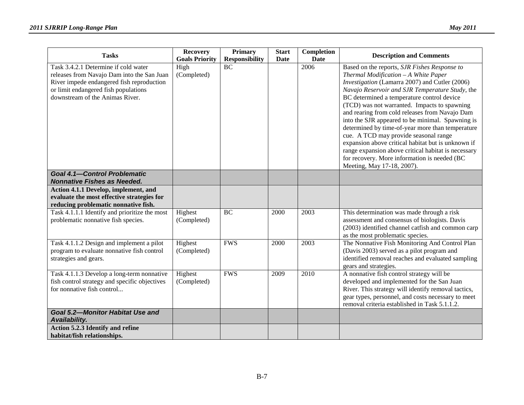| <b>Tasks</b>                                                                                                                                                                                               | <b>Recovery</b><br><b>Goals Priority</b> | <b>Primary</b><br><b>Responsibility</b> | <b>Start</b><br>Date | Completion<br><b>Date</b> | <b>Description and Comments</b>                                                                                                                                                                                                                                                                                                                                                                                                                                                                                                                                                                                                                                                       |
|------------------------------------------------------------------------------------------------------------------------------------------------------------------------------------------------------------|------------------------------------------|-----------------------------------------|----------------------|---------------------------|---------------------------------------------------------------------------------------------------------------------------------------------------------------------------------------------------------------------------------------------------------------------------------------------------------------------------------------------------------------------------------------------------------------------------------------------------------------------------------------------------------------------------------------------------------------------------------------------------------------------------------------------------------------------------------------|
| Task 3.4.2.1 Determine if cold water<br>releases from Navajo Dam into the San Juan<br>River impede endangered fish reproduction<br>or limit endangered fish populations<br>downstream of the Animas River. | High<br>(Completed)                      | <b>BC</b>                               |                      | 2006                      | Based on the reports, SJR Fishes Response to<br>Thermal Modification - A White Paper<br>Investigation (Lamarra 2007) and Cutler (2006)<br>Navajo Reservoir and SJR Temperature Study, the<br>BC determined a temperature control device<br>(TCD) was not warranted. Impacts to spawning<br>and rearing from cold releases from Navajo Dam<br>into the SJR appeared to be minimal. Spawning is<br>determined by time-of-year more than temperature<br>cue. A TCD may provide seasonal range<br>expansion above critical habitat but is unknown if<br>range expansion above critical habitat is necessary<br>for recovery. More information is needed (BC<br>Meeting, May 17-18, 2007). |
| <b>Goal 4.1-Control Problematic</b><br><b>Nonnative Fishes as Needed.</b>                                                                                                                                  |                                          |                                         |                      |                           |                                                                                                                                                                                                                                                                                                                                                                                                                                                                                                                                                                                                                                                                                       |
| Action 4.1.1 Develop, implement, and<br>evaluate the most effective strategies for<br>reducing problematic nonnative fish.                                                                                 |                                          |                                         |                      |                           |                                                                                                                                                                                                                                                                                                                                                                                                                                                                                                                                                                                                                                                                                       |
| Task 4.1.1.1 Identify and prioritize the most<br>problematic nonnative fish species.                                                                                                                       | Highest<br>(Completed)                   | <b>BC</b>                               | 2000                 | 2003                      | This determination was made through a risk<br>assessment and consensus of biologists. Davis<br>(2003) identified channel catfish and common carp<br>as the most problematic species.                                                                                                                                                                                                                                                                                                                                                                                                                                                                                                  |
| Task 4.1.1.2 Design and implement a pilot<br>program to evaluate nonnative fish control<br>strategies and gears.                                                                                           | Highest<br>(Completed)                   | <b>FWS</b>                              | 2000                 | 2003                      | The Nonnative Fish Monitoring And Control Plan<br>(Davis 2003) served as a pilot program and<br>identified removal reaches and evaluated sampling<br>gears and strategies.                                                                                                                                                                                                                                                                                                                                                                                                                                                                                                            |
| Task 4.1.1.3 Develop a long-term nonnative<br>fish control strategy and specific objectives<br>for nonnative fish control                                                                                  | Highest<br>(Completed)                   | <b>FWS</b>                              | 2009                 | 2010                      | A nonnative fish control strategy will be<br>developed and implemented for the San Juan<br>River. This strategy will identify removal tactics,<br>gear types, personnel, and costs necessary to meet<br>removal criteria established in Task 5.1.1.2.                                                                                                                                                                                                                                                                                                                                                                                                                                 |
| <b>Goal 5.2-Monitor Habitat Use and</b><br>Availability.                                                                                                                                                   |                                          |                                         |                      |                           |                                                                                                                                                                                                                                                                                                                                                                                                                                                                                                                                                                                                                                                                                       |
| Action 5.2.3 Identify and refine<br>habitat/fish relationships.                                                                                                                                            |                                          |                                         |                      |                           |                                                                                                                                                                                                                                                                                                                                                                                                                                                                                                                                                                                                                                                                                       |